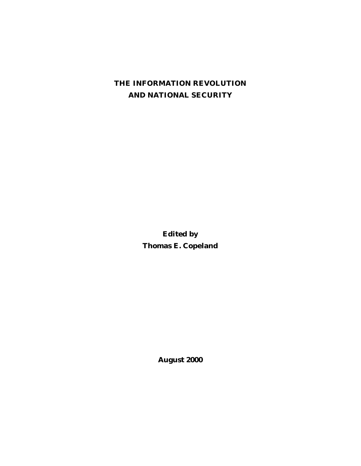# **THE INFORMATION REVOLUTION AND NATIONAL SECURITY**

**Edited by Thomas E. Copeland**

**August 2000**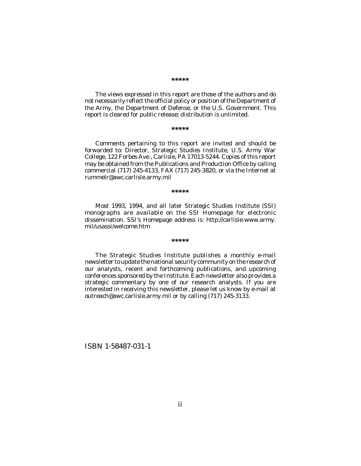#### **\*\*\*\*\***

The views expressed in this report are those of the authors and do not necessarily reflect the official policy or position of the Department of the Army, the Department of Defense, or the U.S. Government. This report is cleared for public release; distribution is unlimited.

#### **\*\*\*\*\***

Comments pertaining to this report are invited and should be forwarded to: Director, Strategic Studies Institute, U.S. Army War College, 122 Forbes Ave., Carlisle, PA 17013-5244. Copies of this report may be obtained from the Publications and Production Office by calling commercial (717) 245-4133, FAX (717) 245-3820, or via the Internet at rummelr@awc.carlisle.army.mil

#### **\*\*\*\*\***

Most 1993, 1994, and all later Strategic Studies Institute (SSI) monographs are available on the SSI Homepage for electronic dissemination. SSI's Homepage address is: http://carlisle-www.army. mil/usassi/welcome.htm

#### **\*\*\*\*\***

The Strategic Studies Institute publishes a monthly e-mail newsletter to update the national security community on the research of our analysts, recent and forthcoming publications, and upcoming conferences sponsored by the Institute. Each newsletter also provides a strategic commentary by one of our research analysts. If you are interested in receiving this newsletter, please let us know by e-mail at outreach@awc.carlisle.army.mil or by calling (717) 245-3133.

ISBN 1-58487-031-1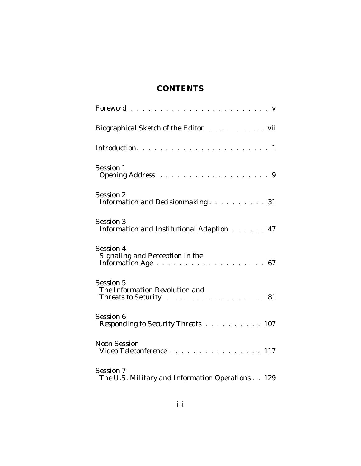# **CONTENTS**

| Biographical Sketch of the Editor vii                                  |
|------------------------------------------------------------------------|
|                                                                        |
| Session 1                                                              |
| Session 2<br>Information and Decisionmaking31                          |
| Session 3<br>Information and Institutional Adaption 47                 |
| Session 4<br>Signaling and Perception in the                           |
| Session 5<br>The Information Revolution and<br>Threats to Security. 81 |
| Session 6<br>Responding to Security Threats 107                        |
| <b>Noon Session</b><br>Video Teleconference 117                        |
| Session 7<br>The U.S. Military and Information Operations. . 129       |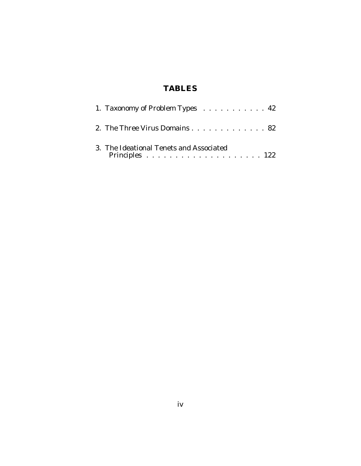# **TABLES**

| 1. Taxonomy of Problem Types 42         |  |
|-----------------------------------------|--|
| 2. The Three Virus Domains 82           |  |
| 3. The Ideational Tenets and Associated |  |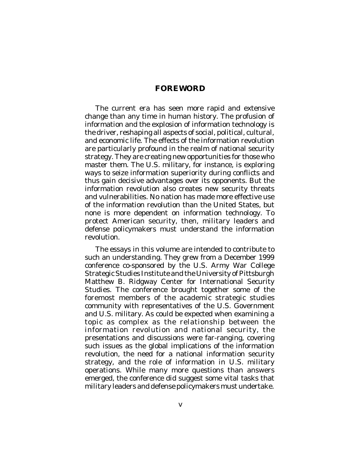# **FOREWORD**

The current era has seen more rapid and extensive change than any time in human history. The profusion of information and the explosion of information technology is the driver, reshaping all aspects of social, political, cultural, and economic life. The effects of the information revolution are particularly profound in the realm of national security strategy. They are creating new opportunities for those who master them. The U.S. military, for instance, is exploring ways to seize information superiority during conflicts and thus gain decisive advantages over its opponents. But the information revolution also creates new security threats and vulnerabilities. No nation has made more effective use of the information revolution than the United States, but none is more dependent on information technology. To protect American security, then, military leaders and defense policymakers must understand the information revolution.

The essays in this volume are intended to contribute to such an understanding. They grew from a December 1999 conference co-sponsored by the U.S. Army War College Strategic Studies Institute and the University of Pittsburgh Matthew B. Ridgway Center for International Security Studies. The conference brought together some of the foremost members of the academic strategic studies community with representatives of the U.S. Government and U.S. military. As could be expected when examining a topic as complex as the relationship between the information revolution and national security, the presentations and discussions were far-ranging, covering such issues as the global implications of the information revolution, the need for a national information security strategy, and the role of information in U.S. military operations. While many more questions than answers emerged, the conference did suggest some vital tasks that military leaders and defense policymakers must undertake.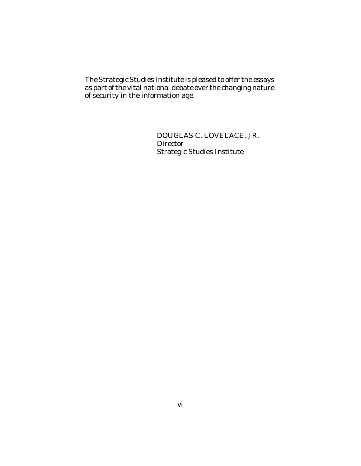The Strategic Studies Institute is pleased to offer the essays as part of the vital national debate over the changing nature of security in the information age.

> DOUGLAS C. LOVELACE, JR. **Director** Strategic Studies Institute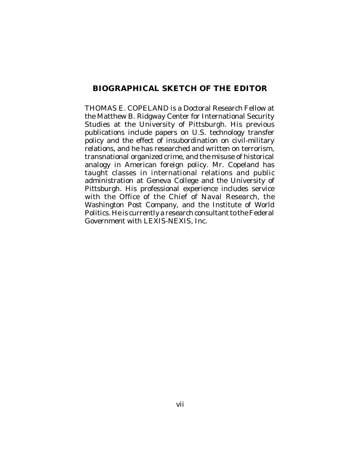# **BIOGRAPHICAL SKETCH OF THE EDITOR**

THOMAS E. COPELAND is a Doctoral Research Fellow at the Matthew B. Ridgway Center for International Security Studies at the University of Pittsburgh. His previous publications include papers on U.S. technology transfer policy and the effect of insubordination on civil-military relations, and he has researched and written on terrorism, transnational organized crime, and the misuse of historical analogy in American foreign policy. Mr. Copeland has taught classes in international relations and public administration at Geneva College and the University of Pittsburgh. His professional experience includes service with the Office of the Chief of Naval Research, the Washington Post Company, and the Institute of World Politics. He is currently a research consultant to the Federal Government with LEXIS-NEXIS, Inc.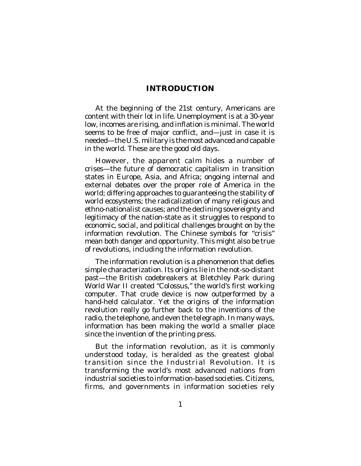# **INTRODUCTION**

At the beginning of the 21st century, Americans are content with their lot in life. Unemployment is at a 30-year low, incomes are rising, and inflation is minimal. The world seems to be free of major conflict, and—just in case it is needed—the U.S. military is the most advanced and capable in the world. These are the good old days.

However, the apparent calm hides a number of crises—the future of democratic capitalism in transition states in Europe, Asia, and Africa; ongoing internal and external debates over the proper role of America in the world; differing approaches to guaranteeing the stability of world ecosystems; the radicalization of many religious and ethno-nationalist causes; and the declining sovereignty and legitimacy of the nation-state as it struggles to respond to economic, social, and political challenges brought on by the information revolution. The Chinese symbols for "crisis" mean both danger and opportunity. This might also be true of revolutions, including the information revolution.

The information revolution is a phenomenon that defies simple characterization. Its origins lie in the not-so-distant past—the British codebreakers at Bletchley Park during World War II created "Colossus," the world's first working computer. That crude device is now outperformed by a hand-held calculator. Yet the origins of the information revolution really go further back to the inventions of the radio, the telephone, and even the telegraph. In many ways, information has been making the world a smaller place since the invention of the printing press.

But the information revolution, as it is commonly understood today, is heralded as the greatest global transition since the Industrial Revolution. It is transforming the world's most advanced nations from industrial societies to information-based societies. Citizens, firms, and governments in information societies rely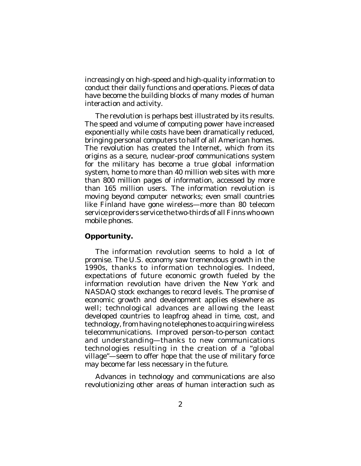increasingly on high-speed and high-quality information to conduct their daily functions and operations. Pieces of data have become the building blocks of many modes of human interaction and activity.

The revolution is perhaps best illustrated by its results. The speed and volume of computing power have increased exponentially while costs have been dramatically reduced, bringing personal computers to half of all American homes. The revolution has created the Internet, which from its origins as a secure, nuclear-proof communications system for the military has become a true global information system, home to more than 40 million web sites with more than 800 million pages of information, accessed by more than 165 million users. The information revolution is moving beyond computer networks; even small countries like Finland have gone wireless—more than 80 telecom service providers service the two-thirds of all Finns who own mobile phones.

## **Opportunity.**

The information revolution seems to hold a lot of promise. The U.S. economy saw tremendous growth in the 1990s, thanks to information technologies. Indeed, expectations of future economic growth fueled by the information revolution have driven the New York and NASDAQ stock exchanges to record levels. The promise of economic growth and development applies elsewhere as well; technological advances are allowing the least developed countries to leapfrog ahead in time, cost, and technology, from having no telephones to acquiring wireless telecommunications. Improved person-to-person contact and understanding—thanks to new communications technologies resulting in the creation of a "global village"—seem to offer hope that the use of military force may become far less necessary in the future.

Advances in technology and communications are also revolutionizing other areas of human interaction such as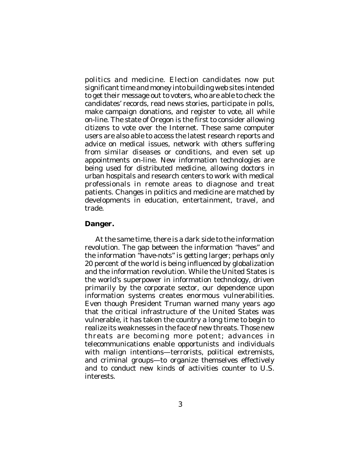politics and medicine. Election candidates now put significant time and money into building web sites intended to get their message out to voters, who are able to check the candidates' records, read news stories, participate in polls, make campaign donations, and register to vote, all while on-line. The state of Oregon is the first to consider allowing citizens to vote over the Internet. These same computer users are also able to access the latest research reports and advice on medical issues, network with others suffering from similar diseases or conditions, and even set up appointments on-line. New information technologies are being used for distributed medicine, allowing doctors in urban hospitals and research centers to work with medical professionals in remote areas to diagnose and treat patients. Changes in politics and medicine are matched by developments in education, entertainment, travel, and trade.

#### **Danger.**

At the same time, there is a dark side to the information revolution. The gap between the information "haves" and the information "have-nots" is getting larger; perhaps only 20 percent of the world is being influenced by globalization and the information revolution. While the United States is the world's superpower in information technology, driven primarily by the corporate sector, our dependence upon information systems creates enormous vulnerabilities. Even though President Truman warned many years ago that the critical infrastructure of the United States was vulnerable, it has taken the country a long time to begin to realize its weaknesses in the face of new threats. Those new threats are becoming more potent; advances in telecommunications enable opportunists and individuals with malign intentions—terrorists, political extremists, and criminal groups—to organize themselves effectively and to conduct new kinds of activities counter to U.S. interests.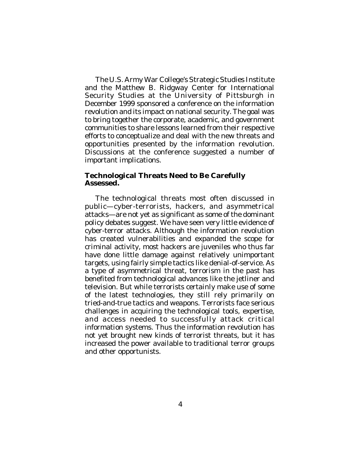The U.S. Army War College's Strategic Studies Institute and the Matthew B. Ridgway Center for International Security Studies at the University of Pittsburgh in December 1999 sponsored a conference on the information revolution and its impact on national security. The goal was to bring together the corporate, academic, and government communities to share lessons learned from their respective efforts to conceptualize and deal with the new threats and opportunities presented by the information revolution. Discussions at the conference suggested a number of important implications.

### **Technological Threats Need to Be Carefully Assessed.**

The technological threats most often discussed in public—cyber-terrorists, hackers, and asymmetrical attacks—are not yet as significant as some of the dominant policy debates suggest. We have seen very little evidence of cyber-terror attacks. Although the information revolution has created vulnerabilities and expanded the scope for criminal activity, most hackers are juveniles who thus far have done little damage against relatively unimportant targets, using fairly simple tactics like denial-of-service. As a type of asymmetrical threat, terrorism in the past has benefited from technological advances like the jetliner and television. But while terrorists certainly make use of some of the latest technologies, they still rely primarily on tried-and-true tactics and weapons. Terrorists face serious challenges in acquiring the technological tools, expertise, and access needed to successfully attack critical information systems. Thus the information revolution has not yet brought new kinds of terrorist threats, but it has increased the power available to traditional terror groups and other opportunists.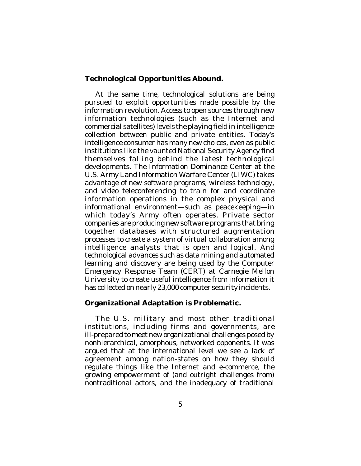# **Technological Opportunities Abound.**

At the same time, technological solutions are being pursued to exploit opportunities made possible by the information revolution. Access to open sources through new information technologies (such as the Internet and commercial satellites) levels the playing field in intelligence collection between public and private entities. Today's intelligence consumer has many new choices, even as public institutions like the vaunted National Security Agency find themselves falling behind the latest technological developments. The Information Dominance Center at the U.S. Army Land Information Warfare Center (LIWC) takes advantage of new software programs, wireless technology, and video teleconferencing to train for and coordinate information operations in the complex physical and informational environment—such as peacekeeping—in which today's Army often operates. Private sector companies are producing new software programs that bring together databases with structured augmentation processes to create a system of virtual collaboration among intelligence analysts that is open and logical. And technological advances such as data mining and automated learning and discovery are being used by the Computer Emergency Response Team (CERT) at Carnegie Mellon University to create useful intelligence from information it has collected on nearly 23,000 computer security incidents.

# **Organizational Adaptation is Problematic.**

The U.S. military and most other traditional institutions, including firms and governments, are ill-prepared to meet new organizational challenges posed by nonhierarchical, amorphous, networked opponents. It was argued that at the international level we see a lack of agreement among nation-states on how they should regulate things like the Internet and e-commerce, the growing empowerment of (and outright challenges from) nontraditional actors, and the inadequacy of traditional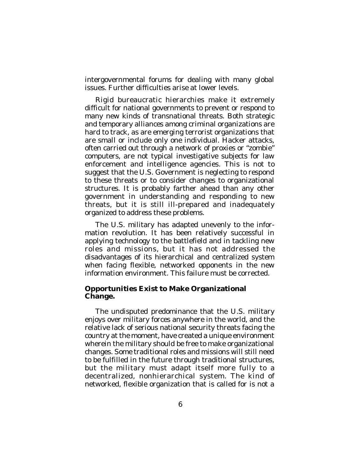intergovernmental forums for dealing with many global issues. Further difficulties arise at lower levels.

Rigid bureaucratic hierarchies make it extremely difficult for national governments to prevent or respond to many new kinds of transnational threats. Both strategic and temporary alliances among criminal organizations are hard to track, as are emerging terrorist organizations that are small or include only one individual. Hacker attacks, often carried out through a network of proxies or "zombie" computers, are not typical investigative subjects for law enforcement and intelligence agencies. This is not to suggest that the U.S. Government is neglecting to respond to these threats or to consider changes to organizational structures. It is probably farther ahead than any other government in understanding and responding to new threats, but it is still ill-prepared and inadequately organized to address these problems.

The U.S. military has adapted unevenly to the information revolution. It has been relatively successful in applying technology to the battlefield and in tackling new roles and missions, but it has not addressed the disadvantages of its hierarchical and centralized system when facing flexible, networked opponents in the new information environment. This failure must be corrected.

#### **Opportunities Exist to Make Organizational Change.**

The undisputed predominance that the U.S. military enjoys over military forces anywhere in the world, and the relative lack of serious national security threats facing the country at the moment, have created a unique environment wherein the military should be free to make organizational changes. Some traditional roles and missions will still need to be fulfilled in the future through traditional structures, but the military must adapt itself more fully to a decentralized, nonhierarchical system. The kind of networked, flexible organization that is called for is not a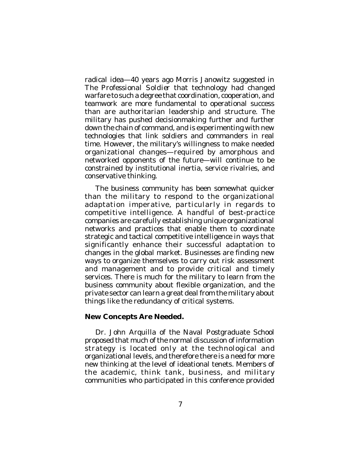radical idea—40 years ago Morris Janowitz suggested in *The Professional Soldier* that technology had changed warfare to such a degree that coordination, cooperation, and teamwork are more fundamental to operational success than are authoritarian leadership and structure. The military has pushed decisionmaking further and further down the chain of command, and is experimenting with new technologies that link soldiers and commanders in real time. However, the military's willingness to make needed organizational changes—required by amorphous and networked opponents of the future—will continue to be constrained by institutional inertia, service rivalries, and conservative thinking.

The business community has been somewhat quicker than the military to respond to the organizational adaptation imperative, particularly in regards to competitive intelligence. A handful of best-practice companies are carefully establishing unique organizational networks and practices that enable them to coordinate strategic and tactical competitive intelligence in ways that significantly enhance their successful adaptation to changes in the global market. Businesses are finding new ways to organize themselves to carry out risk assessment and management and to provide critical and timely services. There is much for the military to learn from the business community about flexible organization, and the private sector can learn a great deal from the military about things like the redundancy of critical systems.

### **New Concepts Are Needed.**

Dr. John Arquilla of the Naval Postgraduate School proposed that much of the normal discussion of information strategy is located only at the technological and organizational levels, and therefore there is a need for more new thinking at the level of ideational tenets. Members of the academic, think tank, business, and military communities who participated in this conference provided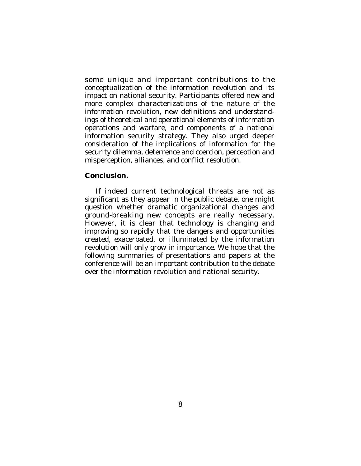some unique and important contributions to the conceptualization of the information revolution and its impact on national security. Participants offered new and more complex characterizations of the nature of the information revolution, new definitions and understandings of theoretical and operational elements of information operations and warfare, and components of a national information security strategy. They also urged deeper consideration of the implications of information for the security dilemma, deterrence and coercion, perception and misperception, alliances, and conflict resolution.

### **Conclusion.**

If indeed current technological threats are not as significant as they appear in the public debate, one might question whether dramatic organizational changes and ground-breaking new concepts are really necessary. However, it is clear that technology is changing and improving so rapidly that the dangers and opportunities created, exacerbated, or illuminated by the information revolution will only grow in importance. We hope that the following summaries of presentations and papers at the conference will be an important contribution to the debate over the information revolution and national security.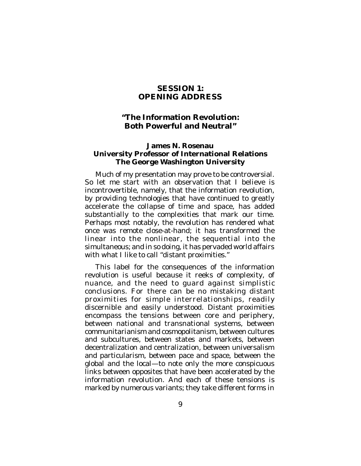## **SESSION 1: OPENING ADDRESS**

# **"The Information Revolution: Both Powerful and Neutral"**

### **James N. Rosenau University Professor of International Relations The George Washington University**

Much of my presentation may prove to be controversial. So let me start with an observation that I believe is incontrovertible, namely, that the information revolution, by providing technologies that have continued to greatly accelerate the collapse of time and space, has added substantially to the complexities that mark our time. Perhaps most notably, the revolution has rendered what once was remote close-at-hand; it has transformed the linear into the nonlinear, the sequential into the simultaneous; and in so doing, it has pervaded world affairs with what I like to call "distant proximities."

This label for the consequences of the information revolution is useful because it reeks of complexity, of nuance, and the need to guard against simplistic conclusions. For there can be no mistaking distant proximities for simple interrelationships, readily discernible and easily understood. Distant proximities encompass the tensions between core and periphery, between national and transnational systems, between communitarianism and cosmopolitanism, between cultures and subcultures, between states and markets, between decentralization and centralization, between universalism and particularism, between pace and space, between the global and the local—to note only the more conspicuous links between opposites that have been accelerated by the information revolution. And each of these tensions is marked by numerous variants; they take different forms in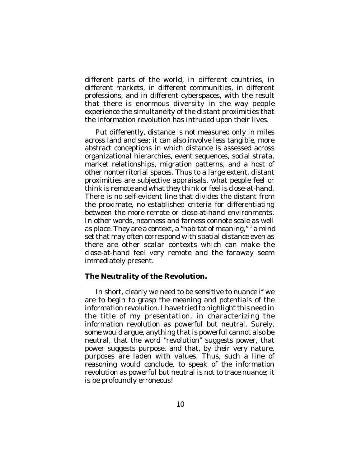different parts of the world, in different countries, in different markets, in different communities, in different professions, and in different cyberspaces, with the result that there is enormous diversity in the way people experience the simultaneity of the distant proximities that the information revolution has intruded upon their lives.

Put differently, distance is not measured only in miles across land and sea; it can also involve less tangible, more abstract conceptions in which distance is assessed across organizational hierarchies, event sequences, social strata, market relationships, migration patterns, and a host of other nonterritorial spaces. Thus to a large extent, distant proximities are subjective appraisals, what people feel or think is remote and what they think or feel is close-at-hand. There is no self-evident line that divides the distant from the proximate, no established criteria for differentiating between the more-remote or close-at-hand environments. In other words, nearness and farness connote scale as well as place. They are a context, a "habitat of meaning," <sup>1</sup> a mind set that may often correspond with spatial distance even as there are other scalar contexts which can make the close-at-hand feel very remote and the faraway seem immediately present.

#### **The Neutrality of the Revolution.**

In short, clearly we need to be sensitive to nuance if we are to begin to grasp the meaning and potentials of the information revolution. I have tried to highlight this need in the title of my presentation, in characterizing the information revolution as powerful but neutral. Surely, some would argue, anything that is powerful cannot also be neutral, that the word "revolution" suggests power, that power suggests purpose, and that, by their very nature, purposes are laden with values. Thus, such a line of reasoning would conclude, to speak of the information revolution as powerful but neutral is not to trace nuance; it is be profoundly erroneous!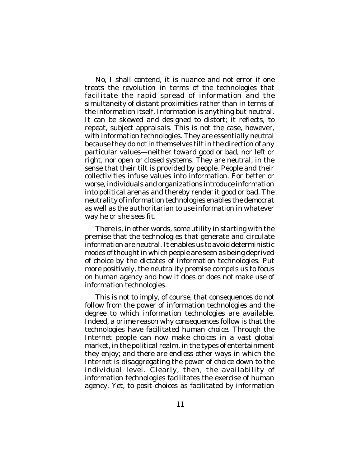No, I shall contend, it is nuance and not error if one treats the revolution in terms of the technologies that facilitate the rapid spread of information and the simultaneity of distant proximities rather than in terms of the information itself. Information is anything but neutral. It can be skewed and designed to distort; it reflects, to repeat, subject appraisals. This is not the case, however, with information technologies. They are essentially neutral because they do not in themselves tilt in the direction of any particular values—neither toward good or bad, nor left or right, nor open or closed systems. They are neutral, in the sense that their tilt is provided by people. People and their collectivities infuse values into information. For better or worse, individuals and organizations introduce information into political arenas and thereby render it good or bad. The neutrality of information technologies enables the democrat as well as the authoritarian to use information in whatever way he or she sees fit.

There is, in other words, some utility in starting with the premise that the technologies that generate and circulate information are neutral. It enables us to avoid deterministic modes of thought in which people are seen as being deprived of choice by the dictates of information technologies. Put more positively, the neutrality premise compels us to focus on human agency and how it does or does not make use of information technologies.

This is not to imply, of course, that consequences do not follow from the power of information technologies and the degree to which information technologies are available. Indeed, a prime reason why consequences follow is that the technologies have facilitated human choice. Through the Internet people can now make choices in a vast global market, in the political realm, in the types of entertainment they enjoy; and there are endless other ways in which the Internet is disaggregating the power of choice down to the individual level. Clearly, then, the availability of information technologies facilitates the exercise of human agency. Yet, to posit choices as facilitated by information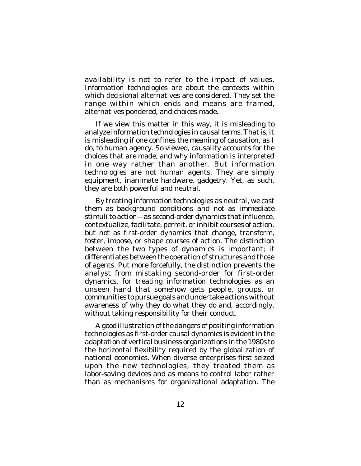availability is not to refer to the impact of values. Information technologies are about the contexts within which decisional alternatives are considered. They set the range within which ends and means are framed, alternatives pondered, and choices made.

If we view this matter in this way, it is misleading to analyze information technologies in causal terms. That is, it is misleading if one confines the meaning of causation, as I do, to human agency. So viewed, causality accounts for the choices that are made, and why information is interpreted in one way rather than another. But information technologies are not human agents. They are simply equipment, inanimate hardware, gadgetry. Yet, as such, they are both powerful and neutral.

By treating information technologies as neutral, we cast them as background conditions and not as immediate stimuli to action—as second-order dynamics that influence, contextualize, facilitate, permit, or inhibit courses of action, but not as first-order dynamics that change, transform, foster, impose, or shape courses of action. The distinction between the two types of dynamics is important; it differentiates between the operation of structures and those of agents. Put more forcefully, the distinction prevents the analyst from mistaking second-order for first-order dynamics, for treating information technologies as an unseen hand that somehow gets people, groups, or communities to pursue goals and undertake actions without awareness of why they do what they do and, accordingly, without taking responsibility for their conduct.

A good illustration of the dangers of positing information technologies as first-order causal dynamics is evident in the adaptation of vertical business organizations in the 1980s to the horizontal flexibility required by the globalization of national economies. When diverse enterprises first seized upon the new technologies, they treated them as labor-saving devices and as means to control labor rather than as mechanisms for organizational adaptation. The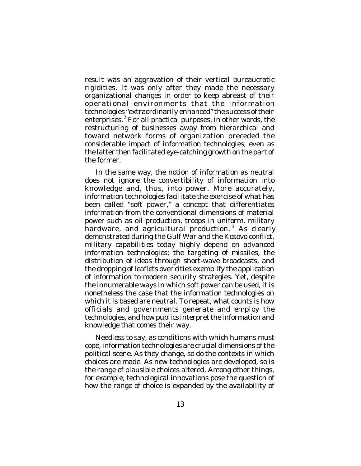result was an aggravation of their vertical bureaucratic rigidities. It was only after they made the necessary organizational changes in order to keep abreast of their operational environments that the information technologies "extraordinarily enhanced" the success of their enterprises.<sup>2</sup> For all practical purposes, in other words, the restructuring of businesses away from hierarchical and toward network forms of organization preceded the considerable impact of information technologies, even as the latter then facilitated eye-catching growth on the part of the former.

In the same way, the notion of information as neutral does not ignore the convertibility of information into knowledge and, thus, into power. More accurately, information technologies facilitate the exercise of what has been called "soft power," a concept that differentiates information from the conventional dimensions of material power such as oil production, troops in uniform, military .<br>hardware, and agricultural production.<sup>3</sup> As clearly demonstrated during the Gulf War and the Kosovo conflict, military capabilities today highly depend on advanced information technologies; the targeting of missiles, the distribution of ideas through short-wave broadcasts, and the dropping of leaflets over cities exemplify the application of information to modern security strategies. Yet, despite the innumerable ways in which soft power can be used, it is nonetheless the case that the information technologies on which it is based are neutral. To repeat, what counts is how officials and governments generate and employ the technologies, and how publics interpret the information and knowledge that comes their way.

Needless to say, as conditions with which humans must cope, information technologies are crucial dimensions of the political scene. As they change, so do the contexts in which choices are made. As new technologies are developed, so is the range of plausible choices altered. Among other things, for example, technological innovations pose the question of how the range of choice is expanded by the availability of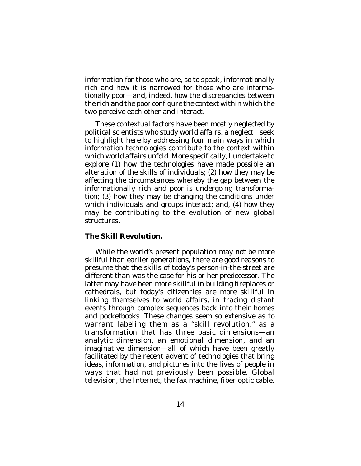information for those who are, so to speak, informationally rich and how it is narrowed for those who are informationally poor—and, indeed, how the discrepancies between the rich and the poor configure the context within which the two perceive each other and interact.

These contextual factors have been mostly neglected by political scientists who study world affairs, a neglect I seek to highlight here by addressing four main ways in which information technologies contribute to the context within which world affairs unfold. More specifically, I undertake to explore (1) how the technologies have made possible an alteration of the skills of individuals; (2) how they may be affecting the circumstances whereby the gap between the informationally rich and poor is undergoing transformation; (3) how they may be changing the conditions under which individuals and groups interact; and, (4) how they may be contributing to the evolution of new global structures.

#### **The Skill Revolution.**

While the world's present population may not be more skillful than earlier generations, there are good reasons to presume that the skills of today's person-in-the-street are different than was the case for his or her predecessor. The latter may have been more skillful in building fireplaces or cathedrals, but today's citizenries are more skillful in linking themselves to world affairs, in tracing distant events through complex sequences back into their homes and pocketbooks. These changes seem so extensive as to warrant labeling them as a "skill revolution," as a transformation that has three basic dimensions—an analytic dimension, an emotional dimension, and an imaginative dimension—all of which have been greatly facilitated by the recent advent of technologies that bring ideas, information, and pictures into the lives of people in ways that had not previously been possible. Global television, the Internet, the fax machine, fiber optic cable,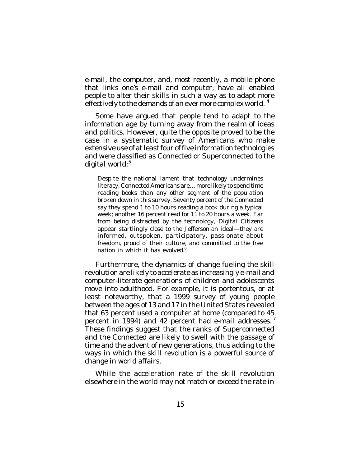e-mail, the computer, and, most recently, a mobile phone that links one's e-mail and computer, have all enabled people to alter their skills in such a way as to adapt more effectively to the demands of an ever more complex world. 4

Some have argued that people tend to adapt to the information age by turning away from the realm of ideas and politics. However, quite the opposite proved to be the case in a systematic survey of Americans who make extensive use of at least four of five information technologies and were classified as Connected or Superconnected to the digital world: $^5$ 

Despite the national lament that technology undermines literacy, Connected Americans are… more likely to spend time reading books than any other segment of the population broken down in this survey. Seventy percent of the Connected say they spend 1 to 10 hours reading a book during a typical week; another 16 percent read for 11 to 20 hours a week. Far from being distracted by the technology, Digital Citizens appear startlingly close to the Jeffersonian ideal—they are informed, outspoken, participatory, passionate about freedom, proud of their culture, and committed to the free nation in which it has evolved.<sup>6</sup>

Furthermore, the dynamics of change fueling the skill revolution are likely to accelerate as increasingly e-mail and computer-literate generations of children and adolescents move into adulthood. For example, it is portentous, or at least noteworthy, that a 1999 survey of young people between the ages of 13 and 17 in the United States revealed that 63 percent used a computer at home (compared to 45 percent in 1994) and 42 percent had e-mail addresses.<sup>7</sup> These findings suggest that the ranks of Superconnected and the Connected are likely to swell with the passage of time and the advent of new generations, thus adding to the ways in which the skill revolution is a powerful source of change in world affairs.

While the acceleration rate of the skill revolution elsewhere in the world may not match or exceed the rate in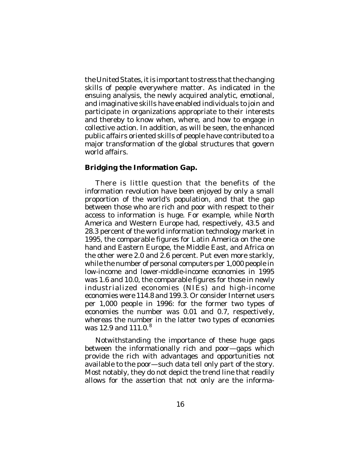the United States, it is important to stress that the changing skills of people everywhere matter. As indicated in the ensuing analysis, the newly acquired analytic, emotional, and imaginative skills have enabled individuals to join and participate in organizations appropriate to their interests and thereby to know when, where, and how to engage in collective action. In addition, as will be seen, the enhanced public affairs oriented skills of people have contributed to a major transformation of the global structures that govern world affairs.

### **Bridging the Information Gap.**

There is little question that the benefits of the information revolution have been enjoyed by only a small proportion of the world's population, and that the gap between those who are rich and poor with respect to their access to information is huge. For example, while North America and Western Europe had, respectively, 43.5 and 28.3 percent of the world information technology market in 1995, the comparable figures for Latin America on the one hand and Eastern Europe, the Middle East, and Africa on the other were 2.0 and 2.6 percent. Put even more starkly, while the number of personal computers per 1,000 people in low-income and lower-middle-income economies in 1995 was 1.6 and 10.0, the comparable figures for those in newly industrialized economies (NIEs) and high-income economies were 114.8 and 199.3. Or consider Internet users per 1,000 people in 1996: for the former two types of economies the number was 0.01 and 0.7, respectively, whereas the number in the latter two types of economies was 12.9 and 111.0. $^{8}$ 

Notwithstanding the importance of these huge gaps between the informationally rich and poor—gaps which provide the rich with advantages and opportunities not available to the poor—such data tell only part of the story. Most notably, they do not depict the trend line that readily allows for the assertion that not only are the informa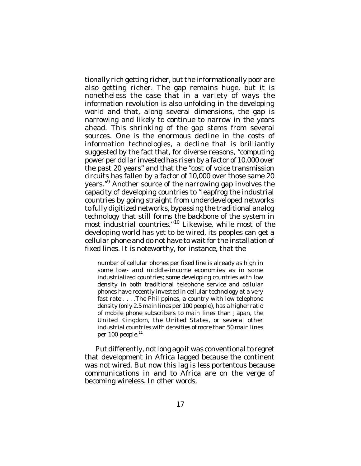tionally rich getting richer, but the informationally poor are also getting richer. The gap remains huge, but it is nonetheless the case that in a variety of ways the information revolution is also unfolding in the developing world and that, along several dimensions, the gap is narrowing and likely to continue to narrow in the years ahead. This shrinking of the gap stems from several sources. One is the enormous decline in the costs of information technologies, a decline that is brilliantly suggested by the fact that, for diverse reasons, "computing power per dollar invested has risen by a factor of 10,000 over the past 20 years" and that the "cost of voice transmission circuits has fallen by a factor of 10,000 over those same 20 years."<sup>9</sup> Another source of the narrowing gap involves the capacity of developing countries to "leapfrog the industrial countries by going straight from underdeveloped networks to fully digitized networks, bypassing the traditional analog technology that still forms the backbone of the system in most industrial countries." 10 Likewise, while most of the developing world has yet to be wired, its peoples can get a cellular phone and do not have to wait for the installation of fixed lines. It is noteworthy, for instance, that the

number of cellular phones per fixed line is already as high in some low- and middle-income economies as in some industrialized countries; some developing countries with low density in both traditional telephone service and cellular phones have recently invested in cellular technology at a very fast rate . . . . The Philippines, a country with low telephone density (only 2.5 main lines per 100 people), has a higher ratio of mobile phone subscribers to main lines than Japan, the United Kingdom, the United States, or several other industrial countries with densities of more than 50 main lines per 100 people.<sup>11</sup>

Put differently, not long ago it was conventional to regret that development in Africa lagged because the continent was not wired. But now this lag is less portentous because communications in and to Africa are on the verge of becoming wireless. In other words,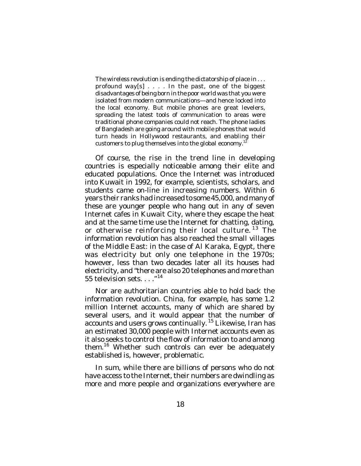The wireless revolution is ending the dictatorship of place in ... profound way[s] . . . . In the past, one of the biggest disadvantages of being born in the poor world was that you were isolated from modern communications—and hence locked into the local economy. But mobile phones are great levelers, spreading the latest tools of communication to areas were traditional phone companies could not reach. The phone ladies of Bangladesh are going around with mobile phones that would turn heads in Hollywood restaurants, and enabling their customers to plug themselves into the global economy.<sup>12</sup>

Of course, the rise in the trend line in developing countries is especially noticeable among their elite and educated populations. Once the Internet was introduced into Kuwait in 1992, for example, scientists, scholars, and students came on-line in increasing numbers. Within 6 years their ranks had increased to some 45,000, and many of these are younger people who hang out in any of seven Internet cafes in Kuwait City, where they escape the heat and at the same time use the Internet for chatting, dating, or otherwise reinforcing their local culture.<sup>13</sup> The information revolution has also reached the small villages of the Middle East: in the case of Al Karaka, Egypt, there was electricity but only one telephone in the 1970s; however, less than two decades later all its houses had electricity, and "there are also 20 telephones and more than 55 television sets. . . ."<sup>14</sup>

Nor are authoritarian countries able to hold back the information revolution. China, for example, has some 1.2 million Internet accounts, many of which are shared by several users, and it would appear that the number of accounts and users grows continually.<sup>15</sup> Likewise, Iran has an estimated 30,000 people with Internet accounts even as it also seeks to control the flow of information to and among them.<sup>16</sup> Whether such controls can ever be adequately established is, however, problematic.

In sum, while there are billions of persons who do not have access to the Internet, their numbers are dwindling as more and more people and organizations everywhere are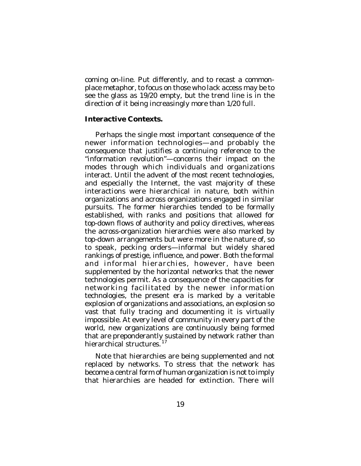coming on-line. Put differently, and to recast a commonplace metaphor, to focus on those who lack access may be to see the glass as 19/20 empty, but the trend line is in the direction of it being increasingly more than 1/20 full.

#### **Interactive Contexts.**

Perhaps the single most important consequence of the newer information technologies—and probably the consequence that justifies a continuing reference to the "information revolution"—concerns their impact on the modes through which individuals and organizations interact. Until the advent of the most recent technologies, and especially the Internet, the vast majority of these interactions were hierarchical in nature, both within organizations and across organizations engaged in similar pursuits. The former hierarchies tended to be formally established, with ranks and positions that allowed for top-down flows of authority and policy directives, whereas the across-organization hierarchies were also marked by top-down arrangements but were more in the nature of, so to speak, pecking orders—informal but widely shared rankings of prestige, influence, and power. Both the formal and informal hierarchies, however, have been supplemented by the horizontal networks that the newer technologies permit. As a consequence of the capacities for networking facilitated by the newer information technologies, the present era is marked by a veritable explosion of organizations and associations, an explosion so vast that fully tracing and documenting it is virtually impossible. At every level of community in every part of the world, new organizations are continuously being formed that are preponderantly sustained by network rather than hierarchical structures.<sup>17</sup>

Note that hierarchies are being supplemented and not replaced by networks. To stress that the network has become a central form of human organization is not to imply that hierarchies are headed for extinction. There will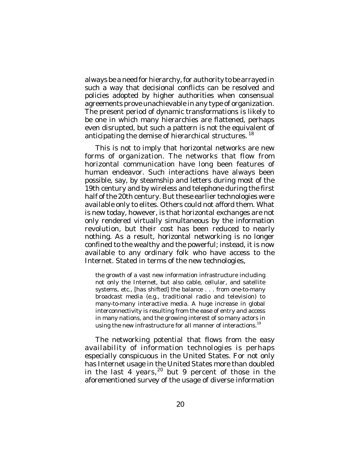always be a need for hierarchy, for authority to be arrayed in such a way that decisional conflicts can be resolved and policies adopted by higher authorities when consensual agreements prove unachievable in any type of organization. The present period of dynamic transformations is likely to be one in which many hierarchies are flattened, perhaps even disrupted, but such a pattern is not the equivalent of anticipating the demise of hierarchical structures. <sup>18</sup>

This is not to imply that horizontal networks are new forms of organization. The networks that flow from horizontal communication have long been features of human endeavor. Such interactions have always been possible, say, by steamship and letters during most of the 19th century and by wireless and telephone during the first half of the 20th century. But these earlier technologies were available only to elites. Others could not afford them. What is new today, however, is that horizontal exchanges are not only rendered virtually simultaneous by the information revolution, but their cost has been reduced to nearly nothing. As a result, horizontal networking is no longer confined to the wealthy and the powerful; instead, it is now available to any ordinary folk who have access to the Internet. Stated in terms of the new technologies,

the growth of a vast new information infrastructure including not only the Internet, but also cable, cellular, and satellite systems, etc., [has shifted] the balance . . . from one-to-many broadcast media (e.g., traditional radio and television) to many-to-many interactive media. A huge increase in global interconnectivity is resulting from the ease of entry and access in many nations, and the growing interest of so many actors in using the new infrastructure for all manner of interactions.<sup>19</sup>

The networking potential that flows from the easy availability of information technologies is perhaps especially conspicuous in the United States. For not only has Internet usage in the United States more than doubled in the last 4 years,  $20$  but 9 percent of those in the aforementioned survey of the usage of diverse information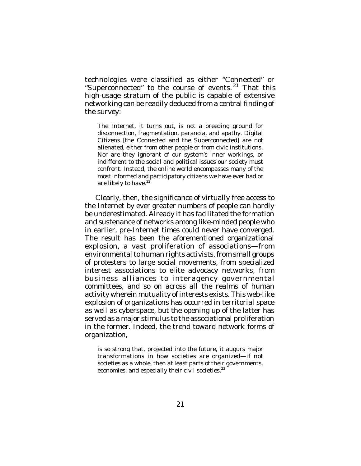technologies were classified as either "Connected" or "Superconnected" to the course of events.<sup>21</sup> That this high-usage stratum of the public is capable of extensive networking can be readily deduced from a central finding of the survey:

The Internet, it turns out, is not a breeding ground for disconnection, fragmentation, paranoia, and apathy. Digital Citizens [the Connected and the Superconnected] are not alienated, either from other people or from civic institutions. Nor are they ignorant of our system's inner workings, or indifferent to the social and political issues our society must confront. Instead, the online world encompasses many of the most informed and participatory citizens we have ever had or are likely to have.<sup>22</sup>

Clearly, then, the significance of virtually free access to the Internet by ever greater numbers of people can hardly be underestimated. Already it has facilitated the formation and sustenance of networks among like-minded people who in earlier, pre-Internet times could never have converged. The result has been the aforementioned organizational explosion, a vast proliferation of associations—from environmental to human rights activists, from small groups of protesters to large social movements, from specialized interest associations to elite advocacy networks, from business alliances to interagency governmental committees, and so on across all the realms of human activity wherein mutuality of interests exists. This web-like explosion of organizations has occurred in territorial space as well as cyberspace, but the opening up of the latter has served as a major stimulus to the associational proliferation in the former. Indeed, the trend toward network forms of organization,

is so strong that, projected into the future, it augurs major transformations in how societies are organized—if not societies as a whole, then at least parts of their governments, economies, and especially their civil societies.<sup>23</sup>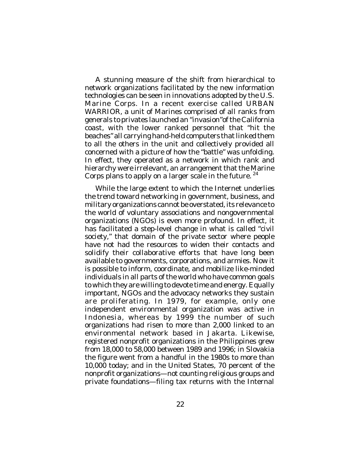A stunning measure of the shift from hierarchical to network organizations facilitated by the new information technologies can be seen in innovations adopted by the U.S. Marine Corps. In a recent exercise called URBAN WARRIOR, a unit of Marines comprised of all ranks from generals to privates launched an "invasion"of the California coast, with the lower ranked personnel that "hit the beaches" all carrying hand-held computers that linked them to all the others in the unit and collectively provided all concerned with a picture of how the "battle" was unfolding. In effect, they operated as a network in which rank and hierarchy were irrelevant, an arrangement that the Marine Corps plans to apply on a larger scale in the future.  $24$ 

While the large extent to which the Internet underlies the trend toward networking in government, business, and military organizations cannot be overstated, its relevance to the world of voluntary associations and nongovernmental organizations (NGOs) is even more profound. In effect, it has facilitated a step-level change in what is called "civil society," that domain of the private sector where people have not had the resources to widen their contacts and solidify their collaborative efforts that have long been available to governments, corporations, and armies. Now it is possible to inform, coordinate, and mobilize like-minded individuals in all parts of the world who have common goals to which they are willing to devote time and energy. Equally important, NGOs and the advocacy networks they sustain are proliferating. In 1979, for example, only one independent environmental organization was active in Indonesia, whereas by 1999 the number of such organizations had risen to more than 2,000 linked to an environmental network based in Jakarta. Likewise, registered nonprofit organizations in the Philippines grew from 18,000 to 58,000 between 1989 and 1996; in Slovakia the figure went from a handful in the 1980s to more than 10,000 today; and in the United States, 70 percent of the nonprofit organizations—not counting religious groups and private foundations—filing tax returns with the Internal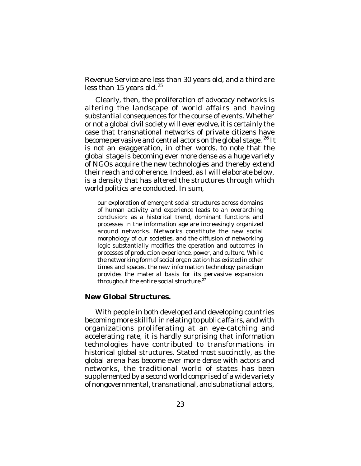Revenue Service are less than 30 years old, and a third are less than 15 years old.<sup>25</sup>

Clearly, then, the proliferation of advocacy networks is altering the landscape of world affairs and having substantial consequences for the course of events. Whether or not a global civil society will ever evolve, it is certainly the case that transnational networks of private citizens have become pervasive and central actors on the global stage. <sup>26</sup> It is not an exaggeration, in other words, to note that the global stage is becoming ever more dense as a huge variety of NGOs acquire the new technologies and thereby extend their reach and coherence. Indeed, as I will elaborate below, is a density that has altered the structures through which world politics are conducted. In sum,

our exploration of emergent social structures across domains of human activity and experience leads to an overarching conclusion: as a historical trend, dominant functions and processes in the information age are increasingly organized around networks. Networks constitute the new social morphology of our societies, and the diffusion of networking logic substantially modifies the operation and outcomes in processes of production experience, power, and culture. While the networking form of social organization has existed in other times and spaces, the new information technology paradigm provides the material basis for its pervasive expansion throughout the entire social structure.<sup>27</sup>

#### **New Global Structures.**

With people in both developed and developing countries becoming more skillful in relating to public affairs, and with organizations proliferating at an eye-catching and accelerating rate, it is hardly surprising that information technologies have contributed to transformations in historical global structures. Stated most succinctly, as the global arena has become ever more dense with actors and networks, the traditional world of states has been supplemented by a second world comprised of a wide variety of nongovernmental, transnational, and subnational actors,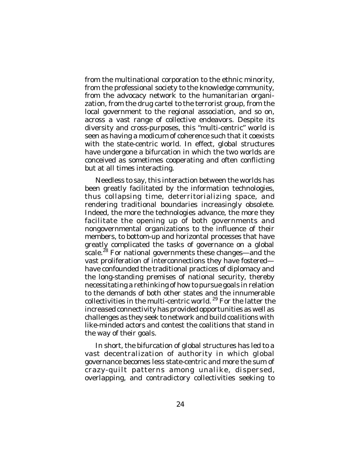from the multinational corporation to the ethnic minority, from the professional society to the knowledge community, from the advocacy network to the humanitarian organization, from the drug cartel to the terrorist group, from the local government to the regional association, and so on, across a vast range of collective endeavors. Despite its diversity and cross-purposes, this "multi-centric" world is seen as having a modicum of coherence such that it coexists with the state-centric world. In effect, global structures have undergone a bifurcation in which the two worlds are conceived as sometimes cooperating and often conflicting but at all times interacting.

Needless to say, this interaction between the worlds has been greatly facilitated by the information technologies, thus collapsing time, deterritorializing space, and rendering traditional boundaries increasingly obsolete. Indeed, the more the technologies advance, the more they facilitate the opening up of both governments and nongovernmental organizations to the influence of their members, to bottom-up and horizontal processes that have greatly complicated the tasks of governance on a global scale.<sup>28</sup> For national governments these changes—and the vast proliferation of interconnections they have fostered have confounded the traditional practices of diplomacy and the long-standing premises of national security, thereby necessitating a rethinking of how to pursue goals in relation to the demands of both other states and the innumerable collectivities in the multi-centric world.  $^{29}$  For the latter the increased connectivity has provided opportunities as well as challenges as they seek to network and build coalitions with like-minded actors and contest the coalitions that stand in the way of their goals.

In short, the bifurcation of global structures has led to a vast decentralization of authority in which global governance becomes less state-centric and more the sum of crazy-quilt patterns among unalike, dispersed, overlapping, and contradictory collectivities seeking to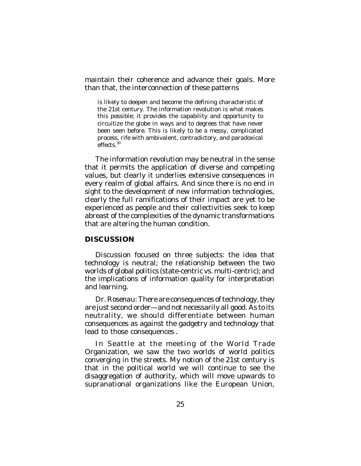maintain their coherence and advance their goals. More than that, the interconnection of these patterns

is likely to deepen and become the defining characteristic of the 21st century. The information revolution is what makes this possible; it provides the capability and opportunity to circuitize the globe in ways and to degrees that have never been seen before. This is likely to be a messy, complicated process, rife with ambivalent, contradictory, and paradoxical effects. 30

The information revolution may be neutral in the sense that it permits the application of diverse and competing values, but clearly it underlies extensive consequences in every realm of global affairs. And since there is no end in sight to the development of new information technologies, clearly the full ramifications of their impact are yet to be experienced as people and their collectivities seek to keep abreast of the complexities of the dynamic transformations that are altering the human condition.

## **DISCUSSION**

Discussion focused on three subjects: the idea that technology is neutral; the relationship between the two worlds of global politics (state-centric vs. multi-centric); and the implications of information quality for interpretation and learning.

*Dr. Rosenau:* There are consequences of technology, they are just second order—and not necessarily all good. As to its neutrality, we should differentiate between human consequences as against the gadgetry and technology that lead to those consequences.

In Seattle at the meeting of the World Trade Organization, we saw the two worlds of world politics converging in the streets. My notion of the 21st century is that in the political world we will continue to see the disaggregation of authority, which will move upwards to supranational organizations like the European Union,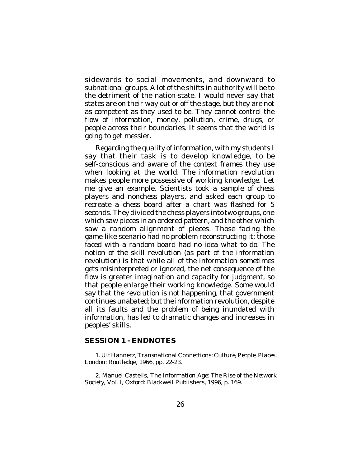sidewards to social movements, and downward to subnational groups. A lot of the shifts in authority will be to the detriment of the nation-state. I would never say that states are on their way out or off the stage, but they are not as competent as they used to be. They cannot control the flow of information, money, pollution, crime, drugs, or people across their boundaries. It seems that the world is going to get messier.

Regarding the quality of information, with my students I say that their task is to develop knowledge, to be self-conscious and aware of the context frames they use when looking at the world. The information revolution makes people more possessive of working knowledge. Let me give an example. Scientists took a sample of chess players and nonchess players, and asked each group to recreate a chess board after a chart was flashed for 5 seconds. They divided the chess players into two groups, one which saw pieces in an ordered pattern, and the other which saw a random alignment of pieces. Those facing the game-like scenario had no problem reconstructing it; those faced with a random board had no idea what to do. The notion of the skill revolution (as part of the information revolution) is that while all of the information sometimes gets misinterpreted or ignored, the net consequence of the flow is greater imagination and capacity for judgment, so that people enlarge their working knowledge. Some would say that the revolution is not happening, that government continues unabated; but the information revolution, despite all its faults and the problem of being inundated with information, has led to dramatic changes and increases in peoples' skills.

### **SESSION 1 - ENDNOTES**

1. Ulf Hannerz,*Transnational Connections: Culture, People, Places,* London: Routledge, 1966, pp. 22-23.

2. Manuel Castells, *The Information Age: The Rise of the Network Society*, Vol. I, Oxford: Blackwell Publishers, 1996, p. 169.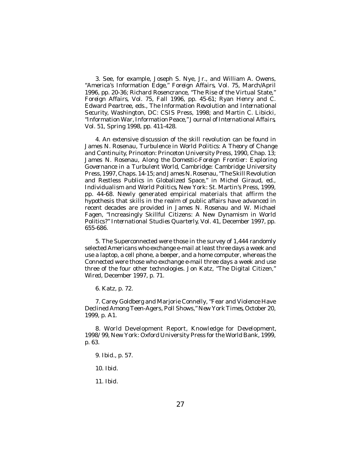3. See, for example, Joseph S. Nye, Jr., and William A. Owens, "America's Information Edge," *Foreign Affairs*, Vol. 75, March/April 1996, pp. 20-36; Richard Rosencrance, "The Rise of the Virtual State," *Foreign Affairs*, Vol. 75, Fall 1996, pp. 45-61; Ryan Henry and C. Edward Peartree, eds., *The Information Revolution and International Security*, Washington, DC: CSIS Press, 1998; and Martin C. Libicki, "Information War, Information Peace," *Journal of International Affairs*, Vol. 51, Spring 1998, pp. 411-428.

4. An extensive discussion of the skill revolution can be found in James N. Rosenau, *Turbulence in World Politics: A Theory of Change and Continuity*, Princeton: Princeton University Press, 1990, Chap. 13; James N. Rosenau, *Along the Domestic-Foreign Frontier: Exploring Governance in a Turbulent World*, Cambridge: Cambridge University Press, 1997, Chaps. 14-15; and James N. Rosenau, "The Skill Revolution and Restless Publics in Globalized Space," in Michel Giraud, ed., *Individualism and World Politics*, New York: St. Martin's Press, 1999, pp. 44-68. Newly generated empirical materials that affirm the hypothesis that skills in the realm of public affairs have advanced in recent decades are provided in James N. Rosenau and W. Michael Fagen, "Increasingly Skillful Citizens: A New Dynamism in World Politics?" *International Studies Quarterly*, Vol. 41, December 1997, pp. 655-686.

5. The Superconnected were those in the survey of 1,444 randomly selected Americans who exchange e-mail at least three days a week and use a laptop, a cell phone, a beeper, and a home computer, whereas the Connected were those who exchange e-mail three days a week and use three of the four other technologies. Jon Katz, "The Digital Citizen," *Wired*, December 1997, p. 71.

6. Katz, p. 72.

7. Carey Goldberg and Marjorie Connelly, "Fear and Violence Have Declined Among Teen-Agers, Poll Shows," *New York Times*, October 20, 1999, p. A1.

8. World Development Report, *Knowledge for Development, 1998/99*, New York: Oxford University Press for the World Bank, 1999, p. 63.

- 9. *Ibid*., p. 57.
- 10. *Ibid*.
- 11. *Ibid*.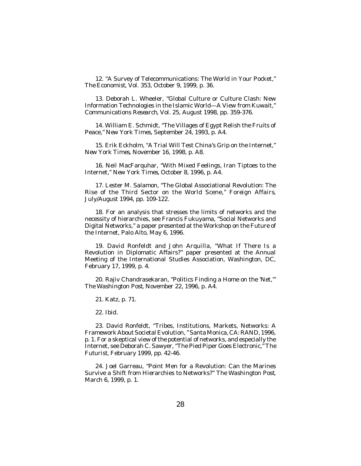12. "A Survey of Telecommunications: The World in Your Pocket," *The Economist*, Vol. 353, October 9, 1999, p. 36.

13. Deborah L. Wheeler, "Global Culture or Culture Clash: New Information Technologies in the Islamic World—A View from Kuwait," *Communications Research*, Vol. 25, August 1998, pp. 359-376.

14. William E. Schmidt, "The Villages of Egypt Relish the Fruits of Peace," *New York Times*, September 24, 1993, p. A4.

15. Erik Eckholm, "A Trial Will Test China's Grip on the Internet," *New York Times*, November 16, 1998, p. A8.

16. Neil MacFarquhar, "With Mixed Feelings, Iran Tiptoes to the Internet," *New York Times*, October 8, 1996, p. A4.

17. Lester M. Salamon, "The Global Associational Revolution: The Rise of the Third Sector on the World Scene," *Foreign Affairs*, July/August 1994, pp. 109-122.

18. For an analysis that stresses the limits of networks and the necessity of hierarchies, see Francis Fukuyama, "Social Networks and Digital Networks," a paper presented at the Workshop on the Future of the Internet, Palo Alto, May 6, 1996.

19. David Ronfeldt and John Arquilla, "What If There Is a Revolution in Diplomatic Affairs?" paper presented at the Annual Meeting of the International Studies Association, Washington, DC, February 17, 1999, p. 4.

20. Rajiv Chandrasekaran, "Politics Finding a Home on the 'Net,'" *The Washington Post*, November 22, 1996, p. A4.

21. Katz, p. 71.

22. *Ibid*.

23. David Ronfeldt, "Tribes, Institutions, Markets, Networks: A Framework About Societal Evolution, " Santa Monica, CA: RAND, 1996, p. 1. For a skeptical view of the potential of networks, and especially the Internet, see Deborah C. Sawyer, "The Pied Piper Goes Electronic," *The Futurist*, February 1999, pp. 42-46.

24. Joel Garreau, "Point Men for a Revolution: Can the Marines Survive a Shift from Hierarchies to Networks?" *The Washington Post*, March 6, 1999, p. 1.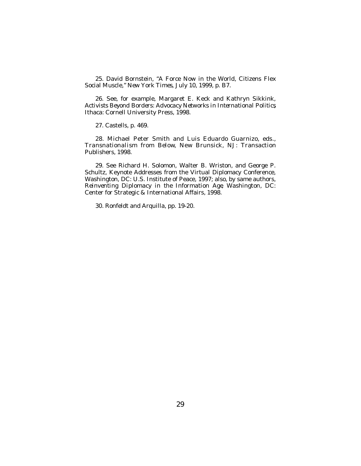25. David Bornstein, "A Force Now in the World, Citizens Flex Social Muscle," *New York Times*, July 10, 1999, p. B7.

26. See, for example, Margaret E. Keck and Kathryn Sikkink, *Activists Beyond Borders: Advocacy Networks in International Politics*, Ithaca: Cornell University Press, 1998.

27. Castells, p. 469.

28. Michael Peter Smith and Luis Eduardo Guarnizo, eds., *Transnationalism from Below*, New Brunsick, NJ: Transaction Publishers, 1998.

29. See Richard H. Solomon, Walter B. Wriston, and George P. Schultz, Keynote Addresses from the Virtual Diplomacy Conference, Washington, DC: U.S. Institute of Peace, 1997; also, by same authors, *Reinventing Diplomacy in the Information Age*, Washington, DC: Center for Strategic & International Affairs, 1998.

30. Ronfeldt and Arquilla, pp. 19-20.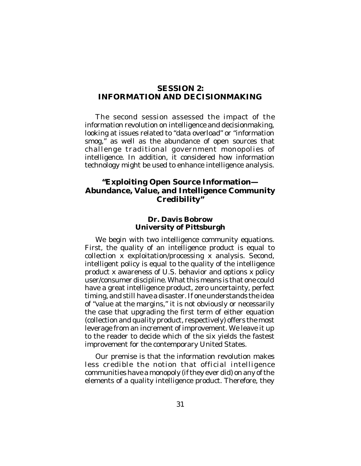# **SESSION 2: INFORMATION AND DECISIONMAKING**

The second session assessed the impact of the information revolution on intelligence and decisionmaking, looking at issues related to "data overload" or "information smog," as well as the abundance of open sources that challenge traditional government monopolies of intelligence. In addition, it considered how information technology might be used to enhance intelligence analysis.

# **"Exploiting Open Source Information— Abundance, Value, and Intelligence Community Credibility"**

#### **Dr. Davis Bobrow University of Pittsburgh**

We begin with two intelligence community equations. First, the quality of an intelligence product is equal to collection x exploitation/processing x analysis. Second, intelligent policy is equal to the quality of the intelligence product x awareness of U.S. behavior and options x policy user/consumer discipline. What this means is that one could have a great intelligence product, zero uncertainty, perfect timing, and still have a disaster. If one understands the idea of "value at the margins," it is not obviously or necessarily the case that upgrading the first term of either equation (collection and quality product, respectively) offers the most leverage from an increment of improvement. We leave it up to the reader to decide which of the six yields the fastest improvement for the contemporary United States.

Our premise is that the information revolution makes less credible the notion that official intelligence communities have a monopoly (if they ever did) on any of the elements of a quality intelligence product. Therefore, they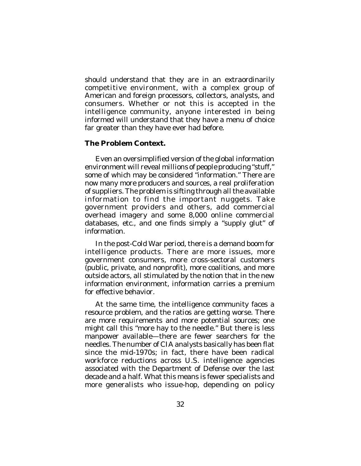should understand that they are in an extraordinarily competitive environment, with a complex group of American and foreign processors, collectors, analysts, and consumers. Whether or not this is accepted in the intelligence community, anyone interested in being informed will understand that they have a menu of choice far greater than they have ever had before.

#### **The Problem Context.**

Even an oversimplified version of the global information environment will reveal millions of people producing "stuff," some of which may be considered "information." There are now many more producers and sources, a real proliferation of suppliers. The problem is sifting through all the available information to find the important nuggets. Take government providers and others, add commercial overhead imagery and some 8,000 online commercial databases, etc., and one finds simply a "supply glut" of information.

In the post-Cold War period, there is a demand boom for intelligence products. There are more issues, more government consumers, more cross-sectoral customers (public, private, and nonprofit), more coalitions, and more outside actors, all stimulated by the notion that in the new information environment, information carries a premium for effective behavior.

At the same time, the intelligence community faces a resource problem, and the ratios are getting worse. There are more requirements and more potential sources; one might call this "more hay to the needle." But there is less manpower available—there are fewer searchers for the needles. The number of CIA analysts basically has been flat since the mid-1970s; in fact, there have been radical workforce reductions across U.S. intelligence agencies associated with the Department of Defense over the last decade and a half. What this means is fewer specialists and more generalists who issue-hop, depending on policy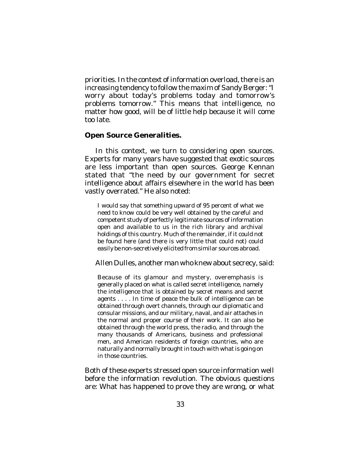priorities. In the context of information overload, there is an increasing tendency to follow the maxim of Sandy Berger: "I worry about today's problems today and tomorrow's problems tomorrow." This means that intelligence, no matter how good, will be of little help because it will come too late.

## **Open Source Generalities.**

In this context, we turn to considering open sources. Experts for many years have suggested that exotic sources are less important than open sources. George Kennan stated that "the need by our government for secret intelligence about affairs elsewhere in the world has been vastly overrated." He also noted:

I would say that something upward of 95 percent of what we need to know could be very well obtained by the careful and competent study of perfectly legitimate sources of information open and available to us in the rich library and archival holdings of this country. Much of the remainder, if it could not be found here (and there is very little that could not) could easily be non-secretively elicited from similar sources abroad.

Allen Dulles, another man who knew about secrecy, said:

Because of its glamour and mystery, overemphasis is generally placed on what is called secret intelligence, namely the intelligence that is obtained by secret means and secret agents . . . . In time of peace the bulk of intelligence can be obtained through overt channels, through our diplomatic and consular missions, and our military, naval, and air attaches in the normal and proper course of their work. It can also be obtained through the world press, the radio, and through the many thousands of Americans, business and professional men, and American residents of foreign countries, who are naturally and normally brought in touch with what is going on in those countries*.*

Both of these experts stressed open source information well before the information revolution. The obvious questions are: What has happened to prove they are wrong, or what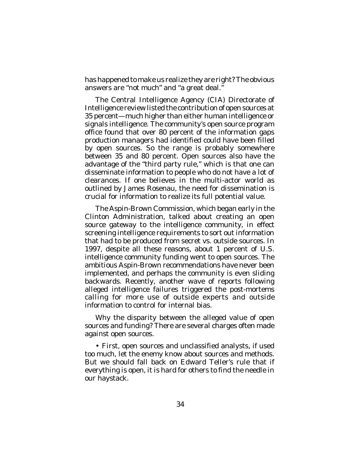has happened to make us realize they are right? The obvious answers are "not much" and "a great deal."

The Central Intelligence Agency (CIA) Directorate of Intelligence review listed the contribution of open sources at 35 percent—much higher than either human intelligence or signals intelligence. The community's open source program office found that over 80 percent of the information gaps production managers had identified could have been filled by open sources. So the range is probably somewhere between 35 and 80 percent. Open sources also have the advantage of the "third party rule," which is that one can disseminate information to people who do not have a lot of clearances. If one believes in the multi-actor world as outlined by James Rosenau, the need for dissemination is crucial for information to realize its full potential value.

The Aspin-Brown Commission, which began early in the Clinton Administration, talked about creating an open source gateway to the intelligence community, in effect screening intelligence requirements to sort out information that had to be produced from secret vs. outside sources. In 1997, despite all these reasons, about 1 percent of U.S. intelligence community funding went to open sources. The ambitious Aspin-Brown recommendations have never been implemented, and perhaps the community is even sliding backwards. Recently, another wave of reports following alleged intelligence failures triggered the post-mortems calling for more use of outside experts and outside information to control for internal bias.

Why the disparity between the alleged value of open sources and funding? There are several charges often made against open sources.

• First, open sources and unclassified analysts, if used too much, let the enemy know about sources and methods. But we should fall back on Edward Teller's rule that if everything is open, it is hard for others to find the needle in our haystack.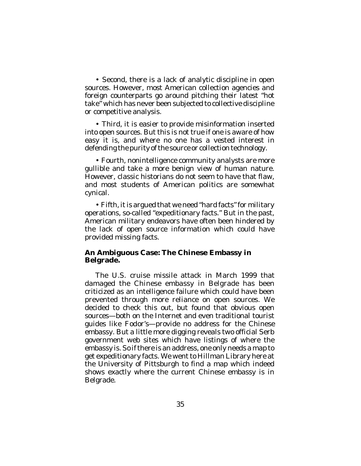• Second, there is a lack of analytic discipline in open sources. However, most American collection agencies and foreign counterparts go around pitching their latest "hot take" which has never been subjected to collective discipline or competitive analysis.

• Third, it is easier to provide misinformation inserted into open sources. But this is not true if one is aware of how easy it is, and where no one has a vested interest in defending the purity of the source or collection technology.

• Fourth, nonintelligence community analysts are more gullible and take a more benign view of human nature. However, classic historians do not seem to have that flaw, and most students of American politics are somewhat cynical.

• Fifth, it is argued that we need "hard facts" for military operations, so-called "expeditionary facts." But in the past, American military endeavors have often been hindered by the lack of open source information which could have provided missing facts.

#### **An Ambiguous Case: The Chinese Embassy in Belgrade.**

The U.S. cruise missile attack in March 1999 that damaged the Chinese embassy in Belgrade has been criticized as an intelligence failure which could have been prevented through more reliance on open sources. We decided to check this out, but found that obvious open sources—both on the Internet and even traditional tourist guides like *Fodor's*—provide no address for the Chinese embassy. But a little more digging reveals two official Serb government web sites which have listings of where the embassy is. So if there is an address, one only needs a map to get expeditionary facts. We went to Hillman Library here at the University of Pittsburgh to find a map which indeed shows exactly where the current Chinese embassy is in Belgrade.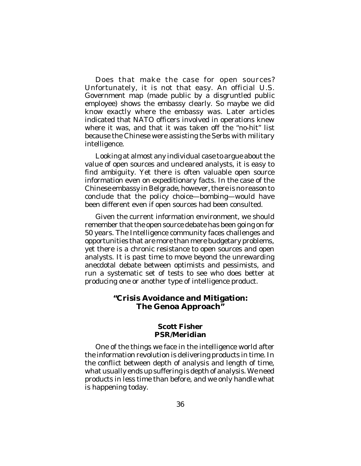Does that make the case for open sources? Unfortunately, it is not that easy. An official U.S. Government map (made public by a disgruntled public employee) shows the embassy clearly. So maybe we did know exactly where the embassy was. Later articles indicated that NATO officers involved in operations knew where it was, and that it was taken off the "no-hit" list because the Chinese were assisting the Serbs with military intelligence.

Looking at almost any individual case to argue about the value of open sources and uncleared analysts, it is easy to find ambiguity. Yet there is often valuable open source information even on expeditionary facts. In the case of the Chinese embassy in Belgrade, however, there is no reason to conclude that the policy choice—bombing—would have been different even if open sources had been consulted.

Given the current information environment, we should remember that the open source debate has been going on for 50 years. The Intelligence community faces challenges and opportunities that are more than mere budgetary problems, yet there is a chronic resistance to open sources and open analysts. It is past time to move beyond the unrewarding anecdotal debate between optimists and pessimists, and run a systematic set of tests to see who does better at producing one or another type of intelligence product.

# **"Crisis Avoidance and Mitigation: The Genoa Approach"**

#### **Scott Fisher PSR/Meridian**

One of the things we face in the intelligence world after the information revolution is delivering products in time. In the conflict between depth of analysis and length of time, what usually ends up suffering is depth of analysis. We need products in less time than before, and we only handle what is happening today.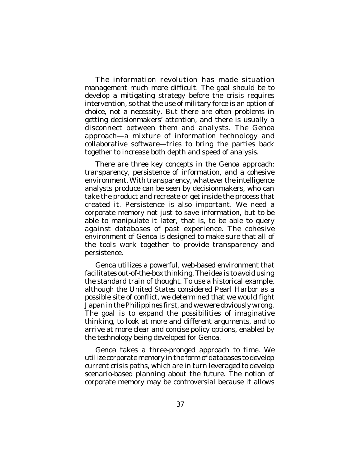The information revolution has made situation management much more difficult. The goal should be to develop a mitigating strategy before the crisis requires intervention, so that the use of military force is an option of choice, not a necessity. But there are often problems in getting decisionmakers' attention, and there is usually a disconnect between them and analysts. The Genoa approach—a mixture of information technology and collaborative software—tries to bring the parties back together to increase both depth and speed of analysis.

There are three key concepts in the Genoa approach: transparency, persistence of information, and a cohesive environment. With transparency, whatever the intelligence analysts produce can be seen by decisionmakers, who can take the product and recreate or get inside the process that created it. Persistence is also important. We need a corporate memory not just to save information, but to be able to manipulate it later, that is, to be able to query against databases of past experience. The cohesive environment of Genoa is designed to make sure that all of the tools work together to provide transparency and persistence.

Genoa utilizes a powerful, web-based environment that facilitates out-of-the-box thinking. The idea is to avoid using the standard train of thought. To use a historical example, although the United States considered Pearl Harbor as a possible site of conflict, we determined that we would fight Japan in the Philippines first, and we were obviously wrong. The goal is to expand the possibilities of imaginative thinking, to look at more and different arguments, and to arrive at more clear and concise policy options, enabled by the technology being developed for Genoa.

Genoa takes a three-pronged approach to time. We utilize corporate memory in the form of databases to develop current crisis paths, which are in turn leveraged to develop scenario-based planning about the future. The notion of corporate memory may be controversial because it allows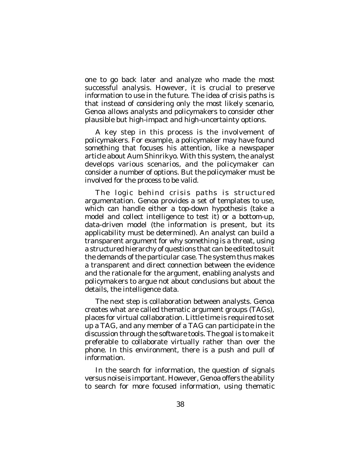one to go back later and analyze who made the most successful analysis. However, it is crucial to preserve information to use in the future. The idea of crisis paths is that instead of considering only the most likely scenario, Genoa allows analysts and policymakers to consider other plausible but high-impact and high-uncertainty options.

A key step in this process is the involvement of policymakers. For example, a policymaker may have found something that focuses his attention, like a newspaper article about Aum Shinrikyo. With this system, the analyst develops various scenarios, and the policymaker can consider a number of options. But the policymaker must be involved for the process to be valid.

The logic behind crisis paths is structured argumentation. Genoa provides a set of templates to use, which can handle either a top-down hypothesis (take a model and collect intelligence to test it) or a bottom-up, data-driven model (the information is present, but its applicability must be determined). An analyst can build a transparent argument for why something is a threat, using a structured hierarchy of questions that can be edited to suit the demands of the particular case. The system thus makes a transparent and direct connection between the evidence and the rationale for the argument, enabling analysts and policymakers to argue not about conclusions but about the details, the intelligence data.

The next step is collaboration between analysts. Genoa creates what are called thematic argument groups (TAGs), places for virtual collaboration. Little time is required to set up a TAG, and any member of a TAG can participate in the discussion through the software tools. The goal is to make it preferable to collaborate virtually rather than over the phone. In this environment, there is a push and pull of information.

In the search for information, the question of signals versus noise is important. However, Genoa offers the ability to search for more focused information, using thematic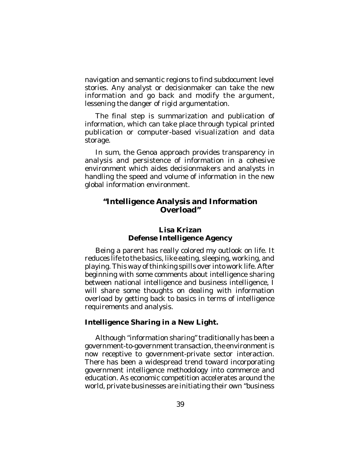navigation and semantic regions to find subdocument level stories. Any analyst or decisionmaker can take the new information and go back and modify the argument, lessening the danger of rigid argumentation.

The final step is summarization and publication of information, which can take place through typical printed publication or computer-based visualization and data storage.

In sum, the Genoa approach provides transparency in analysis and persistence of information in a cohesive environment which aides decisionmakers and analysts in handling the speed and volume of information in the new global information environment.

# **"Intelligence Analysis and Information Overload"**

## **Lisa Krizan Defense Intelligence Agency**

Being a parent has really colored my outlook on life. It reduces life to the basics, like eating, sleeping, working, and playing. This way of thinking spills over into work life. After beginning with some comments about intelligence sharing between national intelligence and business intelligence, I will share some thoughts on dealing with information overload by getting back to basics in terms of intelligence requirements and analysis.

# **Intelligence Sharing in a New Light.**

Although "information sharing" traditionally has been a government-to-government transaction, the environment is now receptive to government-private sector interaction. There has been a widespread trend toward incorporating government intelligence methodology into commerce and education. As economic competition accelerates around the world, private businesses are initiating their own "business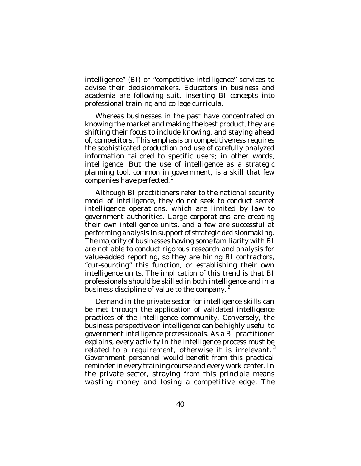intelligence" (BI) or "competitive intelligence" services to advise their decisionmakers. Educators in business and academia are following suit, inserting BI concepts into professional training and college curricula.

Whereas businesses in the past have concentrated on knowing the market and making the best product, they are shifting their focus to include knowing, and staying ahead of, competitors. This emphasis on competitiveness requires the sophisticated production and use of carefully analyzed information tailored to specific users; in other words, intelligence. But the use of intelligence as a strategic planning tool, common in government, is a skill that few .<br>companies have perfected.<sup>1</sup>

Although BI practitioners refer to the national security model of intelligence, they do not seek to conduct secret intelligence operations, which are limited by law to government authorities. Large corporations are creating their own intelligence units, and a few are successful at performing analysis in support of strategic decisionmaking. The majority of businesses having some familiarity with BI are not able to conduct rigorous research and analysis for value-added reporting, so they are hiring BI contractors, "out-sourcing" this function, or establishing their own intelligence units. The implication of this trend is that BI professionals should be skilled in both intelligence and in a business discipline of value to the company.  $^{\tilde{2}}$ 

Demand in the private sector for intelligence skills can be met through the application of validated intelligence practices of the intelligence community. Conversely, the business perspective on intelligence can be highly useful to government intelligence professionals. As a BI practitioner explains, every activity in the intelligence process must be related to a requirement, otherwise it is irrelevant.<sup>3</sup> Government personnel would benefit from this practical reminder in every training course and every work center. In the private sector, straying from this principle means wasting money and losing a competitive edge. The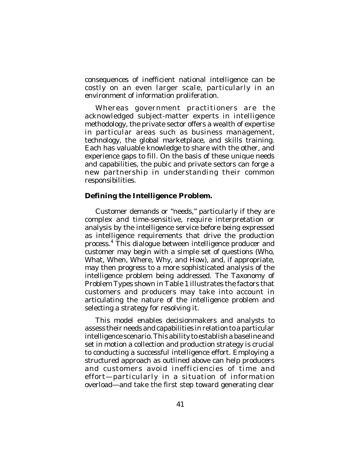consequences of inefficient national intelligence can be costly on an even larger scale, particularly in an environment of information proliferation.

Whereas government practitioners are the acknowledged subject-matter experts in intelligence methodology, the private sector offers a wealth of expertise in particular areas such as business management, technology, the global marketplace, and skills training. Each has valuable knowledge to share with the other, and experience gaps to fill. On the basis of these unique needs and capabilities, the pubic and private sectors can forge a new partnership in understanding their common responsibilities.

# **Defining the Intelligence Problem.**

Customer demands or "needs," particularly if they are complex and time-sensitive, require interpretation or analysis by the intelligence service before being expressed as intelligence requirements that drive the production process. 4 This dialogue between intelligence producer and customer may begin with a simple set of questions (Who, What, When, Where, Why, and How), and, if appropriate, may then progress to a more sophisticated analysis of the intelligence problem being addressed. The Taxonomy of Problem Types shown in Table 1 illustrates the factors that customers and producers may take into account in articulating the nature of the intelligence problem and selecting a strategy for resolving it.

This model enables decisionmakers and analysts to assess their needs and capabilities in relation to a particular intelligence scenario. This ability to establish a baseline and set in motion a collection and production strategy is crucial to conducting a successful intelligence effort. Employing a structured approach as outlined above can help producers and customers avoid inefficiencies of time and effort—particularly in a situation of information overload—and take the first step toward generating clear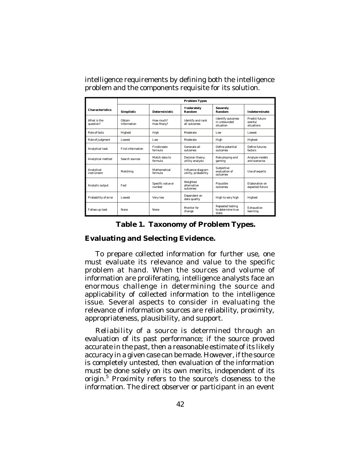intelligence requirements by defining both the intelligence problem and the components requisite for its solution.

|                          | <b>Problem Types</b>  |                             |                                           |                                                |                                         |
|--------------------------|-----------------------|-----------------------------|-------------------------------------------|------------------------------------------------|-----------------------------------------|
| <b>Characteristics</b>   | <b>Simplistic</b>     | <b>Deterministic</b>        | Moderately<br>Random                      | Severely<br>Random                             | Indeterminate                           |
| What is the<br>question? | Obtain<br>information | How much?<br>How Many?      | Identify and rank<br>all outcomes         | Identify outcomes<br>in unbounded<br>situation | Predict future<br>events/<br>situations |
| Role of facts            | Highest               | High                        | Moderate                                  | I ow                                           | I owest                                 |
| Role of judgment         | I owest               | I ow                        | Moderate                                  | High                                           | Highest                                 |
| Analytical task          | Find information      | Find/create<br>formula      | Generate all<br>outcomes                  | Define potential<br>outcomes                   | Define futures<br>factors               |
| Analytical method        | Search sources        | Match data to<br>formula    | Decision theory;<br>utility analysis      | Role playing and<br>qaming                     | Analyze models<br>and scenarios         |
| Analytical<br>instrument | Matching              | Mathematical<br>formula     | Influence diagram<br>utility, probability | Subiective<br>evaluation of<br>outcomes        | Use of experts                          |
| Analytic output          | Fact                  | Specific value or<br>number | Weighted<br>alternative<br>outcomes       | Plausible<br>outcomes                          | Flaboration on<br>expected future       |
| Probability of error     | I owest               | Very low                    | Dependent on<br>data quality              | High to very high                              | Highest                                 |
| Follow-up task           | <b>None</b>           | <b>None</b>                 | Monitor for<br>change                     | Repeated testing<br>to determine true<br>state | <b>Exhaustive</b><br>learning           |

**Table 1. Taxonomy of Problem Types.**

# **Evaluating and Selecting Evidence.**

To prepare collected information for further use, one must evaluate its relevance and value to the specific problem at hand. When the sources and volume of information are proliferating, intelligence analysts face an enormous challenge in determining the source and applicability of collected information to the intelligence issue. Several aspects to consider in evaluating the relevance of information sources are reliability, proximity, appropriateness, plausibility, and support.

*Reliability* of a source is determined through an evaluation of its past performance; if the source proved accurate in the past, then a reasonable estimate of its likely accuracy in a given case can be made. However, if the source is completely untested, then evaluation of the information must be done solely on its own merits, independent of its origin. <sup>5</sup> *Proximity* refers to the source's closeness to the information. The direct observer or participant in an event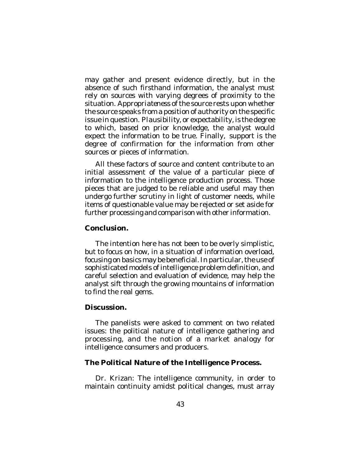may gather and present evidence directly, but in the absence of such firsthand information, the analyst must rely on sources with varying degrees of proximity to the situation. *Appropriateness* of the source rests upon whether the source speaks from a position of authority on the specific issue in question. *Plausibility*, or expectability, is the degree to which, based on prior knowledge, the analyst would expect the information to be true. Finally, *support* is the degree of confirmation for the information from other sources or pieces of information.

All these factors of source and content contribute to an initial assessment of the value of a particular piece of information to the intelligence production process. Those pieces that are judged to be reliable and useful may then undergo further scrutiny in light of customer needs, while items of questionable value may be rejected or set aside for further processing and comparison with other information.

#### **Conclusion.**

The intention here has not been to be overly simplistic, but to focus on how, in a situation of information overload, focusing on basics may be beneficial. In particular, the use of sophisticated models of intelligence problem definition, and careful selection and evaluation of evidence, may help the analyst sift through the growing mountains of information to find the real gems.

#### **Discussion.**

The panelists were asked to comment on two related issues: the political nature of intelligence gathering and processing, and the notion of a market analogy for intelligence consumers and producers.

#### **The Political Nature of the Intelligence Process.**

*Dr. Krizan*: The intelligence community, in order to maintain continuity amidst political changes, must array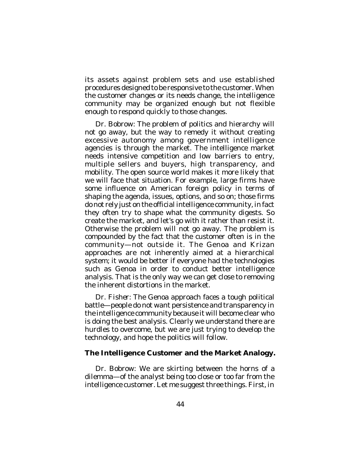its assets against problem sets and use established procedures designed to be responsive to the customer. When the customer changes or its needs change, the intelligence community may be organized enough but not flexible enough to respond quickly to those changes.

*Dr. Bobrow*: The problem of politics and hierarchy will not go away, but the way to remedy it without creating excessive autonomy among government intelligence agencies is through the market. The intelligence market needs intensive competition and low barriers to entry, multiple sellers and buyers, high transparency, and mobility. The open source world makes it more likely that we will face that situation. For example, large firms have some influence on American foreign policy in terms of shaping the agenda, issues, options, and so on; those firms do not rely just on the official intelligence community, in fact they often try to shape what the community digests. So create the market, and let's go with it rather than resist it. Otherwise the problem will not go away. The problem is compounded by the fact that the customer often is in the community—not outside it. The Genoa and Krizan approaches are not inherently aimed at a hierarchical system; it would be better if everyone had the technologies such as Genoa in order to conduct better intelligence analysis. That is the only way we can get close to removing the inherent distortions in the market.

*Dr. Fisher*: The Genoa approach faces a tough political battle—people do not want persistence and transparency in the intelligence community because it will become clear who is doing the best analysis. Clearly we understand there are hurdles to overcome, but we are just trying to develop the technology, and hope the politics will follow.

#### **The Intelligence Customer and the Market Analogy.**

*Dr. Bobrow*: We are skirting between the horns of a dilemma—of the analyst being too close or too far from the intelligence customer. Let me suggest three things. First, in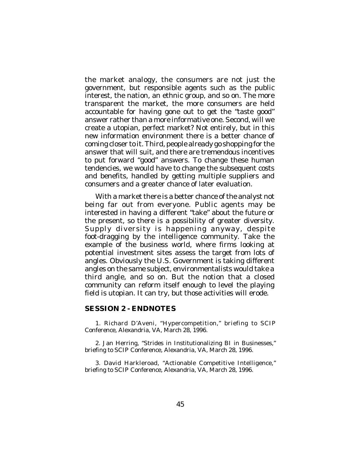the market analogy, the consumers are not just the government, but responsible agents such as the public interest, the nation, an ethnic group, and so on. The more transparent the market, the more consumers are held accountable for having gone out to get the "taste good" answer rather than a more informative one. Second, will we create a utopian, perfect market? Not entirely, but in this new information environment there is a better chance of coming closer to it. Third, people already go shopping for the answer that will suit, and there are tremendous incentives to put forward "good" answers. To change these human tendencies, we would have to change the subsequent costs and benefits, handled by getting multiple suppliers and consumers and a greater chance of later evaluation.

With a market there is a better chance of the analyst not being far out from everyone. Public agents may be interested in having a different "take" about the future or the present, so there is a possibility of greater diversity. Supply diversity is happening anyway, despite foot-dragging by the intelligence community. Take the example of the business world, where firms looking at potential investment sites assess the target from lots of angles. Obviously the U.S. Government is taking different angles on the same subject, environmentalists would take a third angle, and so on. But the notion that a closed community can reform itself enough to level the playing field is utopian. It can try, but those activities will erode.

#### **SESSION 2 - ENDNOTES**

1. Richard D'Aveni, "Hypercompetition," briefing to SCIP Conference, Alexandria, VA, March 28, 1996.

2. Jan Herring, "Strides in Institutionalizing BI in Businesses," briefing to SCIP Conference, Alexandria, VA, March 28, 1996.

3. David Harkleroad, "Actionable Competitive Intelligence," briefing to SCIP Conference, Alexandria, VA, March 28, 1996.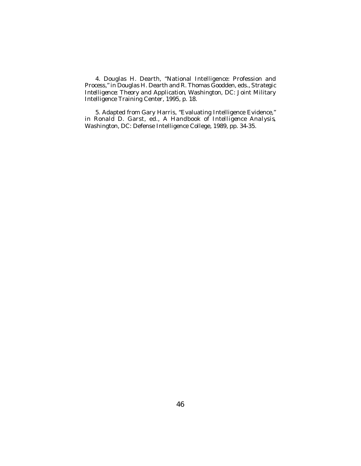4. Douglas H. Dearth, "National Intelligence: Profession and Process," in Douglas H. Dearth and R. Thomas Goodden, eds., *Strategic Intelligence: Theory and Application*, Washington, DC: Joint Military Intelligence Training Center, 1995, p. 18.

5. Adapted from Gary Harris, "Evaluating Intelligence Evidence," in Ronald D. Garst, ed., *A Handbook of Intelligence Analysis*, Washington, DC: Defense Intelligence College, 1989, pp. 34-35.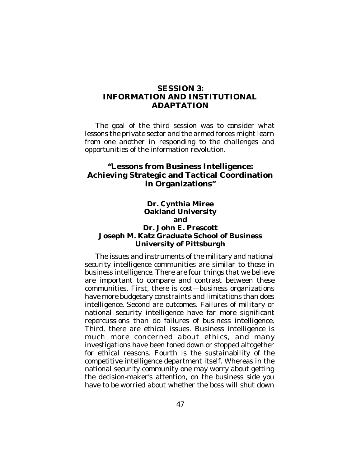# **SESSION 3: INFORMATION AND INSTITUTIONAL ADAPTATION**

The goal of the third session was to consider what lessons the private sector and the armed forces might learn from one another in responding to the challenges and opportunities of the information revolution.

# **"Lessons from Business Intelligence: Achieving Strategic and Tactical Coordination in Organizations"**

## **Dr. Cynthia Miree Oakland University and Dr. John E. Prescott Joseph M. Katz Graduate School of Business University of Pittsburgh**

The issues and instruments of the military and national security intelligence communities are similar to those in business intelligence. There are four things that we believe are important to compare and contrast between these communities. First, there is cost—business organizations have more budgetary constraints and limitations than does intelligence. Second are outcomes. Failures of military or national security intelligence have far more significant repercussions than do failures of business intelligence. Third, there are ethical issues. Business intelligence is much more concerned about ethics, and many investigations have been toned down or stopped altogether for ethical reasons. Fourth is the sustainability of the competitive intelligence department itself. Whereas in the national security community one may worry about getting the decision-maker's attention, on the business side you have to be worried about whether the boss will shut down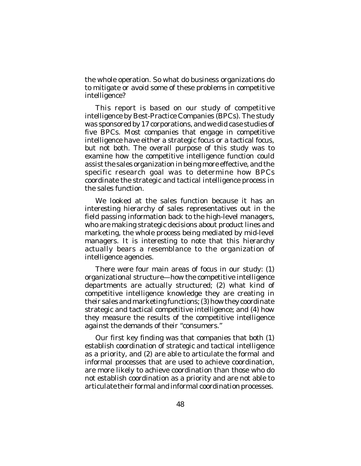the whole operation. So what do business organizations do to mitigate or avoid some of these problems in competitive intelligence?

This report is based on our study of competitive intelligence by Best-Practice Companies (BPCs). The study was sponsored by 17 corporations, and we did case studies of five BPCs. Most companies that engage in competitive intelligence have either a strategic focus or a tactical focus, but not both. The overall purpose of this study was to examine how the competitive intelligence function could assist the sales organization in being more effective, and the specific research goal was to determine how BPCs coordinate the strategic and tactical intelligence process in the sales function.

We looked at the sales function because it has an interesting hierarchy of sales representatives out in the field passing information back to the high-level managers, who are making strategic decisions about product lines and marketing, the whole process being mediated by mid-level managers. It is interesting to note that this hierarchy actually bears a resemblance to the organization of intelligence agencies.

There were four main areas of focus in our study: (1) organizational structure—how the competitive intelligence departments are actually structured; (2) what kind of competitive intelligence knowledge they are creating in their sales and marketing functions; (3) how they coordinate strategic and tactical competitive intelligence; and (4) how they measure the results of the competitive intelligence against the demands of their "consumers."

Our first key finding was that companies that both (1) establish coordination of strategic and tactical intelligence as a priority, and (2) are able to articulate the formal and informal processes that are used to achieve coordination, are more likely to achieve coordination than those who do not establish coordination as a priority and are not able to articulate their formal and informal coordination processes.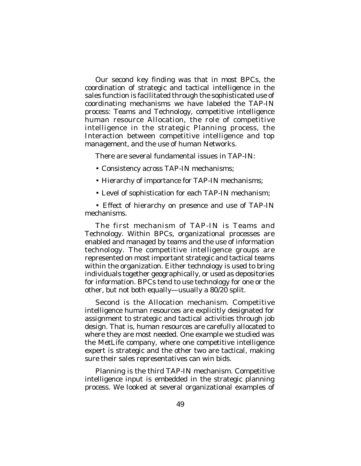Our second key finding was that in most BPCs, the coordination of strategic and tactical intelligence in the sales function is facilitated through the sophisticated use of coordinating mechanisms we have labeled the TAP-IN process: Teams and Technology, competitive intelligence human resource Allocation, the role of competitive intelligence in the strategic Planning process, the Interaction between competitive intelligence and top management, and the use of human Networks.

There are several fundamental issues in TAP-IN:

- Consistency across TAP-IN mechanisms;
- Hierarchy of importance for TAP-IN mechanisms;
- Level of sophistication for each TAP-IN mechanism;

• Effect of hierarchy on presence and use of TAP-IN mechanisms.

The first mechanism of TAP-IN is Teams and Technology. Within BPCs, organizational processes are enabled and managed by teams and the use of information technology. The competitive intelligence groups are represented on most important strategic and tactical teams within the organization. Either technology is used to bring individuals together geographically, or used as depositories for information. BPCs tend to use technology for one or the other, but not both equally—usually a 80/20 split.

Second is the Allocation mechanism. Competitive intelligence human resources are explicitly designated for assignment to strategic and tactical activities through job design. That is, human resources are carefully allocated to where they are most needed. One example we studied was the MetLife company, where one competitive intelligence expert is strategic and the other two are tactical, making sure their sales representatives can win bids.

Planning is the third TAP-IN mechanism. Competitive intelligence input is embedded in the strategic planning process. We looked at several organizational examples of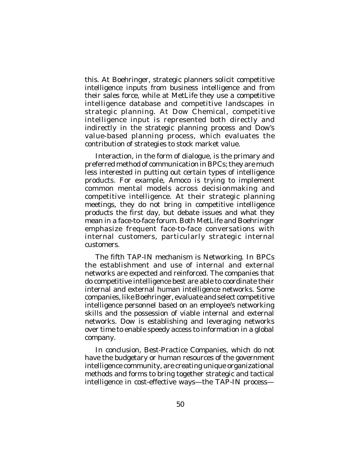this. At Boehringer, strategic planners solicit competitive intelligence inputs from business intelligence and from their sales force, while at MetLife they use a competitive intelligence database and competitive landscapes in strategic planning. At Dow Chemical, competitive intelligence input is represented both directly and indirectly in the strategic planning process and Dow's value-based planning process, which evaluates the contribution of strategies to stock market value.

Interaction, in the form of dialogue, is the primary and preferred method of communication in BPCs; they are much less interested in putting out certain types of intelligence products. For example, Amoco is trying to implement common mental models across decisionmaking and competitive intelligence. At their strategic planning meetings, they do not bring in competitive intelligence products the first day, but debate issues and what they mean in a face-to-face forum. Both MetLife and Boehringer emphasize frequent face-to-face conversations with internal customers, particularly strategic internal customers.

The fifth TAP-IN mechanism is Networking. In BPCs the establishment and use of internal and external networks are expected and reinforced. The companies that do competitive intelligence best are able to coordinate their internal and external human intelligence networks. Some companies, like Boehringer, evaluate and select competitive intelligence personnel based on an employee's networking skills and the possession of viable internal and external networks. Dow is establishing and leveraging networks over time to enable speedy access to information in a global company.

In conclusion, Best-Practice Companies, which do not have the budgetary or human resources of the government intelligence community, are creating unique organizational methods and forms to bring together strategic and tactical intelligence in cost-effective ways—the TAP-IN process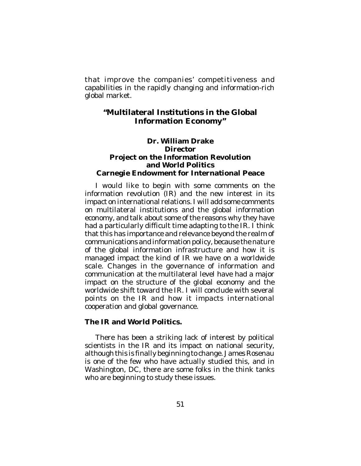that improve the companies' competitiveness and capabilities in the rapidly changing and information-rich global market.

# **"Multilateral Institutions in the Global Information Economy"**

## **Dr. William Drake Director Project on the Information Revolution and World Politics Carnegie Endowment for International Peace**

I would like to begin with some comments on the information revolution (IR) and the new interest in its impact on international relations. I will add some comments on multilateral institutions and the global information economy, and talk about some of the reasons why they have had a particularly difficult time adapting to the IR. I think that this has importance and relevance beyond the realm of communications and information policy, because the nature of the global information infrastructure and how it is managed impact the kind of IR we have on a worldwide scale. Changes in the governance of information and communication at the multilateral level have had a major impact on the structure of the global economy and the worldwide shift toward the IR. I will conclude with several points on the IR and how it impacts international cooperation and global governance.

#### **The IR and World Politics.**

There has been a striking lack of interest by political scientists in the IR and its impact on national security, although this is finally beginning to change. James Rosenau is one of the few who have actually studied this, and in Washington, DC, there are some folks in the think tanks who are beginning to study these issues.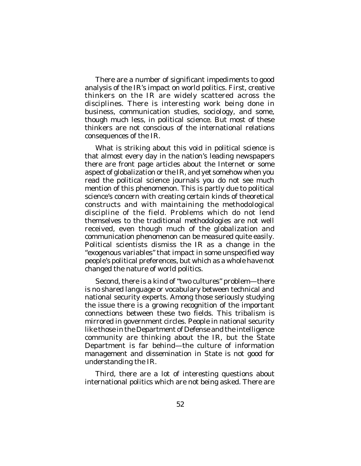There are a number of significant impediments to good analysis of the IR's impact on world politics. First, creative thinkers on the IR are widely scattered across the disciplines. There is interesting work being done in business, communication studies, sociology, and some, though much less, in political science. But most of these thinkers are not conscious of the international relations consequences of the IR.

What is striking about this void in political science is that almost every day in the nation's leading newspapers there are front page articles about the Internet or some aspect of globalization or the IR, and yet somehow when you read the political science journals you do not see much mention of this phenomenon. This is partly due to political science's concern with creating certain kinds of theoretical constructs and with maintaining the methodological discipline of the field. Problems which do not lend themselves to the traditional methodologies are not well received, even though much of the globalization and communication phenomenon can be measured quite easily. Political scientists dismiss the IR as a change in the "exogenous variables" that impact in some unspecified way people's political preferences, but which as a whole have not changed the nature of world politics.

Second, there is a kind of "two cultures" problem—there is no shared language or vocabulary between technical and national security experts. Among those seriously studying the issue there is a growing recognition of the important connections between these two fields. This tribalism is mirrored in government circles. People in national security like those in the Department of Defense and the intelligence community are thinking about the IR, but the State Department is far behind—the culture of information management and dissemination in State is not good for understanding the IR.

Third, there are a lot of interesting questions about international politics which are not being asked. There are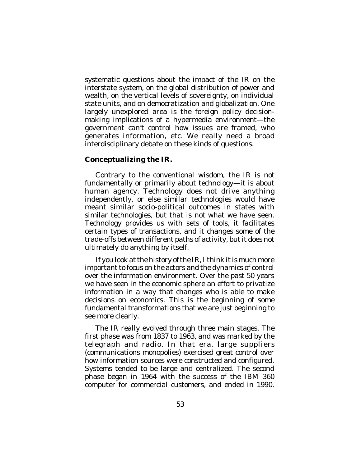systematic questions about the impact of the IR on the interstate system, on the global distribution of power and wealth, on the vertical levels of sovereignty, on individual state units, and on democratization and globalization. One largely unexplored area is the foreign policy decisionmaking implications of a hypermedia environment—the government can't control how issues are framed, who generates information, etc. We really need a broad interdisciplinary debate on these kinds of questions.

## **Conceptualizing the IR.**

Contrary to the conventional wisdom, the IR is not fundamentally or primarily about technology—it is about human agency. Technology does not drive anything independently, or else similar technologies would have meant similar socio-political outcomes in states with similar technologies, but that is not what we have seen. Technology provides us with sets of tools, it facilitates certain types of transactions, and it changes some of the trade-offs between different paths of activity, but it does not ultimately do anything by itself.

If you look at the history of the IR, I think it is much more important to focus on the actors and the dynamics of control over the information environment. Over the past 50 years we have seen in the economic sphere an effort to privatize information in a way that changes who is able to make decisions on economics. This is the beginning of some fundamental transformations that we are just beginning to see more clearly.

The IR really evolved through three main stages. The first phase was from 1837 to 1963, and was marked by the telegraph and radio. In that era, large suppliers (communications monopolies) exercised great control over how information sources were constructed and configured. Systems tended to be large and centralized. The second phase began in 1964 with the success of the IBM 360 computer for commercial customers, and ended in 1990.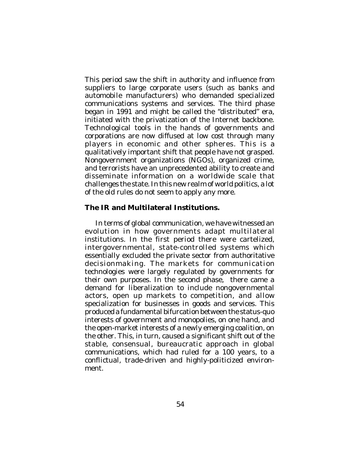This period saw the shift in authority and influence from suppliers to large corporate users (such as banks and automobile manufacturers) who demanded specialized communications systems and services. The third phase began in 1991 and might be called the "distributed" era, initiated with the privatization of the Internet backbone. Technological tools in the hands of governments and corporations are now diffused at low cost through many players in economic and other spheres. This is a qualitatively important shift that people have not grasped. Nongovernment organizations (NGOs), organized crime, and terrorists have an unprecedented ability to create and disseminate information on a worldwide scale that challenges the state. In this new realm of world politics, a lot of the old rules do not seem to apply any more.

# **The IR and Multilateral Institutions.**

In terms of global communication, we have witnessed an evolution in how governments adapt multilateral institutions. In the first period there were cartelized, intergovernmental, state-controlled systems which essentially excluded the private sector from authoritative decisionmaking. The markets for communication technologies were largely regulated by governments for their own purposes. In the second phase, there came a demand for liberalization to include nongovernmental actors, open up markets to competition, and allow specialization for businesses in goods and services. This produced a fundamental bifurcation between the status-quo interests of government and monopolies, on one hand, and the open-market interests of a newly emerging coalition, on the other. This, in turn, caused a significant shift out of the stable, consensual, bureaucratic approach in global communications, which had ruled for a 100 years, to a conflictual, trade-driven and highly-politicized environment.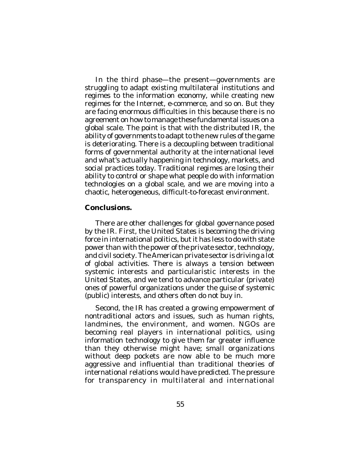In the third phase—the present—governments are struggling to adapt existing multilateral institutions and regimes to the information economy, while creating new regimes for the Internet, e-commerce, and so on. But they are facing enormous difficulties in this because there is no agreement on how to manage these fundamental issues on a global scale. The point is that with the distributed IR, the ability of governments to adapt to the new rules of the game is deteriorating. There is a decoupling between traditional forms of governmental authority at the international level and what's actually happening in technology, markets, and social practices today. Traditional regimes are losing their ability to control or shape what people do with information technologies on a global scale, and we are moving into a chaotic, heterogeneous, difficult-to-forecast environment.

#### **Conclusions.**

There are other challenges for global governance posed by the IR. First, the United States is becoming the driving force in international politics, but it has less to do with state power than with the power of the private sector, technology, and civil society. The American private sector is driving a lot of global activities. There is always a tension between systemic interests and particularistic interests in the United States, and we tend to advance particular (private) ones of powerful organizations under the guise of systemic (public) interests, and others often do not buy in.

Second, the IR has created a growing empowerment of nontraditional actors and issues, such as human rights, landmines, the environment, and women. NGOs are becoming real players in international politics, using information technology to give them far greater influence than they otherwise might have; small organizations without deep pockets are now able to be much more aggressive and influential than traditional theories of international relations would have predicted. The pressure for transparency in multilateral and international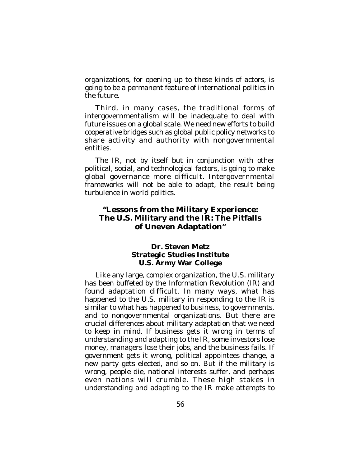organizations, for opening up to these kinds of actors, is going to be a permanent feature of international politics in the future.

Third, in many cases, the traditional forms of intergovernmentalism will be inadequate to deal with future issues on a global scale. We need new efforts to build cooperative bridges such as global public policy networks to share activity and authority with nongovernmental entities.

The IR, not by itself but in conjunction with other political, social, and technological factors, is going to make global governance more difficult. Intergovernmental frameworks will not be able to adapt, the result being turbulence in world politics.

# **"Lessons from the Military Experience: The U.S. Military and the IR: The Pitfalls of Uneven Adaptation"**

#### **Dr. Steven Metz Strategic Studies Institute U.S. Army War College**

Like any large, complex organization, the U.S. military has been buffeted by the Information Revolution (IR) and found adaptation difficult. In many ways, what has happened to the U.S. military in responding to the IR is similar to what has happened to business, to governments, and to nongovernmental organizations. But there are crucial differences about military adaptation that we need to keep in mind. If business gets it wrong in terms of understanding and adapting to the IR, some investors lose money, managers lose their jobs, and the business fails. If government gets it wrong, political appointees change, a new party gets elected, and so on. But if the military is wrong, people die, national interests suffer, and perhaps even nations will crumble. These high stakes in understanding and adapting to the IR make attempts to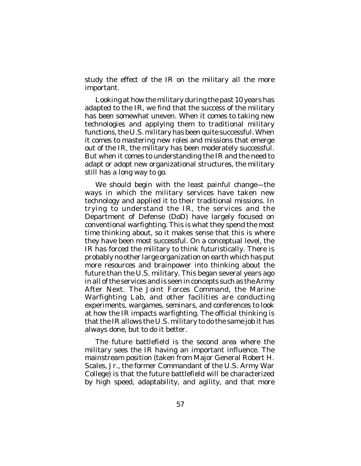study the effect of the IR on the military all the more important.

Looking at how the military during the past 10 years has adapted to the IR, we find that the success of the military has been somewhat uneven. When it comes to taking new technologies and applying them to traditional military functions, the U.S. military has been quite successful. When it comes to mastering new roles and missions that emerge out of the IR, the military has been moderately successful. But when it comes to understanding the IR and the need to adapt or adopt new organizational structures, the military still has a long way to go.

We should begin with the least painful change—the ways in which the military services have taken new technology and applied it to their traditional missions. In trying to understand the IR, the services and the Department of Defense (DoD) have largely focused on conventional warfighting. This is what they spend the most time thinking about, so it makes sense that this is where they have been most successful. On a conceptual level, the IR has forced the military to think futuristically. There is probably no other large organization on earth which has put more resources and brainpower into thinking about the future than the U.S. military. This began several years ago in all of the services and is seen in concepts such as the Army After Next. The Joint Forces Command, the Marine Warfighting Lab, and other facilities are conducting experiments, wargames, seminars, and conferences to look at how the IR impacts warfighting. The official thinking is that the IR allows the U.S. military to do the same job it has always done, but to do it better.

The future battlefield is the second area where the military sees the IR having an important influence. The mainstream position (taken from Major General Robert H. Scales, Jr., the former Commandant of the U.S. Army War College) is that the future battlefield will be characterized by high speed, adaptability, and agility, and that more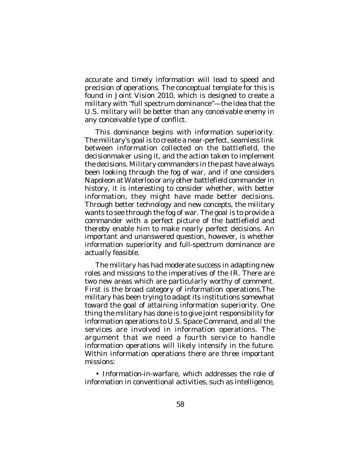accurate and timely information will lead to speed and precision of operations. The conceptual template for this is found in Joint Vision 2010, which is designed to create a military with "full spectrum dominance"—the idea that the U.S. military will be better than any conceivable enemy in any conceivable type of conflict.

This dominance begins with information superiority. The military's goal is to create a near-perfect, seamless link between information collected on the battlefield, the decisionmaker using it, and the action taken to implement the decisions. Military commanders in the past have always been looking through the fog of war, and if one considers Napoleon at Waterloo or any other battlefield commander in history, it is interesting to consider whether, with better information, they might have made better decisions. Through better technology and new concepts, the military wants to see through the fog of war. The goal is to provide a commander with a perfect picture of the battlefield and thereby enable him to make nearly perfect decisions. An important and unanswered question, however, is whether information superiority and full-spectrum dominance are actually feasible.

The military has had moderate success in adapting new roles and missions to the imperatives of the IR. There are two new areas which are particularly worthy of comment. First is the broad category of information operations.The military has been trying to adapt its institutions somewhat toward the goal of attaining information superiority. One thing the military has done is to give joint responsibility for information operations to U.S. Space Command, and all the services are involved in information operations. The argument that we need a fourth service to handle information operations will likely intensify in the future. Within information operations there are three important missions:

• Information-in-warfare, which addresses the role of information in conventional activities, such as intelligence,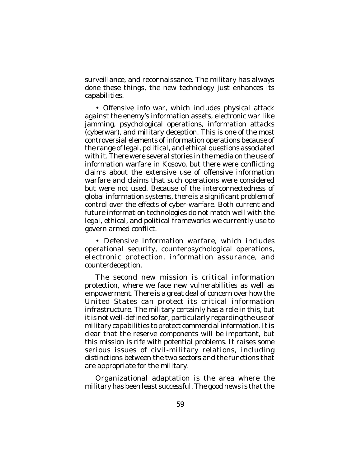surveillance, and reconnaissance. The military has always done these things, the new technology just enhances its capabilities.

• Offensive info war, which includes physical attack against the enemy's information assets, electronic war like jamming, psychological operations, information attacks (cyberwar), and military deception. This is one of the most controversial elements of information operations because of the range of legal, political, and ethical questions associated with it. There were several stories in the media on the use of information warfare in Kosovo, but there were conflicting claims about the extensive use of offensive information warfare and claims that such operations were considered but were not used. Because of the interconnectedness of global information systems, there is a significant problem of control over the effects of cyber-warfare. Both current and future information technologies do not match well with the legal, ethical, and political frameworks we currently use to govern armed conflict.

• Defensive information warfare, which includes operational security, counterpsychological operations, electronic protection, information assurance, and counterdeception.

The second new mission is critical information protection, where we face new vulnerabilities as well as empowerment. There is a great deal of concern over how the United States can protect its critical information infrastructure. The military certainly has a role in this, but it is not well-defined so far, particularly regarding the use of military capabilities to protect commercial information. It is clear that the reserve components will be important, but this mission is rife with potential problems. It raises some serious issues of civil-military relations, including distinctions between the two sectors and the functions that are appropriate for the military.

Organizational adaptation is the area where the military has been least successful. The good news is that the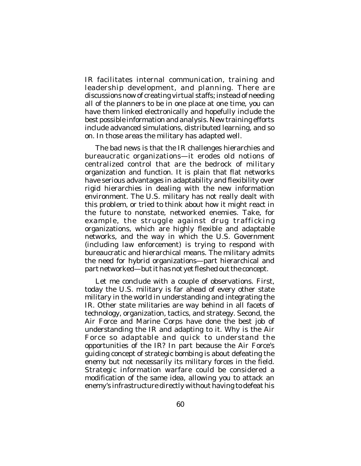IR facilitates internal communication, training and leadership development, and planning. There are discussions now of creating virtual staffs; instead of needing all of the planners to be in one place at one time, you can have them linked electronically and hopefully include the best possible information and analysis. New training efforts include advanced simulations, distributed learning, and so on. In those areas the military has adapted well.

The bad news is that the IR challenges hierarchies and bureaucratic organizations—it erodes old notions of centralized control that are the bedrock of military organization and function. It is plain that flat networks have serious advantages in adaptability and flexibility over rigid hierarchies in dealing with the new information environment. The U.S. military has not really dealt with this problem, or tried to think about how it might react in the future to nonstate, networked enemies. Take, for example, the struggle against drug trafficking organizations, which are highly flexible and adaptable networks, and the way in which the U.S. Government (including law enforcement) is trying to respond with bureaucratic and hierarchical means. The military admits the need for hybrid organizations—part hierarchical and part networked—but it has not yet fleshed out the concept.

Let me conclude with a couple of observations. First, today the U.S. military is far ahead of every other state military in the world in understanding and integrating the IR. Other state militaries are way behind in all facets of technology, organization, tactics, and strategy. Second, the Air Force and Marine Corps have done the best job of understanding the IR and adapting to it. Why is the Air Force so adaptable and quick to understand the opportunities of the IR? In part because the Air Force's guiding concept of strategic bombing is about defeating the enemy but not necessarily its military forces in the field. Strategic information warfare could be considered a modification of the same idea, allowing you to attack an enemy's infrastructure directly without having to defeat his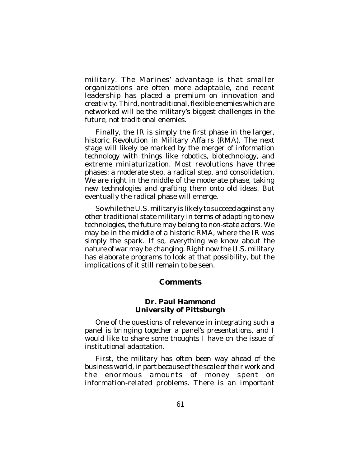military. The Marines' advantage is that smaller organizations are often more adaptable, and recent leadership has placed a premium on innovation and creativity. Third, nontraditional, flexible enemies which are networked will be the military's biggest challenges in the future, not traditional enemies.

Finally, the IR is simply the first phase in the larger, historic Revolution in Military Affairs (RMA). The next stage will likely be marked by the merger of information technology with things like robotics, biotechnology, and extreme miniaturization. Most revolutions have three phases: a moderate step, a radical step, and consolidation. We are right in the middle of the moderate phase, taking new technologies and grafting them onto old ideas. But eventually the radical phase will emerge.

So while the U.S. military is likely to succeed against any other traditional state military in terms of adapting to new technologies, the future may belong to non-state actors. We may be in the middle of a historic RMA, where the IR was simply the spark. If so, everything we know about the nature of war may be changing. Right now the U.S. military has elaborate programs to look at that possibility, but the implications of it still remain to be seen.

# **Comments**

#### **Dr. Paul Hammond University of Pittsburgh**

One of the questions of relevance in integrating such a panel is bringing together a panel's presentations, and I would like to share some thoughts I have on the issue of institutional adaptation.

First, the military has often been way ahead of the business world, in part because of the scale of their work and the enormous amounts of money spent on information-related problems. There is an important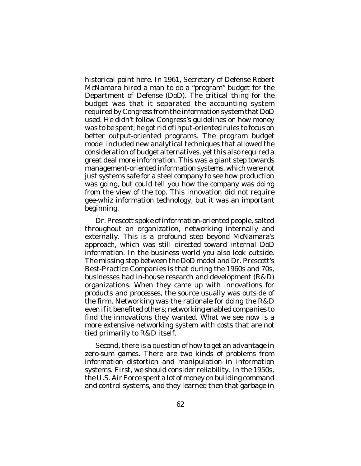historical point here. In 1961, Secretary of Defense Robert McNamara hired a man to do a "program" budget for the Department of Defense (DoD). The critical thing for the budget was that it separated the accounting system required by Congress from the information system that DoD used. He didn't follow Congress's guidelines on how money was to be spent; he got rid of input-oriented rules to focus on better output-oriented programs. The program budget model included new analytical techniques that allowed the consideration of budget alternatives, yet this also required a great deal more information. This was a giant step towards management-oriented information systems, which were not just systems safe for a steel company to see how production was going, but could tell you how the company was doing from the view of the top. This innovation did not require gee-whiz information technology, but it was an important beginning.

Dr. Prescott spoke of information-oriented people, salted throughout an organization, networking internally and externally. This is a profound step beyond McNamara's approach, which was still directed toward internal DoD information. In the business world you also look outside. The missing step between the DoD model and Dr. Prescott's Best-Practice Companies is that during the 1960s and 70s, businesses had in-house research and development (R&D) organizations. When they came up with innovations for products and processes, the source usually was outside of the firm. Networking was the rationale for doing the R&D even if it benefited others; networking enabled companies to find the innovations they wanted. What we see now is a more extensive networking system with costs that are not tied primarily to R&D itself.

Second, there is a question of how to get an advantage in zero-sum games. There are two kinds of problems from information distortion and manipulation in information systems. First, we should consider reliability. In the 1950s, the U.S. Air Force spent a lot of money on building command and control systems, and they learned then that garbage in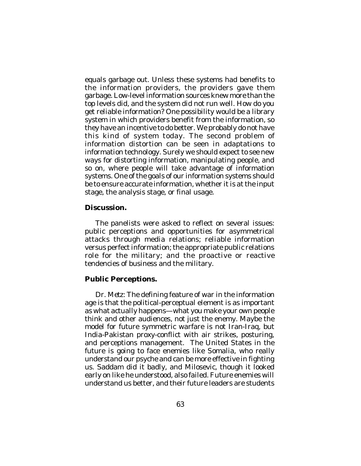equals garbage out. Unless these systems had benefits to the information providers, the providers gave them garbage. Low-level information sources knew more than the top levels did, and the system did not run well. How do you get reliable information? One possibility would be a library system in which providers benefit from the information, so they have an incentive to do better. We probably do not have this kind of system today. The second problem of information distortion can be seen in adaptations to information technology. Surely we should expect to see new ways for distorting information, manipulating people, and so on, where people will take advantage of information systems. One of the goals of our information systems should be to ensure accurate information, whether it is at the input stage, the analysis stage, or final usage.

## **Discussion.**

The panelists were asked to reflect on several issues: public perceptions and opportunities for asymmetrical attacks through media relations; reliable information versus perfect information; the appropriate public relations role for the military; and the proactive or reactive tendencies of business and the military.

#### **Public Perceptions.**

*Dr. Metz*: The defining feature of war in the information age is that the political-perceptual element is as important as what actually happens—what you make your own people think and other audiences, not just the enemy. Maybe the model for future symmetric warfare is not Iran-Iraq, but India-Pakistan proxy-conflict with air strikes, posturing, and perceptions management. The United States in the future is going to face enemies like Somalia, who really understand our psyche and can be more effective in fighting us. Saddam did it badly, and Milosevic, though it looked early on like he understood, also failed. Future enemies will understand us better, and their future leaders are students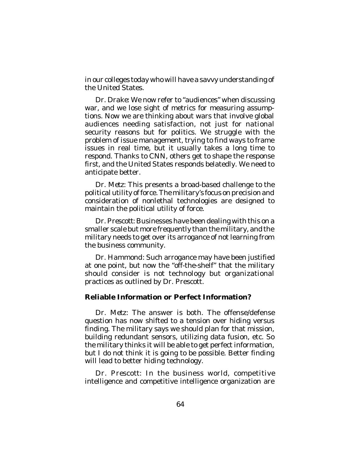in our colleges today who will have a savvy understanding of the United States.

*Dr. Drake*: We now refer to "audiences" when discussing war, and we lose sight of metrics for measuring assumptions. Now we are thinking about wars that involve global audiences needing satisfaction, not just for national security reasons but for politics. We struggle with the problem of issue management, trying to find ways to frame issues in real time, but it usually takes a long time to respond. Thanks to CNN, others get to shape the response first, and the United States responds belatedly. We need to anticipate better.

*Dr. Metz*: This presents a broad-based challenge to the political utility of force. The military's focus on precision and consideration of nonlethal technologies are designed to maintain the political utility of force.

*Dr. Prescott*: Businesses have been dealing with this on a smaller scale but more frequently than the military, and the military needs to get over its arrogance of not learning from the business community.

*Dr. Hammond*: Such arrogance may have been justified at one point, but now the "off-the-shelf" that the military should consider is not technology but organizational practices as outlined by Dr. Prescott.

#### **Reliable Information or Perfect Information?**

*Dr. Metz*: The answer is both. The offense/defense question has now shifted to a tension over hiding versus finding. The military says we should plan for that mission, building redundant sensors, utilizing data fusion, etc. So the military thinks it will be able to get perfect information, but I do not think it is going to be possible. Better finding will lead to better hiding technology.

*Dr. Prescott*: In the business world, competitive intelligence and competitive intelligence organization are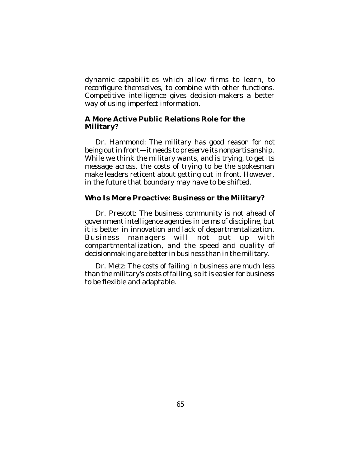dynamic capabilities which allow firms to learn, to reconfigure themselves, to combine with other functions. Competitive intelligence gives decision-makers a better way of using imperfect information.

## **A More Active Public Relations Role for the Military?**

*Dr. Hammond*: The military has good reason for not being out in front—it needs to preserve its nonpartisanship. While we think the military wants, and is trying, to get its message across, the costs of trying to be the spokesman make leaders reticent about getting out in front. However, in the future that boundary may have to be shifted.

# **Who Is More Proactive: Business or the Military?**

*Dr. Prescott*: The business community is not ahead of government intelligence agencies in terms of discipline, but it is better in innovation and lack of departmentalization. Business managers will not put up with compartmentalization, and the speed and quality of decisionmaking are better in business than in the military.

*Dr. Metz*: The costs of failing in business are much less than the military's costs of failing, so it is easier for business to be flexible and adaptable.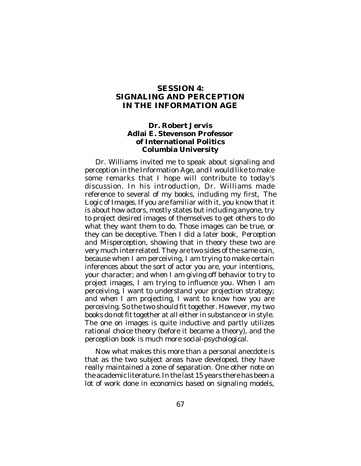# **SESSION 4: SIGNALING AND PERCEPTION IN THE INFORMATION AGE**

### **Dr. Robert Jervis Adlai E. Stevenson Professor of International Politics Columbia University**

Dr. Williams invited me to speak about signaling and perception in the Information Age, and I would like to make some remarks that I hope will contribute to today's discussion. In his introduction, Dr. Williams made reference to several of my books, including my first, *The Logic of Images*. If you are familiar with it, you know that it is about how actors, mostly states but including anyone, try to project desired images of themselves to get others to do what they want them to do. Those images can be true, or they can be deceptive. Then I did a later book, *Perception and Misperception*, showing that in theory these two are very much interrelated. They are two sides of the same coin, because when I am perceiving, I am trying to make certain inferences about the sort of actor you are, your intentions, your character; and when I am giving off behavior to try to project images, I am trying to influence you. When I am perceiving, I want to understand your projection strategy; and when I am projecting, I want to know how you are perceiving. So the two should fit together. However, my two books do not fit together at all either in substance or in style. The one on images is quite inductive and partly utilizes rational choice theory (before it became a theory), and the perception book is much more social-psychological.

Now what makes this more than a personal anecdote is that as the two subject areas have developed, they have really maintained a zone of separation. One other note on the academic literature. In the last 15 years there has been a lot of work done in economics based on signaling models,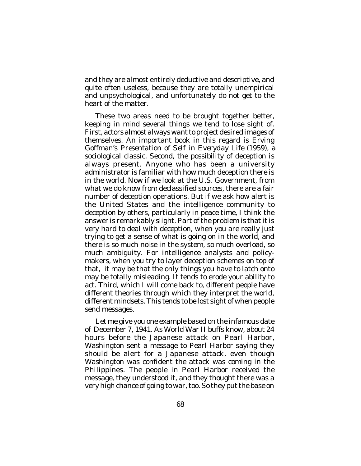and they are almost entirely deductive and descriptive, and quite often useless, because they are totally unempirical and unpsychological, and unfortunately do not get to the heart of the matter.

These two areas need to be brought together better, keeping in mind several things we tend to lose sight of. First, actors almost always want to project desired images of themselves. An important book in this regard is Erving Goffman's *Presentation of Self in Everyday Life* (1959), a sociological classic. Second, the possibility of deception is always present. Anyone who has been a university administrator is familiar with how much deception there is in the world. Now if we look at the U.S. Government, from what we do know from declassified sources, there are a fair number of deception operations. But if we ask how alert is the United States and the intelligence community to deception by others, particularly in peace time, I think the answer is remarkably slight. Part of the problem is that it is very hard to deal with deception, when you are really just trying to get a sense of what is going on in the world, and there is so much noise in the system, so much overload, so much ambiguity. For intelligence analysts and policymakers, when you try to layer deception schemes on top of that, it may be that the only things you have to latch onto may be totally misleading. It tends to erode your ability to act. Third, which I will come back to, different people have different theories through which they interpret the world, different mindsets. This tends to be lost sight of when people send messages.

Let me give you one example based on the infamous date of December 7, 1941. As World War II buffs know, about 24 hours before the Japanese attack on Pearl Harbor, Washington sent a message to Pearl Harbor saying they should be alert for a Japanese attack, even though Washington was confident the attack was coming in the Philippines. The people in Pearl Harbor received the message, they understood it, and they thought there was a very high chance of going to war, too. So they put the base on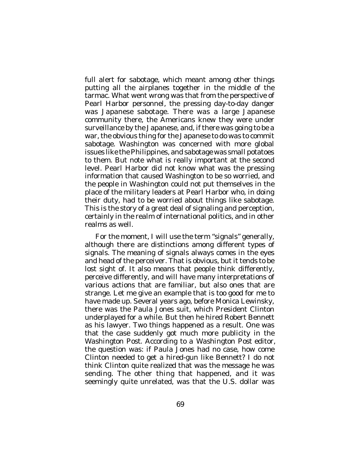full alert for sabotage, which meant among other things putting all the airplanes together in the middle of the tarmac. What went wrong was that from the perspective of Pearl Harbor personnel, the pressing day-to-day danger was Japanese sabotage. There was a large Japanese community there, the Americans knew they were under surveillance by the Japanese, and, if there was going to be a war, the obvious thing for the Japanese to do was to commit sabotage. Washington was concerned with more global issues like the Philippines, and sabotage was small potatoes to them. But note what is really important at the second level. Pearl Harbor did not know what was the pressing information that caused Washington to be so worried, and the people in Washington could not put themselves in the place of the military leaders at Pearl Harbor who, in doing their duty, had to be worried about things like sabotage. This is the story of a great deal of signaling and perception, certainly in the realm of international politics, and in other realms as well.

For the moment, I will use the term "signals" generally, although there are distinctions among different types of signals. The meaning of signals always comes in the eyes and head of the perceiver. That is obvious, but it tends to be lost sight of. It also means that people think differently, perceive differently, and will have many interpretations of various actions that are familiar, but also ones that are strange. Let me give an example that is too good for me to have made up. Several years ago, before Monica Lewinsky, there was the Paula Jones suit, which President Clinton underplayed for a while. But then he hired Robert Bennett as his lawyer. Two things happened as a result. One was that the case suddenly got much more publicity in the *Washington Post*. According to a *Washington Post* editor, the question was: if Paula Jones had no case, how come Clinton needed to get a hired-gun like Bennett? I do not think Clinton quite realized that was the message he was sending. The other thing that happened, and it was seemingly quite unrelated, was that the U.S. dollar was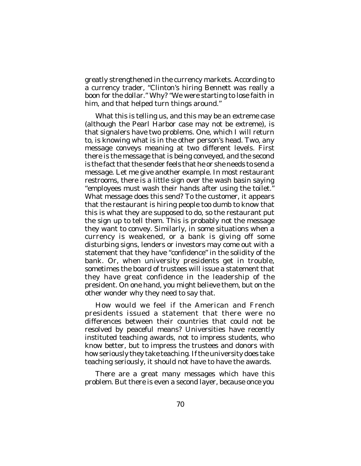greatly strengthened in the currency markets. According to a currency trader, "Clinton's hiring Bennett was really a boon for the dollar." Why? "We were starting to lose faith in him, and that helped turn things around."

What this is telling us, and this may be an extreme case (although the Pearl Harbor case may not be extreme), is that signalers have two problems. One, which I will return to, is knowing what is in the other person's head. Two, any message conveys meaning at two different levels. First there is the message that is being conveyed, and the second is the fact that the sender feels that he or she needs to send a message. Let me give another example. In most restaurant restrooms, there is a little sign over the wash basin saying "employees must wash their hands after using the toilet." What message does this send? To the customer, it appears that the restaurant is hiring people too dumb to know that this is what they are supposed to do, so the restaurant put the sign up to tell them. This is probably not the message they want to convey. Similarly, in some situations when a currency is weakened, or a bank is giving off some disturbing signs, lenders or investors may come out with a statement that they have "confidence" in the solidity of the bank. Or, when university presidents get in trouble, sometimes the board of trustees will issue a statement that they have great confidence in the leadership of the president. On one hand, you might believe them, but on the other wonder why they need to say that.

How would we feel if the American and French presidents issued a statement that there were no differences between their countries that could not be resolved by peaceful means? Universities have recently instituted teaching awards, not to impress students, who know better, but to impress the trustees and donors with how seriously they take teaching. If the university does take teaching seriously, it should not have to have the awards.

There are a great many messages which have this problem. But there is even a second layer, because once you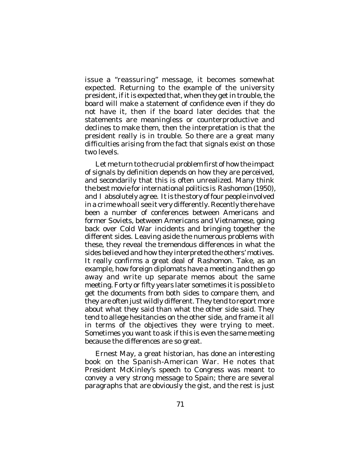issue a "reassuring" message, it becomes somewhat expected. Returning to the example of the university president, if it is expected that, when they get in trouble, the board will make a statement of confidence even if they do not have it, then if the board later decides that the statements are meaningless or counterproductive and declines to make them, then the interpretation is that the president really is in trouble. So there are a great many difficulties arising from the fact that signals exist on those two levels.

Let me turn to the crucial problem first of how the impact of signals by definition depends on how they are perceived, and secondarily that this is often unrealized. Many think the best movie for international politics is *Rashomon* (1950)*,*  and I absolutely agree. It is the story of four people involved in a crime who all see it very differently. Recently there have been a number of conferences between Americans and former Soviets, between Americans and Vietnamese, going back over Cold War incidents and bringing together the different sides. Leaving aside the numerous problems with these, they reveal the tremendous differences in what the sides believed and how they interpreted the others' motives. It really confirms a great deal of *Rashomon*. Take, as an example, how foreign diplomats have a meeting and then go away and write up separate memos about the same meeting. Forty or fifty years later sometimes it is possible to get the documents from both sides to compare them, and they are often just wildly different. They tend to report more about what they said than what the other side said. They tend to allege hesitancies on the other side, and frame it all in terms of the objectives they were trying to meet. Sometimes you want to ask if this is even the same meeting because the differences are so great.

Ernest May, a great historian, has done an interesting book on the Spanish-American War. He notes that President McKinley's speech to Congress was meant to convey a very strong message to Spain; there are several paragraphs that are obviously the gist, and the rest is just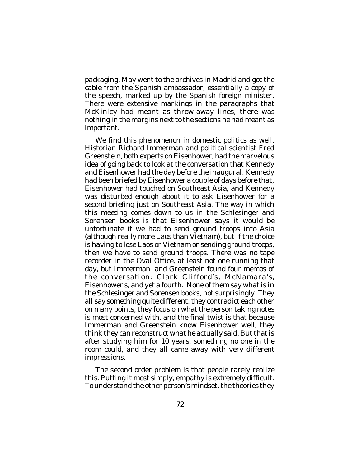packaging. May went to the archives in Madrid and got the cable from the Spanish ambassador, essentially a copy of the speech, marked up by the Spanish foreign minister. There were extensive markings in the paragraphs that McKinley had meant as throw-away lines, there was nothing in the margins next to the sections he had meant as important.

We find this phenomenon in domestic politics as well. Historian Richard Immerman and political scientist Fred Greenstein, both experts on Eisenhower, had the marvelous idea of going back to look at the conversation that Kennedy and Eisenhower had the day before the inaugural. Kennedy had been briefed by Eisenhower a couple of days before that, Eisenhower had touched on Southeast Asia, and Kennedy was disturbed enough about it to ask Eisenhower for a second briefing just on Southeast Asia. The way in which this meeting comes down to us in the Schlesinger and Sorensen books is that Eisenhower says it would be unfortunate if we had to send ground troops into Asia (although really more Laos than Vietnam), but if the choice is having to lose Laos or Vietnam or sending ground troops, then we have to send ground troops. There was no tape recorder in the Oval Office, at least not one running that day, but Immerman and Greenstein found four memos of the conversation: Clark Clifford's, McNamara's, Eisenhower's, and yet a fourth. None of them say what is in the Schlesinger and Sorensen books, not surprisingly. They all say something quite different, they contradict each other on many points, they focus on what the person taking notes is most concerned with, and the final twist is that because Immerman and Greenstein know Eisenhower well, they think they can reconstruct what he actually said. But that is after studying him for 10 years, something no one in the room could, and they all came away with very different impressions.

The second order problem is that people rarely realize this. Putting it most simply, empathy is extremely difficult. To understand the other person's mindset, the theories they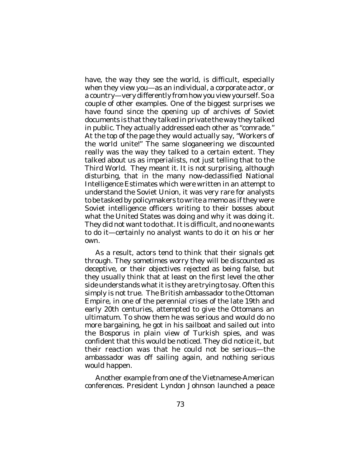have, the way they see the world, is difficult, especially when they view you—as an individual, a corporate actor, or a country—very differently from how you view yourself. So a couple of other examples. One of the biggest surprises we have found since the opening up of archives of Soviet documents is that they talked in private the way they talked in public. They actually addressed each other as "comrade." At the top of the page they would actually say, "Workers of the world unite!" The same sloganeering we discounted really was the way they talked to a certain extent. They talked about us as imperialists, not just telling that to the Third World. They meant it. It is not surprising, although disturbing, that in the many now-declassified National Intelligence Estimates which were written in an attempt to understand the Soviet Union, it was very rare for analysts to be tasked by policymakers to write a memo as if they were Soviet intelligence officers writing to their bosses about what the United States was doing and why it was doing it. They did not want to do that. It is difficult, and no one wants to do it—certainly no analyst wants to do it on his or her own.

As a result, actors tend to think that their signals get through. They sometimes worry they will be discounted as deceptive, or their objectives rejected as being false, but they usually think that at least on the first level the other side understands what it is they are trying to say. Often this simply is not true. The British ambassador to the Ottoman Empire, in one of the perennial crises of the late 19th and early 20th centuries, attempted to give the Ottomans an ultimatum. To show them he was serious and would do no more bargaining, he got in his sailboat and sailed out into the Bosporus in plain view of Turkish spies, and was confident that this would be noticed. They did notice it, but their reaction was that he could not be serious—the ambassador was off sailing again, and nothing serious would happen.

Another example from one of the Vietnamese-American conferences. President Lyndon Johnson launched a peace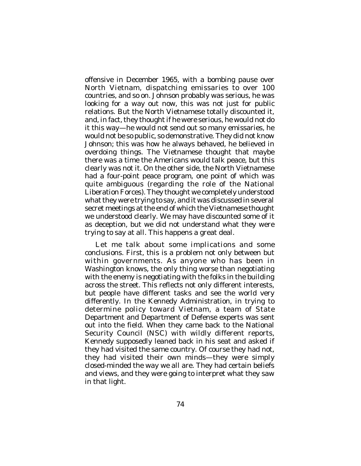offensive in December 1965, with a bombing pause over North Vietnam, dispatching emissaries to over 100 countries, and so on. Johnson probably was serious, he was looking for a way out now, this was not just for public relations. But the North Vietnamese totally discounted it, and, in fact, they thought if he were serious, he would not do it this way—he would not send out so many emissaries, he would not be so public, so demonstrative. They did not know Johnson; this was how he always behaved, he believed in overdoing things. The Vietnamese thought that maybe there was a time the Americans would talk peace, but this clearly was not it. On the other side, the North Vietnamese had a four-point peace program, one point of which was quite ambiguous (regarding the role of the National Liberation Forces). They thought we completely understood what they were trying to say, and it was discussed in several secret meetings at the end of which the Vietnamese thought we understood clearly. We may have discounted some of it as deception, but we did not understand what they were trying to say at all. This happens a great deal.

Let me talk about some implications and some conclusions. First, this is a problem not only between but within governments. As anyone who has been in Washington knows, the only thing worse than negotiating with the enemy is negotiating with the folks in the building across the street. This reflects not only different interests, but people have different tasks and see the world very differently. In the Kennedy Administration, in trying to determine policy toward Vietnam, a team of State Department and Department of Defense experts was sent out into the field. When they came back to the National Security Council (NSC) with wildly different reports, Kennedy supposedly leaned back in his seat and asked if they had visited the same country. Of course they had not, they had visited their own minds—they were simply closed-minded the way we all are. They had certain beliefs and views, and they were going to interpret what they saw in that light.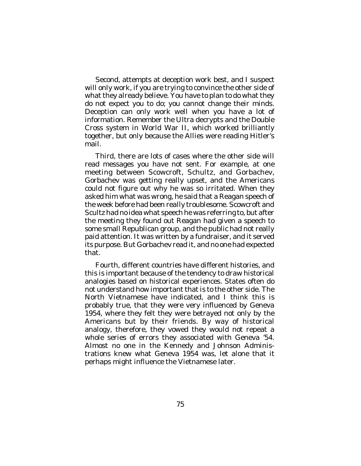Second, attempts at deception work best, and I suspect will only work, if you are trying to convince the other side of what they already believe. You have to plan to do what they do not expect you to do; you cannot change their minds. Deception can only work well when you have a lot of information. Remember the Ultra decrypts and the Double Cross system in World War II, which worked brilliantly together, but only because the Allies were reading Hitler's mail.

Third, there are lots of cases where the other side will read messages you have not sent. For example, at one meeting between Scowcroft, Schultz, and Gorbachev, Gorbachev was getting really upset, and the Americans could not figure out why he was so irritated. When they asked him what was wrong, he said that a Reagan speech of the week before had been really troublesome. Scowcroft and Scultz had no idea what speech he was referring to, but after the meeting they found out Reagan had given a speech to some small Republican group, and the public had not really paid attention. It was written by a fundraiser, and it served its purpose. But Gorbachev read it, and no one had expected that.

Fourth, different countries have different histories, and this is important because of the tendency to draw historical analogies based on historical experiences. States often do not understand how important that is to the other side. The North Vietnamese have indicated, and I think this is probably true, that they were very influenced by Geneva 1954, where they felt they were betrayed not only by the Americans but by their friends. By way of historical analogy, therefore, they vowed they would not repeat a whole series of errors they associated with Geneva '54. Almost no one in the Kennedy and Johnson Administrations knew what Geneva 1954 was, let alone that it perhaps might influence the Vietnamese later.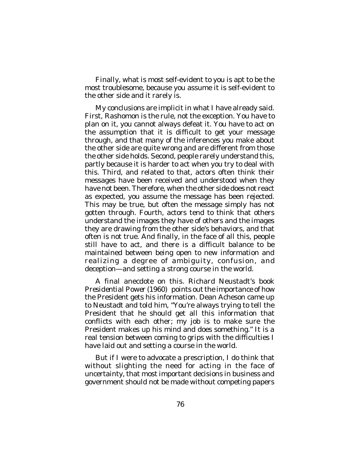Finally, what is most self-evident to you is apt to be the most troublesome, because you assume it is self-evident to the other side and it rarely is.

My conclusions are implicit in what I have already said. First, *Rashomon* is the rule, not the exception. You have to plan on it, you cannot always defeat it. You have to act on the assumption that it is difficult to get your message through, and that many of the inferences you make about the other side are quite wrong and are different from those the other side holds. Second, people rarely understand this, partly because it is harder to act when you try to deal with this. Third, and related to that, actors often think their messages have been received and understood when they have not been. Therefore, when the other side does not react as expected, you assume the message has been rejected. This may be true, but often the message simply has not gotten through. Fourth, actors tend to think that others understand the images they have of others and the images they are drawing from the other side's behaviors, and that often is not true. And finally, in the face of all this, people still have to act, and there is a difficult balance to be maintained between being open to new information and realizing a degree of ambiguity, confusion, and deception—and setting a strong course in the world.

A final anecdote on this. Richard Neustadt's book *Presidential Power* (1960) points out the importance of how the President gets his information. Dean Acheson came up to Neustadt and told him, "You're always trying to tell the President that he should get all this information that conflicts with each other; my job is to make sure the President makes up his mind and does something." It is a real tension between coming to grips with the difficulties I have laid out and setting a course in the world.

But if I were to advocate a prescription, I do think that without slighting the need for acting in the face of uncertainty, that most important decisions in business and government should not be made without competing papers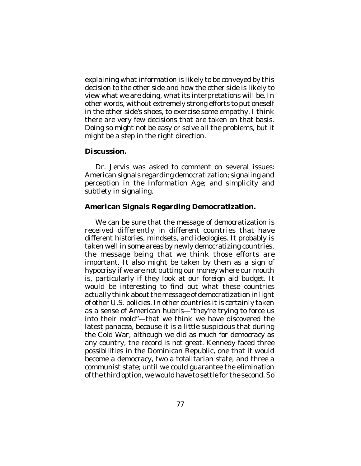explaining what information is likely to be conveyed by this decision to the other side and how the other side is likely to view what we are doing, what its interpretations will be. In other words, without extremely strong efforts to put oneself in the other side's shoes, to exercise some empathy. I think there are very few decisions that are taken on that basis. Doing so might not be easy or solve all the problems, but it might be a step in the right direction.

## **Discussion.**

Dr. Jervis was asked to comment on several issues: American signals regarding democratization; signaling and perception in the Information Age; and simplicity and subtlety in signaling.

## **American Signals Regarding Democratization.**

We can be sure that the message of democratization is received differently in different countries that have different histories, mindsets, and ideologies. It probably is taken well in some areas by newly democratizing countries, the message being that we think those efforts are important. It also might be taken by them as a sign of hypocrisy if we are not putting our money where our mouth is, particularly if they look at our foreign aid budget. It would be interesting to find out what these countries actually think about the message of democratization in light of other U.S. policies. In other countries it is certainly taken as a sense of American hubris—"they're trying to force us into their mold"—that we think we have discovered the latest panacea, because it is a little suspicious that during the Cold War, although we did as much for democracy as any country, the record is not great. Kennedy faced three possibilities in the Dominican Republic, one that it would become a democracy, two a totalitarian state, and three a communist state; until we could guarantee the elimination of the third option, we would have to settle for the second. So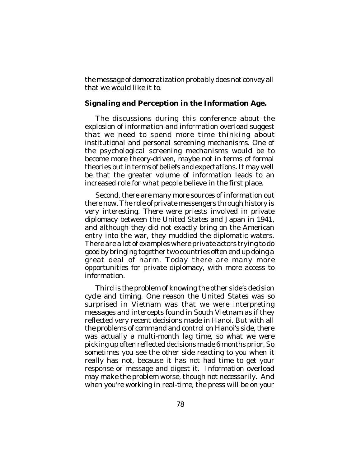the message of democratization probably does not convey all that we would like it to.

### **Signaling and Perception in the Information Age.**

The discussions during this conference about the explosion of information and information overload suggest that we need to spend more time thinking about institutional and personal screening mechanisms. One of the psychological screening mechanisms would be to become more theory-driven, maybe not in terms of formal theories but in terms of beliefs and expectations. It may well be that the greater volume of information leads to an increased role for what people believe in the first place.

Second, there are many more sources of information out there now. The role of private messengers through history is very interesting. There were priests involved in private diplomacy between the United States and Japan in 1941, and although they did not exactly bring on the American entry into the war, they muddied the diplomatic waters. There are a lot of examples where private actors trying to do good by bringing together two countries often end up doing a great deal of harm. Today there are many more opportunities for private diplomacy, with more access to information.

Third is the problem of knowing the other side's decision cycle and timing. One reason the United States was so surprised in Vietnam was that we were interpreting messages and intercepts found in South Vietnam as if they reflected very recent decisions made in Hanoi. But with all the problems of command and control on Hanoi's side, there was actually a multi-month lag time, so what we were picking up often reflected decisions made 6 months prior. So sometimes you see the other side reacting to you when it really has not, because it has not had time to get your response or message and digest it. Information overload may make the problem worse, though not necessarily. And when you're working in real-time, the press will be on your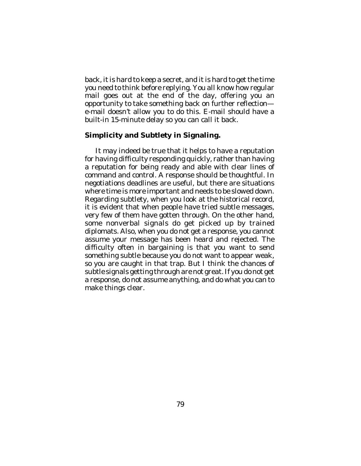back, it is hard to keep a secret, and it is hard to get the time you need to think before replying. You all know how regular mail goes out at the end of the day, offering you an opportunity to take something back on further reflection e-mail doesn't allow you to do this. E-mail should have a built-in 15-minute delay so you can call it back.

### **Simplicity and Subtlety in Signaling.**

It may indeed be true that it helps to have a reputation for having difficulty responding quickly, rather than having a reputation for being ready and able with clear lines of command and control. A response should be thoughtful. In negotiations deadlines are useful, but there are situations where time is more important and needs to be slowed down. Regarding subtlety, when you look at the historical record, it is evident that when people have tried subtle messages, very few of them have gotten through. On the other hand, some nonverbal signals do get picked up by trained diplomats. Also, when you do not get a response, you cannot assume your message has been heard and rejected. The difficulty often in bargaining is that you want to send something subtle because you do not want to appear weak, so you are caught in that trap. But I think the chances of subtle signals getting through are not great. If you do not get a response, do not assume anything, and do what you can to make things clear.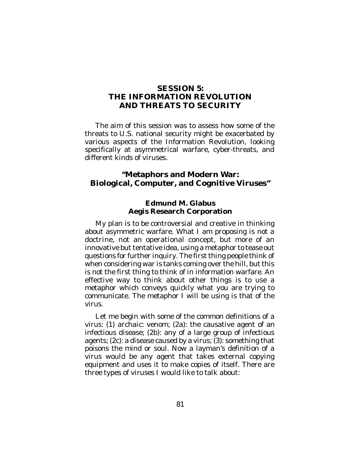# **SESSION 5: THE INFORMATION REVOLUTION AND THREATS TO SECURITY**

The aim of this session was to assess how some of the threats to U.S. national security might be exacerbated by various aspects of the Information Revolution, looking specifically at asymmetrical warfare, cyber-threats, and different kinds of viruses.

# **"Metaphors and Modern War: Biological, Computer, and Cognitive Viruses"**

#### **Edmund M. Glabus Aegis Research Corporation**

My plan is to be controversial and creative in thinking about asymmetric warfare. What I am proposing is not a doctrine, not an operational concept, but more of an innovative but tentative idea, using a metaphor to tease out questions for further inquiry. The first thing people think of when considering war is tanks coming over the hill, but this is not the first thing to think of in information warfare. An effective way to think about other things is to use a metaphor which conveys quickly what you are trying to communicate. The metaphor I will be using is that of the virus.

Let me begin with some of the common definitions of a virus: (1) *archaic*: venom; (2a): the causative agent of an infectious disease; (2b): any of a large group of infectious agents; (2c): a disease caused by a virus; (3): something that poisons the mind or soul. Now a layman's definition of a virus would be any agent that takes external copying equipment and uses it to make copies of itself. There are three types of viruses I would like to talk about: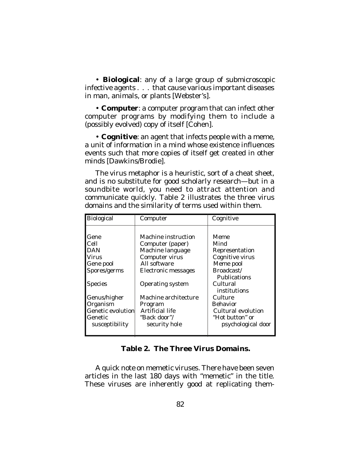• **Biological**: any of a large group of submicroscopic infective agents . . . that cause various important diseases in man, animals, or plants [Webster's].

• **Computer**: a computer program that can infect other computer programs by modifying them to include a (possibly evolved) copy of itself [Cohen].

• **Cognitive**: an agent that infects people with a meme, a unit of information in a mind whose existence influences events such that more copies of itself get created in other minds [Dawkins/Brodie].

The virus metaphor is a heuristic, sort of a cheat sheet, and is no substitute for good scholarly research—but in a soundbite world, you need to attract attention and communicate quickly. Table 2 illustrates the three virus domains and the similarity of terms used within them.

| Biological        | Computer               | Cognitive           |
|-------------------|------------------------|---------------------|
|                   |                        |                     |
| <b>Gene</b>       | Machine instruction    | Meme                |
| <b>I</b> Cell     | Computer (paper)       | Mind                |
| IDAN              | Machine language       | Representation      |
| <b>Virus</b>      | Computer virus         | Cognitive virus     |
| Gene pool         | All software           | Meme pool           |
| Spores/germs      | Electronic messages    | Broadcast/          |
|                   |                        | <b>Publications</b> |
| <b>Species</b>    | Operating system       | Cultural            |
|                   |                        | institutions        |
| Genus/higher      | Machine architecture   | Culture             |
| Organism          | Program                | Behavior            |
| Genetic evolution | <b>Artificial life</b> | Cultural evolution  |
| Genetic           | "Back door"/           | "Hot button" or     |
| susceptibility    | security hole          | psychological door  |
|                   |                        |                     |

#### **Table 2. The Three Virus Domains.**

A quick note on memetic viruses. There have been seven articles in the last 180 days with "memetic" in the title. These viruses are inherently good at replicating them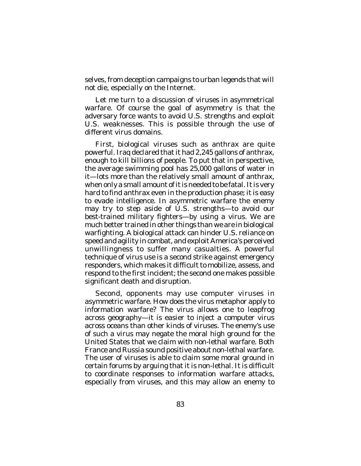selves, from deception campaigns to urban legends that will not die, especially on the Internet.

Let me turn to a discussion of viruses in asymmetrical warfare. Of course the goal of asymmetry is that the adversary force wants to avoid U.S. strengths and exploit U.S. weaknesses. This is possible through the use of different virus domains.

First, biological viruses such as anthrax are quite powerful. Iraq declared that it had 2,245 gallons of anthrax, enough to kill billions of people. To put that in perspective, the average swimming pool has 25,000 gallons of water in it—lots more than the relatively small amount of anthrax, when only a small amount of it is needed to be fatal. It is very hard to find anthrax even in the production phase; it is easy to evade intelligence. In asymmetric warfare the enemy may try to step aside of U.S. strengths—to avoid our best-trained military fighters—by using a virus. We are much better trained in other things than we are in biological warfighting. A biological attack can hinder U.S. reliance on speed and agility in combat, and exploit America's perceived unwillingness to suffer many casualties. A powerful technique of virus use is a second strike against emergency responders, which makes it difficult to mobilize, assess, and respond to the first incident; the second one makes possible significant death and disruption.

Second, opponents may use computer viruses in asymmetric warfare. How does the virus metaphor apply to information warfare? The virus allows one to leapfrog across geography—it is easier to inject a computer virus across oceans than other kinds of viruses. The enemy's use of such a virus may negate the moral high ground for the United States that we claim with non-lethal warfare. Both France and Russia sound positive about non-lethal warfare. The user of viruses is able to claim some moral ground in certain forums by arguing that it is non-lethal. It is difficult to coordinate responses to information warfare attacks, especially from viruses, and this may allow an enemy to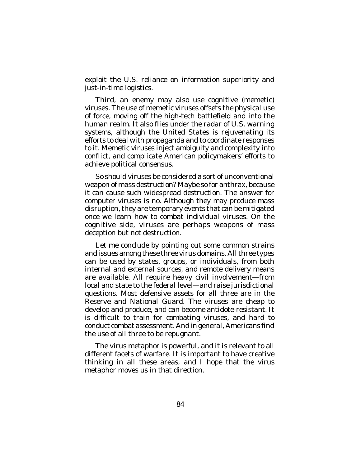exploit the U.S. reliance on information superiority and just-in-time logistics.

Third, an enemy may also use cognitive (memetic) viruses. The use of memetic viruses offsets the physical use of force, moving off the high-tech battlefield and into the human realm. It also flies under the radar of U.S. warning systems, although the United States is rejuvenating its efforts to deal with propaganda and to coordinate responses to it. Memetic viruses inject ambiguity and complexity into conflict, and complicate American policymakers' efforts to achieve political consensus.

So should viruses be considered a sort of unconventional weapon of mass destruction? Maybe so for anthrax, because it can cause such widespread destruction. The answer for computer viruses is no. Although they may produce mass disruption, they are temporary events that can be mitigated once we learn how to combat individual viruses. On the cognitive side, viruses are perhaps weapons of mass deception but not destruction.

Let me conclude by pointing out some common strains and issues among these three virus domains. All three types can be used by states, groups, or individuals, from both internal and external sources, and remote delivery means are available. All require heavy civil involvement—from local and state to the federal level—and raise jurisdictional questions. Most defensive assets for all three are in the Reserve and National Guard. The viruses are cheap to develop and produce, and can become antidote-resistant. It is difficult to train for combating viruses, and hard to conduct combat assessment. And in general, Americans find the use of all three to be repugnant.

The virus metaphor is powerful, and it is relevant to all different facets of warfare. It is important to have creative thinking in all these areas, and I hope that the virus metaphor moves us in that direction.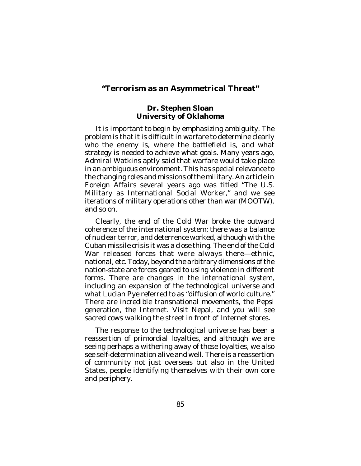# **"Terrorism as an Asymmetrical Threat"**

#### **Dr. Stephen Sloan University of Oklahoma**

It is important to begin by emphasizing ambiguity. The problem is that it is difficult in warfare to determine clearly who the enemy is, where the battlefield is, and what strategy is needed to achieve what goals. Many years ago, Admiral Watkins aptly said that warfare would take place in an ambiguous environment. This has special relevance to the changing roles and missions of the military. An article in *Foreign Affairs* several years ago was titled "The U.S. Military as International Social Worker," and we see iterations of military operations other than war (MOOTW), and so on.

Clearly, the end of the Cold War broke the outward coherence of the international system; there was a balance of nuclear terror, and deterrence worked, although with the Cuban missile crisis it was a close thing. The end of the Cold War released forces that were always there—ethnic, national, etc. Today, beyond the arbitrary dimensions of the nation-state are forces geared to using violence in different forms. There are changes in the international system, including an expansion of the technological universe and what Lucian Pye referred to as "diffusion of world culture." There are incredible transnational movements, the Pepsi generation, the Internet. Visit Nepal, and you will see sacred cows walking the street in front of Internet stores.

The response to the technological universe has been a reassertion of primordial loyalties, and although we are seeing perhaps a withering away of those loyalties, we also see self-determination alive and well. There is a reassertion of community not just overseas but also in the United States, people identifying themselves with their own core and periphery.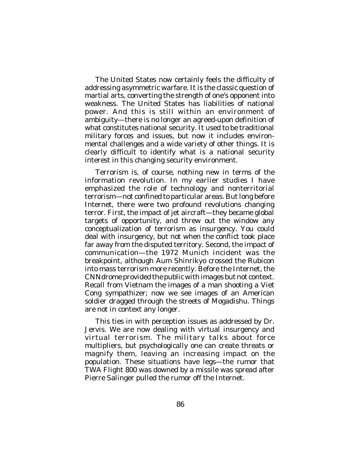The United States now certainly feels the difficulty of addressing asymmetric warfare. It is the classic question of martial arts, converting the strength of one's opponent into weakness. The United States has liabilities of national power. And this is still within an environment of ambiguity—there is no longer an agreed-upon definition of what constitutes national security. It used to be traditional military forces and issues, but now it includes environmental challenges and a wide variety of other things. It is clearly difficult to identify what is a national security interest in this changing security environment.

Terrorism is, of course, nothing new in terms of the information revolution. In my earlier studies I have emphasized the role of technology and nonterritorial terrorism—not confined to particular areas. But long before Internet, there were two profound revolutions changing terror. First, the impact of jet aircraft—they became global targets of opportunity, and threw out the window any conceptualization of terrorism as insurgency. You could deal with insurgency, but not when the conflict took place far away from the disputed territory. Second, the impact of communication—the 1972 Munich incident was the breakpoint, although Aum Shinrikyo crossed the Rubicon into mass terrorism more recently. Before the Internet, the CNNdrome provided the public with images but not context. Recall from Vietnam the images of a man shooting a Viet Cong sympathizer; now we see images of an American soldier dragged through the streets of Mogadishu. Things are not in context any longer.

This ties in with perception issues as addressed by Dr. Jervis. We are now dealing with virtual insurgency and virtual terrorism. The military talks about force multipliers, but psychologically one can create threats or magnify them, leaving an increasing impact on the population. These situations have legs—the rumor that TWA Flight 800 was downed by a missile was spread after Pierre Salinger pulled the rumor off the Internet.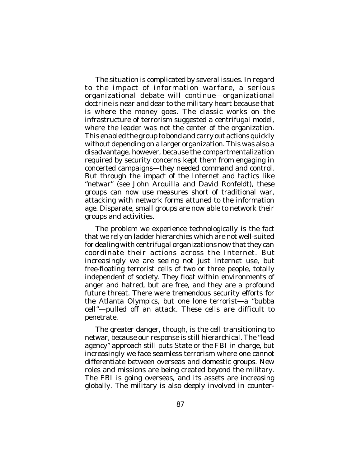The situation is complicated by several issues. In regard to the impact of information warfare, a serious organizational debate will continue—organizational doctrine is near and dear to the military heart because that is where the money goes. The classic works on the infrastructure of terrorism suggested a centrifugal model, where the leader was not the center of the organization. This enabled the group to bond and carry out actions quickly without depending on a larger organization. This was also a disadvantage, however, because the compartmentalization required by security concerns kept them from engaging in concerted campaigns—they needed command and control. But through the impact of the Internet and tactics like "netwar" (see John Arquilla and David Ronfeldt), these groups can now use measures short of traditional war, attacking with network forms attuned to the information age. Disparate, small groups are now able to network their groups and activities.

The problem we experience technologically is the fact that we rely on ladder hierarchies which are not well-suited for dealing with centrifugal organizations now that they can coordinate their actions across the Internet. But increasingly we are seeing not just Internet use, but free-floating terrorist cells of two or three people, totally independent of society. They float within environments of anger and hatred, but are free, and they are a profound future threat. There were tremendous security efforts for the Atlanta Olympics, but one lone terrorist—a "bubba cell"—pulled off an attack. These cells are difficult to penetrate.

The greater danger, though, is the cell transitioning to netwar, because our response is still hierarchical. The "lead agency" approach still puts State or the FBI in charge, but increasingly we face seamless terrorism where one cannot differentiate between overseas and domestic groups. New roles and missions are being created beyond the military. The FBI is going overseas, and its assets are increasing globally. The military is also deeply involved in counter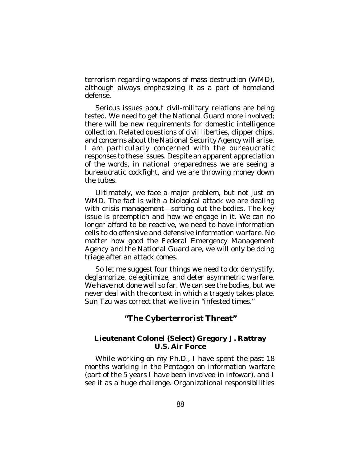terrorism regarding weapons of mass destruction (WMD), although always emphasizing it as a part of homeland defense.

Serious issues about civil-military relations are being tested. We need to get the National Guard more involved; there will be new requirements for domestic intelligence collection. Related questions of civil liberties, clipper chips, and concerns about the National Security Agency will arise. I am particularly concerned with the bureaucratic responses to these issues. Despite an apparent appreciation of the words, in national preparedness we are seeing a bureaucratic cockfight, and we are throwing money down the tubes.

Ultimately, we face a major problem, but not just on WMD. The fact is with a biological attack we are dealing with crisis management—sorting out the bodies. The key issue is preemption and how we engage in it. We can no longer afford to be reactive, we need to have information cells to do offensive and defensive information warfare. No matter how good the Federal Emergency Management Agency and the National Guard are, we will only be doing triage after an attack comes.

So let me suggest four things we need to do: demystify, deglamorize, delegitimize, and deter asymmetric warfare. We have not done well so far. We can see the bodies, but we never deal with the context in which a tragedy takes place. Sun Tzu was correct that we live in "infested times."

# **"The Cyberterrorist Threat"**

#### **Lieutenant Colonel (Select) Gregory J. Rattray U.S. Air Force**

While working on my Ph.D., I have spent the past 18 months working in the Pentagon on information warfare (part of the 5 years I have been involved in infowar), and I see it as a huge challenge. Organizational responsibilities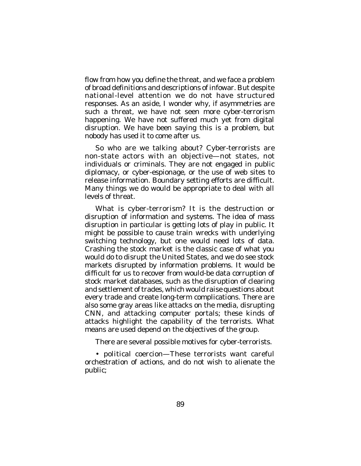flow from how you define the threat, and we face a problem of broad definitions and descriptions of infowar. But despite national-level attention we do not have structured responses. As an aside, I wonder why, if asymmetries are such a threat, we have not seen more cyber-terrorism happening. We have not suffered much yet from digital disruption. We have been saying this is a problem, but nobody has used it to come after us.

So who are we talking about? Cyber-terrorists are non-state actors with an objective—not states, not individuals or criminals. They are not engaged in public diplomacy, or cyber-espionage, or the use of web sites to release information. Boundary setting efforts are difficult. Many things we do would be appropriate to deal with all levels of threat.

What is cyber-terrorism? It is the destruction or disruption of information and systems. The idea of mass disruption in particular is getting lots of play in public. It might be possible to cause train wrecks with underlying switching technology, but one would need lots of data. Crashing the stock market is the classic case of what you would do to disrupt the United States, and we do see stock markets disrupted by information problems. It would be difficult for us to recover from would-be data corruption of stock market databases, such as the disruption of clearing and settlement of trades, which would raise questions about every trade and create long-term complications. There are also some gray areas like attacks on the media, disrupting CNN, and attacking computer portals; these kinds of attacks highlight the capability of the terrorists. What means are used depend on the objectives of the group.

There are several possible motives for cyber-terrorists.

• political coercion—These terrorists want careful orchestration of actions, and do not wish to alienate the public;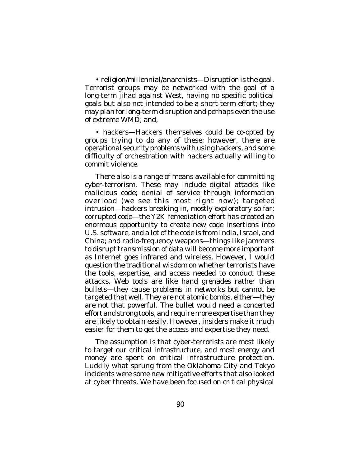• religion/millennial/anarchists—Disruption is the goal. Terrorist groups may be networked with the goal of a long-term jihad against West, having no specific political goals but also not intended to be a short-term effort; they may plan for long-term disruption and perhaps even the use of extreme WMD; and,

• hackers—Hackers themselves could be co-opted by groups trying to do any of these; however, there are operational security problems with using hackers, and some difficulty of orchestration with hackers actually willing to commit violence.

There also is a range of means available for committing cyber-terrorism. These may include digital attacks like malicious code; denial of service through information overload (we see this most right now); targeted intrusion—hackers breaking in, mostly exploratory so far; corrupted code—the Y2K remediation effort has created an enormous opportunity to create new code insertions into U.S. software, and a lot of the code is from India, Israel, and China; and radio-frequency weapons—things like jammers to disrupt transmission of data will become more important as Internet goes infrared and wireless. However, I would question the traditional wisdom on whether terrorists have the tools, expertise, and access needed to conduct these attacks. Web tools are like hand grenades rather than bullets—they cause problems in networks but cannot be targeted that well. They are not atomic bombs, either—they are not that powerful. The bullet would need a concerted effort and strong tools, and require more expertise than they are likely to obtain easily. However, insiders make it much easier for them to get the access and expertise they need.

The assumption is that cyber-terrorists are most likely to target our critical infrastructure, and most energy and money are spent on critical infrastructure protection. Luckily what sprung from the Oklahoma City and Tokyo incidents were some new mitigative efforts that also looked at cyber threats. We have been focused on critical physical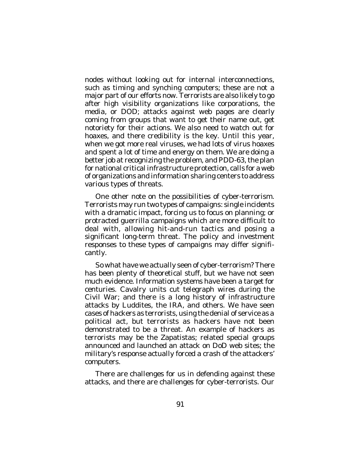nodes without looking out for internal interconnections, such as timing and synching computers; these are not a major part of our efforts now. Terrorists are also likely to go after high visibility organizations like corporations, the media, or DOD; attacks against web pages are clearly coming from groups that want to get their name out, get notoriety for their actions. We also need to watch out for hoaxes, and there credibility is the key. Until this year, when we got more real viruses, we had lots of virus hoaxes and spent a lot of time and energy on them. We are doing a better job at recognizing the problem, and PDD-63, the plan for national critical infrastructure protection, calls for a web of organizations and information sharing centers to address various types of threats.

One other note on the possibilities of cyber-terrorism. Terrorists may run two types of campaigns: single incidents with a dramatic impact, forcing us to focus on planning; or protracted guerrilla campaigns which are more difficult to deal with, allowing hit-and-run tactics and posing a significant long-term threat. The policy and investment responses to these types of campaigns may differ significantly.

So what have we actually seen of cyber-terrorism? There has been plenty of theoretical stuff, but we have not seen much evidence. Information systems have been a target for centuries. Cavalry units cut telegraph wires during the Civil War; and there is a long history of infrastructure attacks by Luddites, the IRA, and others. We have seen cases of hackers as terrorists, using the denial of service as a political act, but terrorists as hackers have not been demonstrated to be a threat. An example of hackers as terrorists may be the Zapatistas; related special groups announced and launched an attack on DoD web sites; the military's response actually forced a crash of the attackers' computers.

There are challenges for us in defending against these attacks, and there are challenges for cyber-terrorists. Our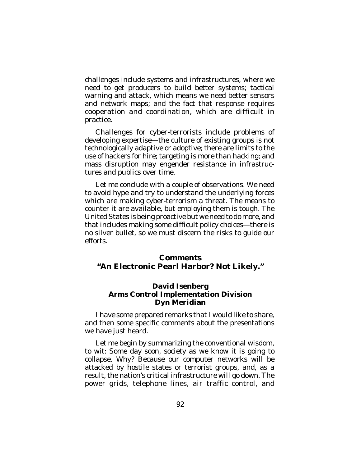challenges include systems and infrastructures, where we need to get producers to build better systems; tactical warning and attack, which means we need better sensors and network maps; and the fact that response requires cooperation and coordination, which are difficult in practice.

Challenges for cyber-terrorists include problems of developing expertise—the culture of existing groups is not technologically adaptive or adoptive; there are limits to the use of hackers for hire; targeting is more than hacking; and mass disruption may engender resistance in infrastructures and publics over time.

Let me conclude with a couple of observations. We need to avoid hype and try to understand the underlying forces which are making cyber-terrorism a threat. The means to counter it are available, but employing them is tough. The United States is being proactive but we need to do more, and that includes making some difficult policy choices—there is no silver bullet, so we must discern the risks to guide our efforts.

### **Comments "An Electronic Pearl Harbor? Not Likely."**

#### **David Isenberg Arms Control Implementation Division Dyn Meridian**

I have some prepared remarks that I would like to share, and then some specific comments about the presentations we have just heard.

Let me begin by summarizing the conventional wisdom, to wit: Some day soon, society as we know it is going to collapse. Why? Because our computer networks will be attacked by hostile states or terrorist groups, and, as a result, the nation's critical infrastructure will go down. The power grids, telephone lines, air traffic control, and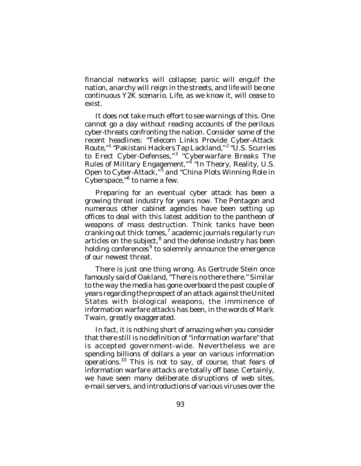financial networks will collapse; panic will engulf the nation, anarchy will reign in the streets, and life will be one continuous Y2K scenario. Life, as we know it, will cease to exist.

It does not take much effort to see warnings of this. One cannot go a day without reading accounts of the perilous cyber-threats confronting the nation. Consider some of the recent headlines: "Telecom Links Provide Cyber-Attack Route,"<sup>1</sup> "Pakistani Hackers Tap Lackland,"<sup>2</sup> "U.S. Scurries to Erect Cyber-Defenses,"<sup>3</sup> "Cyberwarfare Breaks The Rules of Military Engagement,"<sup>4</sup> "In Theory, Reality, U.S. Open to Cyber-Attack,"<sup>5</sup> and "China Plots Winning Role in Cyberspace,"<sup>6</sup> to name a few.

Preparing for an eventual cyber attack has been a growing threat industry for years now. The Pentagon and numerous other cabinet agencies have been setting up offices to deal with this latest addition to the pantheon of weapons of mass destruction. Think tanks have been cranking out thick tomes, $^7$  academic journals regularly run articles on the subject, $^8$  and the defense industry has been holding conferences<sup>9</sup> to solemnly announce the emergence of our newest threat.

There is just one thing wrong. As Gertrude Stein once famously said of Oakland, "There is no there there." Similar to the way the media has gone overboard the past couple of years regarding the prospect of an attack against the United States with biological weapons, the imminence of information warfare attacks has been, in the words of Mark Twain, greatly exaggerated.

In fact, it is nothing short of amazing when you consider that there still is no definition of "information warfare" that is accepted government-wide. Nevertheless we are spending billions of dollars a year on various information operations.<sup>10</sup> This is not to say, of course, that fears of information warfare attacks are totally off base. Certainly, we have seen many deliberate disruptions of web sites, e-mail servers, and introductions of various viruses over the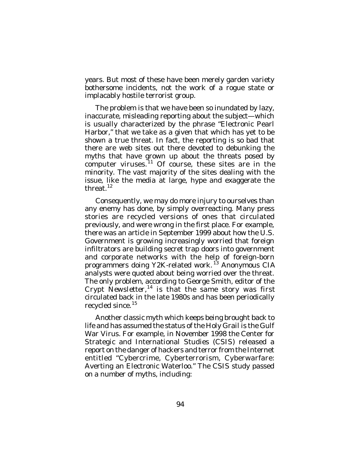years. But most of these have been merely garden variety bothersome incidents, not the work of a rogue state or implacably hostile terrorist group.

The problem is that we have been so inundated by lazy, inaccurate, misleading reporting about the subject—which is usually characterized by the phrase "Electronic Pearl Harbor," that we take as a given that which has yet to be shown a true threat. In fact, the reporting is so bad that there are web sites out there devoted to debunking the myths that have grown up about the threats posed by computer viruses.<sup>11</sup> Of course, these sites are in the minority. The vast majority of the sites dealing with the issue, like the media at large, hype and exaggerate the threat.<sup>12</sup>

Consequently, we may do more injury to ourselves than any enemy has done, by simply overreacting. Many press stories are recycled versions of ones that circulated previously, and were wrong in the first place. For example, there was an article in September 1999 about how the U.S. Government is growing increasingly worried that foreign infiltrators are building secret trap doors into government and corporate networks with the help of foreign-born programmers doing Y2K-related work.<sup>13</sup> Anonymous CIA analysts were quoted about being worried over the threat. The only problem, according to George Smith, editor of the *Crypt Newsletter*, 14 is that the same story was first circulated back in the late 1980s and has been periodically recycled since.<sup>15</sup>

Another classic myth which keeps being brought back to life and has assumed the status of the Holy Grail is the Gulf War Virus. For example, in November 1998 the Center for Strategic and International Studies (CSIS) released a report on the danger of hackers and terror from the Internet entitled "Cybercrime, Cyberterrorism, Cyberwarfare: Averting an Electronic Waterloo." The CSIS study passed on a number of myths, including: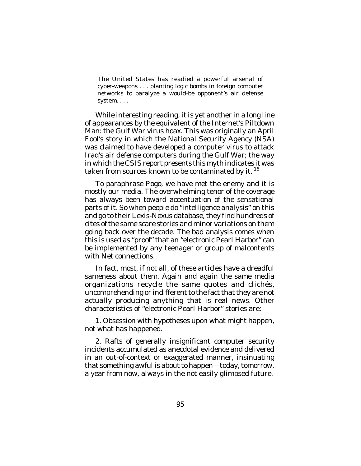The United States has readied a powerful arsenal of cyber-weapons . . . planting logic bombs in foreign computer networks to paralyze a would-be opponent's air defense system. . . .

While interesting reading, it is yet another in a long line of appearances by the equivalent of the Internet's Piltdown Man: the Gulf War virus hoax. This was originally an April Fool's story in which the National Security Agency (NSA) was claimed to have developed a computer virus to attack Iraq's air defense computers during the Gulf War; the way in which the CSIS report presents this myth indicates it was taken from sources known to be contaminated by it.<sup>16</sup>

To paraphrase Pogo, we have met the enemy and it is mostly our media. The overwhelming tenor of the coverage has always been toward accentuation of the sensational parts of it. So when people do "intelligence analysis" on this and go to their Lexis-Nexus database, they find hundreds of cites of the same scare stories and minor variations on them going back over the decade. The bad analysis comes when this is used as "proof" that an "electronic Pearl Harbor" can be implemented by any teenager or group of malcontents with Net connections.

In fact, most, if not all, of these articles have a dreadful sameness about them. Again and again the same media organizations recycle the same quotes and clichés, uncomprehending or indifferent to the fact that they are not actually producing anything that is real news. Other characteristics of "electronic Pearl Harbor" stories are:

1. Obsession with hypotheses upon what might happen, not what has happened.

2. Rafts of generally insignificant computer security incidents accumulated as anecdotal evidence and delivered in an out-of-context or exaggerated manner, insinuating that something awful is about to happen—today, tomorrow, a year from now, always in the not easily glimpsed future.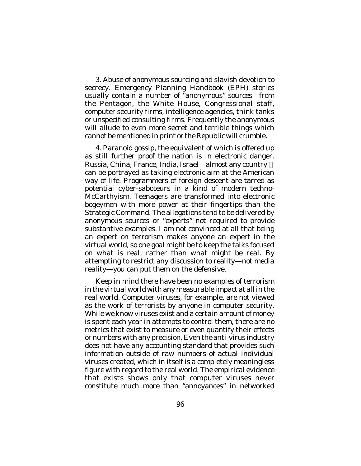3. Abuse of anonymous sourcing and slavish devotion to secrecy. Emergency Planning Handbook (EPH) stories usually contain a number of "anonymous" sources—from the Pentagon, the White House, Congressional staff, computer security firms, intelligence agencies, think tanks or unspecified consulting firms. Frequently the anonymous will allude to even more secret and terrible things which cannot be mentioned in print or the Republic will crumble.

4. Paranoid gossip, the equivalent of which is offered up as still further proof the nation is in electronic danger. Russia, China, France, India, Israel—almost any country can be portrayed as taking electronic aim at the American way of life. Programmers of foreign descent are tarred as potential cyber-saboteurs in a kind of modern techno-McCarthyism. Teenagers are transformed into electronic bogeymen with more power at their fingertips than the Strategic Command. The allegations tend to be delivered by anonymous sources or "experts" not required to provide substantive examples. I am not convinced at all that being an expert on terrorism makes anyone an expert in the virtual world, so one goal might be to keep the talks focused on what is real, rather than what might be real. By attempting to restrict any discussion to reality—not media reality—you can put them on the defensive.

Keep in mind there have been no examples of terrorism in the virtual world with any measurable impact at all in the real world. Computer viruses, for example, are not viewed as the work of terrorists by anyone in computer security. While we know viruses exist and a certain amount of money is spent each year in attempts to control them, there are no metrics that exist to measure or even quantify their effects or numbers with any precision. Even the anti-virus industry does not have any accounting standard that provides such information outside of raw numbers of actual individual viruses created, which in itself is a completely meaningless figure with regard to the real world. The empirical evidence that exists shows only that computer viruses never constitute much more than "annoyances" in networked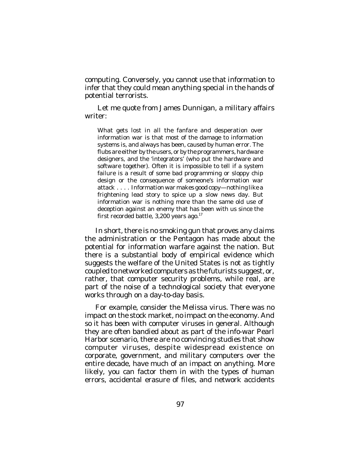computing. Conversely, you cannot use that information to infer that they could mean anything special in the hands of potential terrorists.

 Let me quote from James Dunnigan, a military affairs writer:

What gets lost in all the fanfare and desperation over information war is that most of the damage to information systems is, and always has been, caused by human error. The flubs are either by the users, or by the programmers, hardware designers, and the 'integrators' (who put the hardware and software together). Often it is impossible to tell if a system failure is a result of some bad programming or sloppy chip design or the consequence of someone's information war attack . . . . Information war makes good copy—nothing like a frightening lead story to spice up a slow news day. But information war is nothing more than the same old use of deception against an enemy that has been with us since the first recorded battle, 3,200 years ago. $^{17}$ 

In short, there is no smoking gun that proves any claims the administration or the Pentagon has made about the potential for information warfare against the nation. But there is a substantial body of empirical evidence which suggests the welfare of the United States is not as tightly coupled to networked computers as the futurists suggest, or, rather, that computer security problems, while real, are part of the noise of a technological society that everyone works through on a day-to-day basis.

For example, consider the Melissa virus. There was no impact on the stock market, no impact on the economy. And so it has been with computer viruses in general. Although they are often bandied about as part of the info-war Pearl Harbor scenario, there are no convincing studies that show computer viruses, despite widespread existence on corporate, government, and military computers over the entire decade, have much of an impact on anything. More likely, you can factor them in with the types of human errors, accidental erasure of files, and network accidents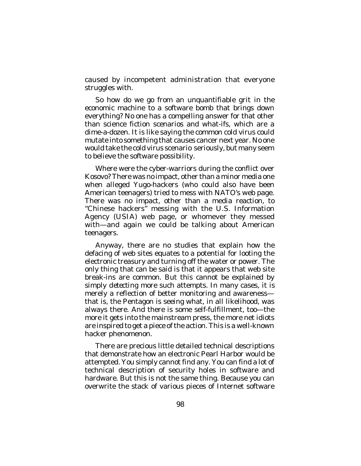caused by incompetent administration that everyone struggles with.

So how do we go from an unquantifiable grit in the economic machine to a software bomb that brings down everything? No one has a compelling answer for that other than science fiction scenarios and what-ifs, which are a dime-a-dozen. It is like saying the common cold virus could mutate into something that causes cancer next year. No one would take the cold virus scenario seriously, but many seem to believe the software possibility.

Where were the cyber-warriors during the conflict over Kosovo? There was no impact, other than a minor media one when alleged Yugo-hackers (who could also have been American teenagers) tried to mess with NATO's web page. There was no impact, other than a media reaction, to "Chinese hackers" messing with the U.S. Information Agency (USIA) web page, or whomever they messed with—and again we could be talking about American teenagers.

Anyway, there are no studies that explain how the defacing of web sites equates to a potential for looting the electronic treasury and turning off the water or power. The only thing that can be said is that it appears that web site break-ins are common. But this cannot be explained by simply *detecting* more such attempts. In many cases, it is merely a reflection of better monitoring and awareness that is, the Pentagon is seeing what, in all likelihood, was always there. And there is some self-fulfillment, too—the more it gets into the mainstream press, the more net idiots are inspired to get a piece of the action. This is a well-known hacker phenomenon.

There are precious little detailed technical descriptions that demonstrate how an electronic Pearl Harbor would be attempted. You simply cannot find any. You can find a lot of technical description of security holes in software and hardware. But this is not the same thing. Because you can overwrite the stack of various pieces of Internet software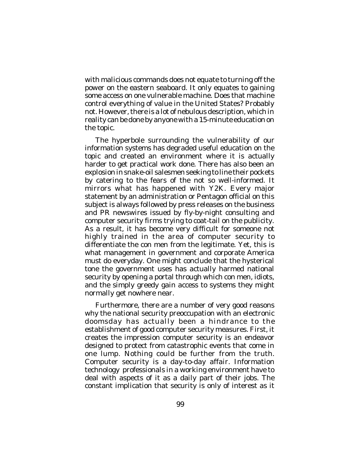with malicious commands does not equate to turning off the power on the eastern seaboard. It only equates to gaining some access on one vulnerable machine. Does that machine control everything of value in the United States? Probably not. However, there is a lot of nebulous description, which in reality can be done by anyone with a 15-minute education on the topic.

The hyperbole surrounding the vulnerability of our information systems has degraded useful education on the topic and created an environment where it is actually harder to get practical work done. There has also been an explosion in snake-oil salesmen seeking to line their pockets by catering to the fears of the not so well-informed. It mirrors what has happened with Y2K. Every major statement by an administration or Pentagon official on this subject is always followed by press releases on the business and PR newswires issued by fly-by-night consulting and computer security firms trying to coat-tail on the publicity. As a result, it has become very difficult for someone not highly trained in the area of computer security to differentiate the con men from the legitimate. Yet, this is what management in government and corporate America must do everyday. One might conclude that the hysterical tone the government uses has actually harmed national security by opening a portal through which con men, idiots, and the simply greedy gain access to systems they might normally get nowhere near.

Furthermore, there are a number of very good reasons why the national security preoccupation with an electronic doomsday has actually been a hindrance to the establishment of good computer security measures. First, it creates the impression computer security is an endeavor designed to protect from catastrophic events that come in one lump. Nothing could be further from the truth. Computer security is a day-to-day affair. Information technology professionals in a working environment have to deal with aspects of it as a daily part of their jobs. The constant implication that security is only of interest as it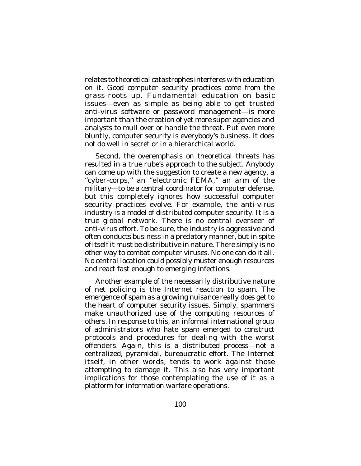relates to theoretical catastrophes interferes with education on it. Good computer security practices come from the grass-roots up. Fundamental education on basic issues—even as simple as being able to get trusted anti-virus software or password management—is more important than the creation of yet more super agencies and analysts to mull over or handle the threat. Put even more bluntly, computer security is everybody's business. It does not do well in secret or in a hierarchical world.

Second, the overemphasis on theoretical threats has resulted in a true rube's approach to the subject. Anybody can come up with the suggestion to create a new agency, a "cyber-corps," an "electronic FEMA," an arm of the military—to be a central coordinator for computer defense, but this completely ignores how successful computer security practices evolve. For example, the anti-virus industry is a model of distributed computer security. It is a true global network. There is no central overseer of anti-virus effort. To be sure, the industry is aggressive and often conducts business in a predatory manner, but in spite of itself it must be distributive in nature. There simply is no other way to combat computer viruses. No one can do it all. No central location could possibly muster enough resources and react fast enough to emerging infections.

Another example of the necessarily distributive nature of net policing is the Internet reaction to spam. The emergence of spam as a growing nuisance really does get to the heart of computer security issues. Simply, spammers make unauthorized use of the computing resources of others. In response to this, an informal international group of administrators who hate spam emerged to construct protocols and procedures for dealing with the worst offenders. Again, this is a distributed process—not a centralized, pyramidal, bureaucratic effort. The Internet itself, in other words, tends to work against those attempting to damage it. This also has very important implications for those contemplating the use of it as a platform for information warfare operations.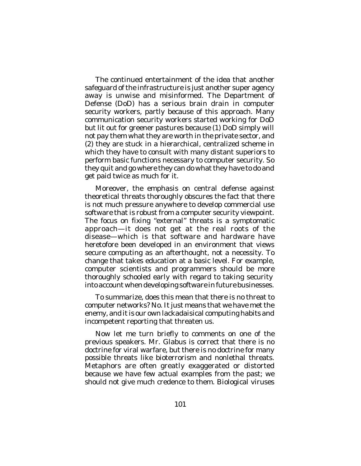The continued entertainment of the idea that another safeguard of the infrastructure is just another super agency away is unwise and misinformed. The Department of Defense (DoD) has a serious brain drain in computer security workers, partly because of this approach. Many communication security workers started working for DoD but lit out for greener pastures because (1) DoD simply will not pay them what they are worth in the private sector, and (2) they are stuck in a hierarchical, centralized scheme in which they have to consult with many distant superiors to perform basic functions necessary to computer security. So they quit and go where they can do what they have to do and get paid twice as much for it.

Moreover, the emphasis on central defense against theoretical threats thoroughly obscures the fact that there is not much pressure anywhere to develop commercial use software that is robust from a computer security viewpoint. The focus on fixing "external" threats is a symptomatic approach—it does not get at the real roots of the disease—which is that software and hardware have heretofore been developed in an environment that views secure computing as an afterthought, not a necessity. To change that takes education at a basic level. For example, computer scientists and programmers should be more thoroughly schooled early with regard to taking security into account when developing software in future businesses.

To summarize, does this mean that there is no threat to computer networks? No. It just means that we have met the enemy, and it is our own lackadaisical computing habits and incompetent reporting that threaten us.

Now let me turn briefly to comments on one of the previous speakers. Mr. Glabus is correct that there is no doctrine for viral warfare, but there is no doctrine for many possible threats like bioterrorism and nonlethal threats. Metaphors are often greatly exaggerated or distorted because we have few actual examples from the past; we should not give much credence to them. Biological viruses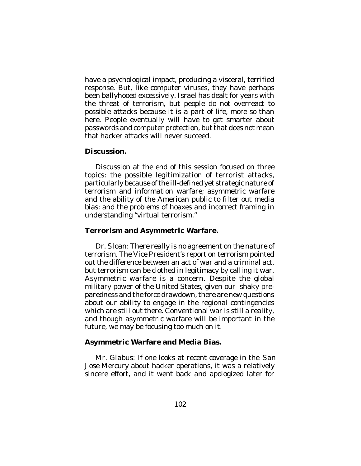have a psychological impact, producing a visceral, terrified response. But, like computer viruses, they have perhaps been ballyhooed excessively. Israel has dealt for years with the threat of terrorism, but people do not overreact to possible attacks because it is a part of life, more so than here. People eventually will have to get smarter about passwords and computer protection, but that does not mean that hacker attacks will never succeed.

## **Discussion.**

Discussion at the end of this session focused on three topics: the possible legitimization of terrorist attacks, particularly because of the ill-defined yet strategic nature of terrorism and information warfare; asymmetric warfare and the ability of the American public to filter out media bias; and the problems of hoaxes and incorrect framing in understanding "virtual terrorism."

## **Terrorism and Asymmetric Warfare.**

*Dr. Sloan*: There really is no agreement on the nature of terrorism. The Vice President's report on terrorism pointed out the difference between an act of war and a criminal act, but terrorism can be clothed in legitimacy by calling it war. Asymmetric warfare is a concern. Despite the global military power of the United States, given our shaky preparedness and the force drawdown, there are new questions about our ability to engage in the regional contingencies which are still out there. Conventional war is still a reality, and though asymmetric warfare will be important in the future, we may be focusing too much on it.

#### **Asymmetric Warfare and Media Bias.**

*Mr. Glabus*: If one looks at recent coverage in the *San Jose Mercury* about hacker operations, it was a relatively sincere effort, and it went back and apologized later for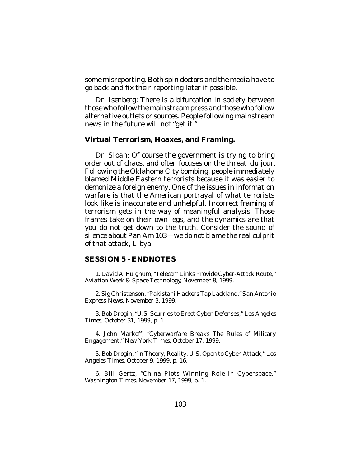some misreporting. Both spin doctors and the media have to go back and fix their reporting later if possible.

*Dr. Isenberg*: There is a bifurcation in society between those who follow the mainstream press and those who follow alternative outlets or sources. People following mainstream news in the future will not "get it."

#### **Virtual Terrorism, Hoaxes, and Framing.**

*Dr. Sloan*: Of course the government is trying to bring order out of chaos, and often focuses on the threat *du jour.* Following the Oklahoma City bombing, people immediately blamed Middle Eastern terrorists because it was easier to demonize a foreign enemy. One of the issues in information warfare is that the American portrayal of what terrorists look like is inaccurate and unhelpful. Incorrect framing of terrorism gets in the way of meaningful analysis. Those frames take on their own legs, and the dynamics are that you do not get down to the truth. Consider the sound of silence about Pan Am 103—we do not blame the real culprit of that attack, Libya.

#### **SESSION 5 - ENDNOTES**

1. David A. Fulghum, "Telecom Links Provide Cyber-Attack Route,*" Aviation Week & Space Technology*, November 8, 1999.

2. Sig Christenson, "Pakistani Hackers Tap Lackland,"*San Antonio Express-News*, November 3, 1999.

3. Bob Drogin, "U.S. Scurries to Erect Cyber-Defenses," *Los Angeles Times*, October 31, 1999, p. 1.

4. John Markoff, "Cyberwarfare Breaks The Rules of Military Engagement," *New York Times*, October 17, 1999.

5. Bob Drogin, "In Theory, Reality, U.S. Open to Cyber-Attack," *Los Angeles Times*, October 9, 1999, p. 16.

6. Bill Gertz, "China Plots Winning Role in Cyberspace," *Washington Times*, November 17, 1999, p. 1.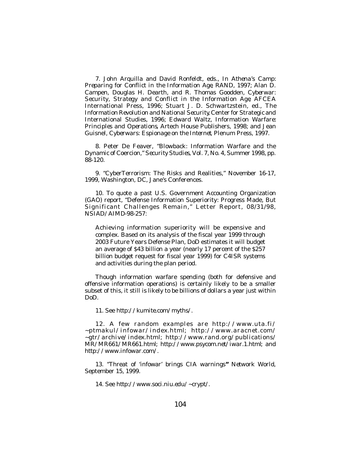7. John Arquilla and David Ronfeldt, eds., *In Athena's Camp: Preparing for Conflict in the Information Age*, RAND, 1997; Alan D. Campen, Douglas H. Dearth, and R. Thomas Goodden, *Cyberwar: Security, Strategy and Conflict in the Information Age*, AFCEA International Press, 1996; Stuart J. D. Schwartzstein, ed*., The Information Revolution and National Security*, Center for Strategic and International Studies, 1996; Edward Waltz*, Information Warfare: Principles and Operations*, Artech House Publishers, 1998; and Jean Guisnel, *Cyberwars: Espionage on the Internet*, Plenum Press, 1997.

8. Peter De Feaver, "Blowback: Information Warfare and the Dynamic of Coercion*," Security Studies*, Vol. 7, No. 4, Summer 1998, pp. 88-120.

9. "CyberTerrorism: The Risks and Realities," November 16-17, 1999, Washington, DC, Jane's Conferences.

10. To quote a past U.S. Government Accounting Organization (GAO) report, "Defense Information Superiority: Progress Made, But Significant Challenges Remain," Letter Report, 08/31/98, *NSIAD/AIMD*-98-257:

Achieving information superiority will be expensive and complex. Based on its analysis of the fiscal year 1999 through 2003 Future Years Defense Plan, DoD estimates it will budget an average of \$43 billion a year (nearly 17 percent of the \$257 billion budget request for fiscal year 1999) for C4ISR systems and activities during the plan period.

Though information warfare spending (both for defensive and offensive information operations) is certainly likely to be a smaller subset of this, it still is likely to be billions of dollars a year just within DoD.

11. See *http://kumite.com/myths/*.

12. A few random examples are *http://www.uta.fi/ ~ptmakul/infowar/index.html*; *http://www.aracnet.com/ ~gtr/archive/index.html*; *http://www.rand.org/publications/ MR/MR661/MR661.html*; *http://www.psycom.net/iwar.1.html*; and *http://www.infowar.com/*.

13. "Threat of 'infowar' brings CIA warnings**"** *Network World*, September 15, 1999.

14. See *http://www.soci.niu.edu/~crypt/*.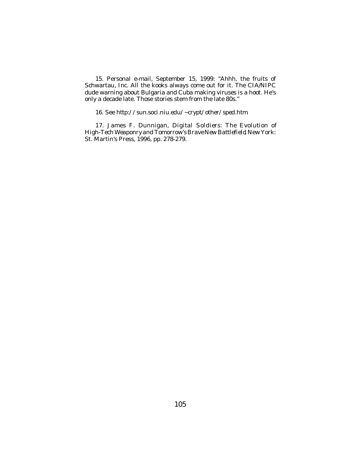15. Personal e-mail, September 15, 1999: "Ahhh, the fruits of Schwartau, Inc. All the kooks always come out for it. The CIA/NIPC dude warning about Bulgaria and Cuba making viruses is a hoot. He's only a decade late. Those stories stem from the late 80s."

16. See *http://sun.soci.niu.edu/~crypt/other/sped.htm*.

17. James F. Dunnigan, *Digital Soldiers: The Evolution of High-Tech Weaponry and Tomorrow's Brave New Battlefield*, New York: St. Martin's Press, 1996, pp. 278-279.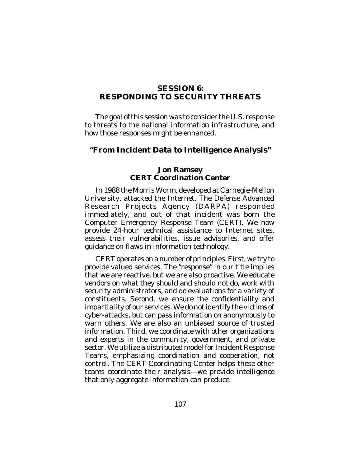# **SESSION 6: RESPONDING TO SECURITY THREATS**

The goal of this session was to consider the U.S. response to threats to the national information infrastructure, and how those responses might be enhanced.

# **"From Incident Data to Intelligence Analysis"**

#### **Jon Ramsey CERT Coordination Center**

In 1988 the Morris Worm, developed at Carnegie-Mellon University, attacked the Internet. The Defense Advanced Research Projects Agency (DARPA) responded immediately, and out of that incident was born the Computer Emergency Response Team (CERT). We now provide 24-hour technical assistance to Internet sites, assess their vulnerabilities, issue advisories, and offer guidance on flaws in information technology.

CERT operates on a number of principles. First, we try to provide valued services. The "response" in our title implies that we are reactive, but we are also proactive. We educate vendors on what they should and should not do, work with security administrators, and do evaluations for a variety of constituents. Second, we ensure the confidentiality and impartiality of our services. We do not identify the victims of cyber-attacks, but can pass information on anonymously to warn others. We are also an unbiased source of trusted information. Third, we coordinate with other organizations and experts in the community, government, and private sector. We utilize a distributed model for Incident Response Teams, emphasizing coordination and cooperation, not control. The CERT Coordinating Center helps these other teams coordinate their analysis—we provide intelligence that only aggregate information can produce.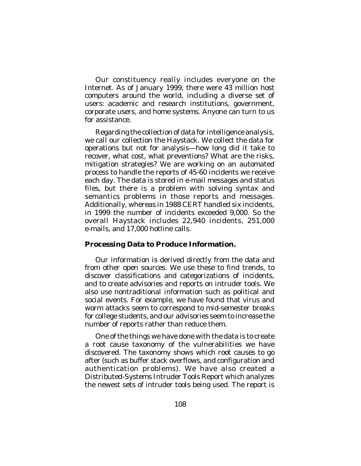Our constituency really includes everyone on the Internet. As of January 1999, there were 43 million host computers around the world, including a diverse set of users: academic and research institutions, government, corporate users, and home systems. Anyone can turn to us for assistance.

Regarding the collection of data for intelligence analysis, we call our collection the Haystack. We collect the data for operations but not for analysis—how long did it take to recover, what cost, what preventions? What are the risks, mitigation strategies? We are working on an automated process to handle the reports of 45-60 incidents we receive each day. The data is stored in e-mail messages and status files, but there is a problem with solving syntax and semantics problems in those reports and messages. Additionally, whereas in 1988 CERT handled six incidents, in 1999 the number of incidents exceeded 9,000. So the overall Haystack includes 22,940 incidents, 251,000 e-mails, and 17,000 hotline calls.

#### **Processing Data to Produce Information.**

Our information is derived directly from the data and from other open sources. We use these to find trends, to discover classifications and categorizations of incidents, and to create advisories and reports on intruder tools. We also use nontraditional information such as political and social events. For example, we have found that virus and worm attacks seem to correspond to mid-semester breaks for college students, and our advisories seem to increase the number of reports rather than reduce them.

One of the things we have done with the data is to create a root cause taxonomy of the vulnerabilities we have discovered. The taxonomy shows which root causes to go after (such as buffer stack overflows, and configuration and authentication problems). We have also created a Distributed-Systems Intruder Tools Report which analyzes the newest sets of intruder tools being used. The report is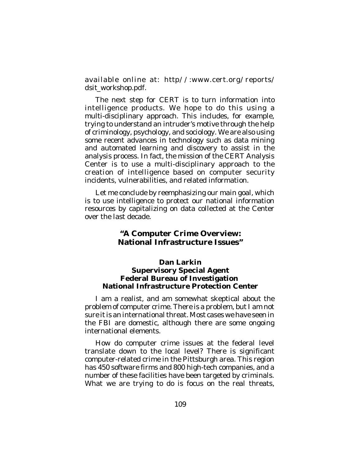available online at: *http//:www.cert.org/reports/ dsit\_workshop.pdf*.

The next step for CERT is to turn information into intelligence products. We hope to do this using a multi-disciplinary approach. This includes, for example, trying to understand an intruder's motive through the help of criminology, psychology, and sociology. We are also using some recent advances in technology such as data mining and automated learning and discovery to assist in the analysis process. In fact, the mission of the CERT Analysis Center is to use a multi-disciplinary approach to the creation of intelligence based on computer security incidents, vulnerabilities, and related information.

Let me conclude by reemphasizing our main goal, which is to use intelligence to protect our national information resources by capitalizing on data collected at the Center over the last decade.

# **"A Computer Crime Overview: National Infrastructure Issues"**

#### **Dan Larkin Supervisory Special Agent Federal Bureau of Investigation National Infrastructure Protection Center**

I am a realist, and am somewhat skeptical about the problem of computer crime. There is a problem, but I am not sure it is an international threat. Most cases we have seen in the FBI are domestic, although there are some ongoing international elements.

How do computer crime issues at the federal level translate down to the local level? There is significant computer-related crime in the Pittsburgh area. This region has 450 software firms and 800 high-tech companies, and a number of these facilities have been targeted by criminals. What we are trying to do is focus on the real threats,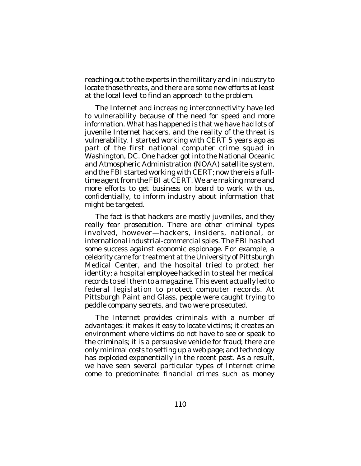reaching out to the experts in the military and in industry to locate those threats, and there are some new efforts at least at the local level to find an approach to the problem.

The Internet and increasing interconnectivity have led to vulnerability because of the need for speed and more information. What has happened is that we have had lots of juvenile Internet hackers, and the reality of the threat is vulnerability. I started working with CERT 5 years ago as part of the first national computer crime squad in Washington, DC. One hacker got into the National Oceanic and Atmospheric Administration (NOAA) satellite system, and the FBI started working with CERT; now there is a fulltime agent from the FBI at CERT. We are making more and more efforts to get business on board to work with us, confidentially, to inform industry about information that might be targeted.

The fact is that hackers are mostly juveniles, and they really fear prosecution. There are other criminal types involved, however—hackers, insiders, national, or international industrial-commercial spies. The FBI has had some success against economic espionage. For example, a celebrity came for treatment at the University of Pittsburgh Medical Center, and the hospital tried to protect her identity; a hospital employee hacked in to steal her medical records to sell them to a magazine. This event actually led to federal legislation to protect computer records. At Pittsburgh Paint and Glass, people were caught trying to peddle company secrets, and two were prosecuted.

The Internet provides criminals with a number of advantages: it makes it easy to locate victims; it creates an environment where victims do not have to see or speak to the criminals; it is a persuasive vehicle for fraud; there are only minimal costs to setting up a web page; and technology has exploded exponentially in the recent past. As a result, we have seen several particular types of Internet crime come to predominate: financial crimes such as money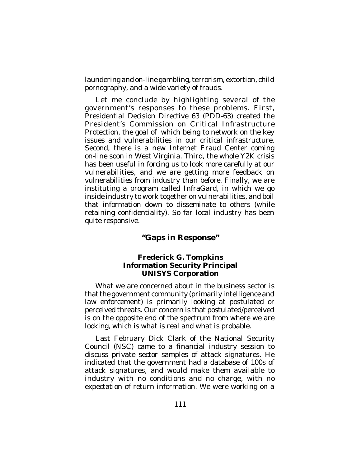laundering and on-line gambling, terrorism, extortion, child pornography, and a wide variety of frauds.

Let me conclude by highlighting several of the government's responses to these problems. First, Presidential Decision Directive 63 (PDD-63) created the President's Commission on Critical Infrastructure Protection, the goal of which being to network on the key issues and vulnerabilities in our critical infrastructure. Second, there is a new Internet Fraud Center coming on-line soon in West Virginia. Third, the whole Y2K crisis has been useful in forcing us to look more carefully at our vulnerabilities, and we are getting more feedback on vulnerabilities from industry than before. Finally, we are instituting a program called InfraGard, in which we go inside industry to work together on vulnerabilities, and boil that information down to disseminate to others (while retaining confidentiality). So far local industry has been quite responsive.

# **"Gaps in Response"**

#### **Frederick G. Tompkins Information Security Principal UNISYS Corporation**

What we are concerned about in the business sector is that the government community (primarily intelligence and law enforcement) is primarily looking at postulated or perceived threats. Our concern is that postulated/perceived is on the opposite end of the spectrum from where we are looking, which is what is real and what is probable.

Last February Dick Clark of the National Security Council (NSC) came to a financial industry session to discuss private sector samples of attack signatures. He indicated that the government had a database of 100s of attack signatures, and would make them available to industry with no conditions and no charge, with no expectation of return information. We were working on a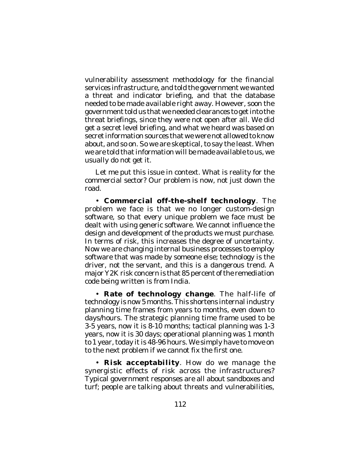vulnerability assessment methodology for the financial services infrastructure, and told the government we wanted a threat and indicator briefing, and that the database needed to be made available right away. However, soon the government told us that we needed clearances to get into the threat briefings, since they were not open after all. We did get a secret level briefing, and what we heard was based on secret information sources that we were not allowed to know about, and so on. So we are skeptical, to say the least. When we are told that information will be made available to us, we usually do not get it.

Let me put this issue in context. What is reality for the commercial sector? Our problem is now, not just down the road.

• **Commercial off-the-shelf technology**. The problem we face is that we no longer custom-design software, so that every unique problem we face must be dealt with using generic software. We cannot influence the design and development of the products we must purchase. In terms of risk, this increases the degree of uncertainty. Now we are changing internal business processes to employ software that was made by someone else; technology is the driver, not the servant, and this is a dangerous trend. A major Y2K risk concern is that 85 percent of the remediation code being written is from India.

• **Rate of technology change**. The half-life of technology is now 5 months. This shortens internal industry planning time frames from years to months, even down to days/hours. The strategic planning time frame used to be 3-5 years, now it is 8-10 months; tactical planning was 1-3 years, now it is 30 days; operational planning was 1 month to 1 year, today it is 48-96 hours. We simply have to move on to the next problem if we cannot fix the first one.

• **Risk acceptability**. How do we manage the synergistic effects of risk across the infrastructures? Typical government responses are all about sandboxes and turf; people are talking about threats and vulnerabilities,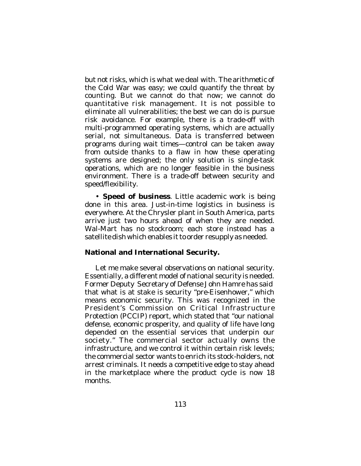but not risks, which is what we deal with. The arithmetic of the Cold War was easy; we could quantify the threat by counting. But we cannot do that now; we cannot do quantitative risk management. It is not possible to eliminate all vulnerabilities; the best we can do is pursue risk avoidance. For example, there is a trade-off with multi-programmed operating systems, which are actually serial, not simultaneous. Data is transferred between programs during wait times—control can be taken away from outside thanks to a flaw in how these operating systems are designed; the only solution is single-task operations, which are no longer feasible in the business environment. There is a trade-off between security and speed/flexibility.

• **Speed of business**. Little academic work is being done in this area. Just-in-time logistics in business is everywhere. At the Chrysler plant in South America, parts arrive just two hours ahead of when they are needed. Wal-Mart has no stockroom; each store instead has a satellite dish which enables it to order resupply as needed.

### **National and International Security.**

Let me make several observations on national security. Essentially, a different model of national security is needed. Former Deputy Secretary of Defense John Hamre has said that what is at stake is security "pre-Eisenhower," which means economic security. This was recognized in the President's Commission on Critical Infrastructure Protection (PCCIP) report, which stated that "our national defense, economic prosperity, and quality of life have long depended on the essential services that underpin our society." The commercial sector actually owns the infrastructure, and we control it within certain risk levels; the commercial sector wants to enrich its stock-holders, not arrest criminals. It needs a competitive edge to stay ahead in the marketplace where the product cycle is now 18 months.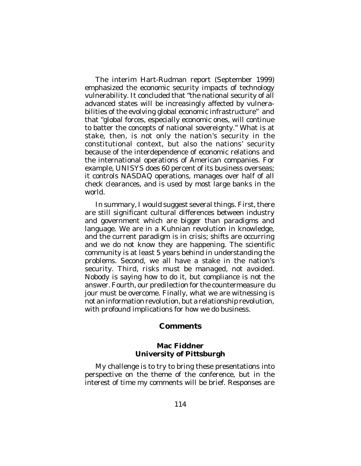The interim Hart-Rudman report (September 1999) emphasized the economic security impacts of technology vulnerability. It concluded that "the national security of all advanced states will be increasingly affected by vulnerabilities of the evolving global economic infrastructure" and that "global forces, especially economic ones, will continue to batter the concepts of national sovereignty." What is at stake, then, is not only the nation's security in the constitutional context, but also the nations' security because of the interdependence of economic relations and the international operations of American companies. For example, UNISYS does 60 percent of its business overseas; it controls NASDAQ operations, manages over half of all check clearances, and is used by most large banks in the world.

In summary, I would suggest several things. First, there are still significant cultural differences between industry and government which are bigger than paradigms and language. We are in a Kuhnian revolution in knowledge, and the current paradigm is in crisis; shifts are occurring and we do not know they are happening. The scientific community is at least 5 years behind in understanding the problems. Second, we all have a stake in the nation's security. Third, risks must be managed, not avoided. Nobody is saying how to do it, but compliance is not the answer. Fourth, our predilection for the countermeasure *du jour* must be overcome. Finally, what we are witnessing is not an information revolution, but a relationship revolution, with profound implications for how we do business.

### **Comments**

#### **Mac Fiddner University of Pittsburgh**

My challenge is to try to bring these presentations into perspective on the theme of the conference, but in the interest of time my comments will be brief. Responses are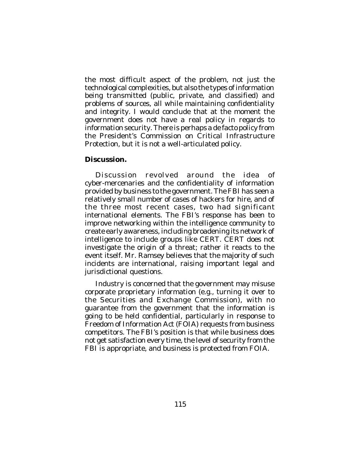the most difficult aspect of the problem, not just the technological complexities, but also the types of information being transmitted (public, private, and classified) and problems of sources, all while maintaining confidentiality and integrity. I would conclude that at the moment the government does not have a real policy in regards to information security. There is perhaps a de facto policy from the President's Commission on Critical Infrastructure Protection, but it is not a well-articulated policy.

#### **Discussion.**

Discussion revolved around the idea of cyber-mercenaries and the confidentiality of information provided by business to the government. The FBI has seen a relatively small number of cases of hackers for hire, and of the three most recent cases, two had significant international elements. The FBI's response has been to improve networking within the intelligence community to create early awareness, including broadening its network of intelligence to include groups like CERT. CERT does not investigate the origin of a threat; rather it reacts to the event itself. Mr. Ramsey believes that the majority of such incidents are international, raising important legal and jurisdictional questions.

Industry is concerned that the government may misuse corporate proprietary information (e.g., turning it over to the Securities and Exchange Commission), with no guarantee from the government that the information is going to be held confidential, particularly in response to Freedom of Information Act (FOIA) requests from business competitors. The FBI's position is that while business does not get satisfaction every time, the level of security from the FBI is appropriate, and business is protected from FOIA.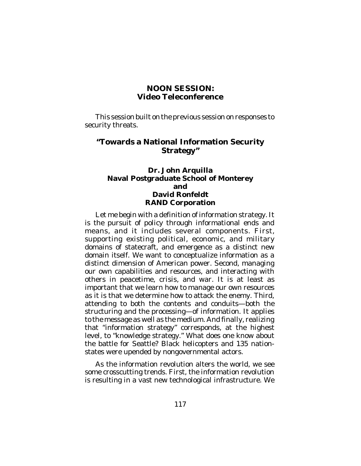# **NOON SESSION: Video Teleconference**

This session built on the previous session on responses to security threats.

# **"Towards a National Information Security Strategy"**

## **Dr. John Arquilla Naval Postgraduate School of Monterey and David Ronfeldt RAND Corporation**

Let me begin with a definition of information strategy. It is the pursuit of policy through informational ends and means, and it includes several components. First, supporting existing political, economic, and military domains of statecraft, and emergence as a distinct new domain itself. We want to conceptualize information as a distinct dimension of American power. Second, managing our own capabilities and resources, and interacting with others in peacetime, crisis, and war. It is at least as important that we learn how to manage our own resources as it is that we determine how to attack the enemy. Third, attending to both the contents and conduits—both the structuring and the processing—of information. It applies to the message as well as the medium. And finally, realizing that "information strategy" corresponds, at the highest level, to "knowledge strategy." What does one know about the battle for Seattle? Black helicopters and 135 nationstates were upended by nongovernmental actors.

As the information revolution alters the world, we see some crosscutting trends. First, the information revolution is resulting in a vast new technological infrastructure. We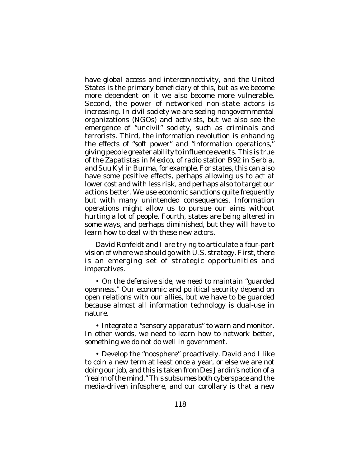have global access and interconnectivity, and the United States is the primary beneficiary of this, but as we become more dependent on it we also become more vulnerable. Second, the power of networked non-state actors is increasing. In civil society we are seeing nongovernmental organizations (NGOs) and activists, but we also see the emergence of "uncivil" society, such as criminals and terrorists. Third, the information revolution is enhancing the effects of "soft power" and "information operations," giving people greater ability to influence events. This is true of the Zapatistas in Mexico, of radio station B92 in Serbia, and Suu Kyl in Burma, for example. For states, this can also have some positive effects, perhaps allowing us to act at lower cost and with less risk, and perhaps also to target our actions better. We use economic sanctions quite frequently but with many unintended consequences. Information operations might allow us to pursue our aims without hurting a lot of people. Fourth, states are being altered in some ways, and perhaps diminished, but they will have to learn how to deal with these new actors.

David Ronfeldt and I are trying to articulate a four-part vision of where we should go with U.S. strategy. First, there is an emerging set of strategic opportunities and imperatives.

• On the defensive side, we need to maintain "guarded openness." Our economic and political security depend on open relations with our allies, but we have to be guarded because almost all information technology is dual-use in nature.

• Integrate a "sensory apparatus" to warn and monitor. In other words, we need to learn how to network better, something we do not do well in government.

• Develop the "noosphere" proactively. David and I like to coin a new term at least once a year, or else we are not doing our job, and this is taken from Des Jardin's notion of a "realm of the mind." This subsumes both cyberspace and the media-driven infosphere, and our corollary is that a new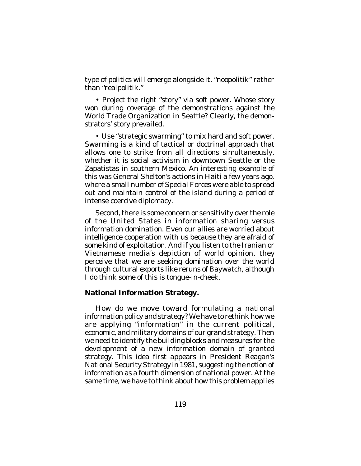type of politics will emerge alongside it, "noopolitik" rather than "realpolitik."

• Project the right "story" via soft power. Whose story won during coverage of the demonstrations against the World Trade Organization in Seattle? Clearly, the demonstrators' story prevailed.

• Use "strategic swarming" to mix hard and soft power. Swarming is a kind of tactical or doctrinal approach that allows one to strike from all directions simultaneously, whether it is social activism in downtown Seattle or the Zapatistas in southern Mexico. An interesting example of this was General Shelton's actions in Haiti a few years ago, where a small number of Special Forces were able to spread out and maintain control of the island during a period of intense coercive diplomacy.

Second, there is some concern or sensitivity over the role of the United States in information sharing versus information domination. Even our allies are worried about intelligence cooperation with us because they are afraid of some kind of exploitation. And if you listen to the Iranian or Vietnamese media's depiction of world opinion, they perceive that we are seeking domination over the world through cultural exports like reruns of Baywatch, although I do think some of this is tongue-in-cheek.

#### **National Information Strategy.**

How do we move toward formulating a national information policy and strategy? We have to rethink how we are applying "information" in the current political, economic, and military domains of our grand strategy. Then we need to identify the building blocks and measures for the development of a new information domain of granted strategy. This idea first appears in President Reagan's National Security Strategy in 1981, suggesting the notion of information as a fourth dimension of national power. At the same time, we have to think about how this problem applies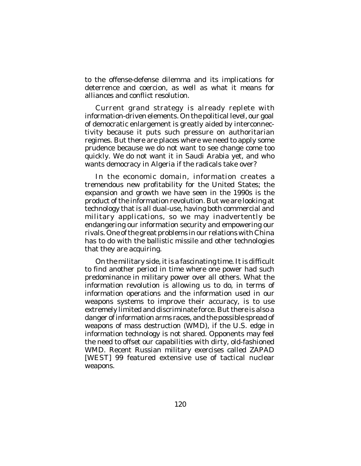to the offense-defense dilemma and its implications for deterrence and coercion, as well as what it means for alliances and conflict resolution.

Current grand strategy is already replete with information-driven elements. On the political level, our goal of democratic enlargement is greatly aided by interconnectivity because it puts such pressure on authoritarian regimes. But there are places where we need to apply some prudence because we do not want to see change come too quickly. We do not want it in Saudi Arabia yet, and who wants democracy in Algeria if the radicals take over?

In the economic domain, information creates a tremendous new profitability for the United States; the expansion and growth we have seen in the 1990s is the product of the information revolution. But we are looking at technology that is all dual-use, having both commercial and military applications, so we may inadvertently be endangering our information security and empowering our rivals. One of the great problems in our relations with China has to do with the ballistic missile and other technologies that they are acquiring.

On the military side, it is a fascinating time. It is difficult to find another period in time where one power had such predominance in military power over all others. What the information revolution is allowing us to do, in terms of information operations and the information used in our weapons systems to improve their accuracy, is to use extremely limited and discriminate force. But there is also a danger of information arms races, and the possible spread of weapons of mass destruction (WMD), if the U.S. edge in information technology is not shared. Opponents may feel the need to offset our capabilities with dirty, old-fashioned WMD. Recent Russian military exercises called ZAPAD [WEST] 99 featured extensive use of tactical nuclear weapons.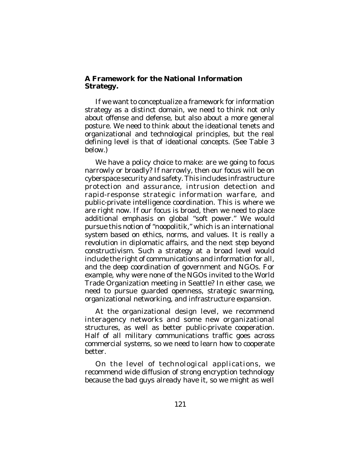### **A Framework for the National Information Strategy.**

If we want to conceptualize a framework for information strategy as a distinct domain, we need to think not only about offense and defense, but also about a more general posture. We need to think about the ideational tenets and organizational and technological principles, but the real defining level is that of ideational concepts. (See Table 3 below.)

We have a policy choice to make: are we going to focus narrowly or broadly? If narrowly, then our focus will be on cyberspace security and safety. This includes infrastructure protection and assurance, intrusion detection and rapid-response strategic information warfare, and public-private intelligence coordination. This is where we are right now. If our focus is broad, then we need to place additional emphasis on global "soft power." We would pursue this notion of "noopolitik," which is an international system based on ethics, norms, and values. It is really a revolution in diplomatic affairs, and the next step beyond constructivism. Such a strategy at a broad level would include the right of communications and information for all, and the deep coordination of government and NGOs. For example, why were none of the NGOs invited to the World Trade Organization meeting in Seattle? In either case, we need to pursue guarded openness, strategic swarming, organizational networking, and infrastructure expansion.

At the organizational design level, we recommend interagency networks and some new organizational structures, as well as better public-private cooperation. Half of all military communications traffic goes across commercial systems, so we need to learn how to cooperate better.

On the level of technological applications, we recommend wide diffusion of strong encryption technology because the bad guys already have it, so we might as well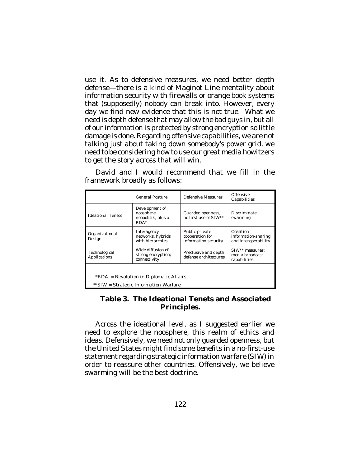use it. As to defensive measures, we need better depth defense—there is a kind of Maginot Line mentality about information security with firewalls or orange book systems that (supposedly) nobody can break into. However, every day we find new evidence that this is not true. What we need is depth defense that may allow the bad guys in, but all of our information is protected by strong encryption so little damage is done. Regarding offensive capabilities, we are not talking just about taking down somebody's power grid, we need to be considering how to use our great media howitzers to get the story across that will win.

David and I would recommend that we fill in the framework broadly as follows:

|                                                                                  | General Posture                                              | Defensive Measures                                        | Offensive<br>Capabilities                                |
|----------------------------------------------------------------------------------|--------------------------------------------------------------|-----------------------------------------------------------|----------------------------------------------------------|
| <b>Ideational Tenets</b>                                                         | Development of<br>noosphere,<br>noopolitik, plus a<br>$RDA*$ | Guarded openness,<br>no first use of SIW**                | Discriminate<br>swarming                                 |
| Organizational<br>Design                                                         | Interagency<br>networks, hybrids<br>with hierarchies         | Public-private<br>cooperation for<br>information security | Coalition<br>information-sharing<br>and interoperability |
| Technological<br>Applications                                                    | Wide diffusion of<br>strong encryption;<br>connectivity      | Preclusive and depth<br>defense architectures             | SIW** measures:<br>media broadcast<br>capabilities       |
| *RDA = Revolution in Diplomatic Affairs<br>**SIW = Strategic Information Warfare |                                                              |                                                           |                                                          |

#### **Table 3. The Ideational Tenets and Associated Principles.**

Across the ideational level, as I suggested earlier we need to explore the noosphere, this realm of ethics and ideas. Defensively, we need not only guarded openness, but the United States might find some benefits in a no-first-use statement regarding strategic information warfare (SIW) in order to reassure other countries. Offensively, we believe swarming will be the best doctrine.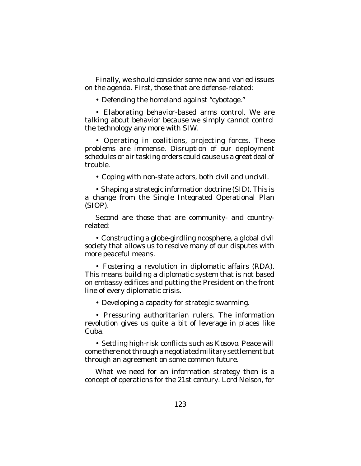Finally, we should consider some new and varied issues on the agenda. First, those that are defense-related:

• Defending the homeland against "cybotage."

• Elaborating behavior-based arms control. We are talking about behavior because we simply cannot control the technology any more with SIW.

• Operating in coalitions, projecting forces. These problems are immense. Disruption of our deployment schedules or air tasking orders could cause us a great deal of trouble.

• Coping with non-state actors, both civil and uncivil.

• Shaping a strategic information doctrine (SID). This is a change from the Single Integrated Operational Plan (SIOP).

Second are those that are community- and countryrelated:

• Constructing a globe-girdling noosphere, a global civil society that allows us to resolve many of our disputes with more peaceful means.

• Fostering a revolution in diplomatic affairs (RDA). This means building a diplomatic system that is not based on embassy edifices and putting the President on the front line of every diplomatic crisis.

• Developing a capacity for strategic swarming.

• Pressuring authoritarian rulers. The information revolution gives us quite a bit of leverage in places like Cuba.

• Settling high-risk conflicts such as Kosovo. Peace will come there not through a negotiated military settlement but through an agreement on some common future.

What we need for an information strategy then is a concept of operations for the 21st century. Lord Nelson, for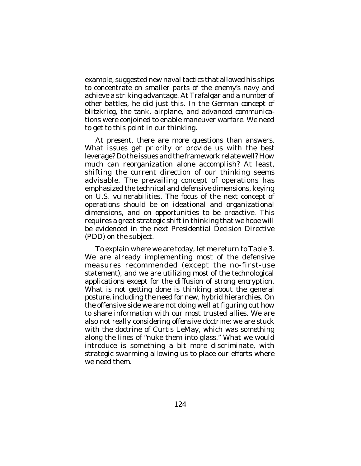example, suggested new naval tactics that allowed his ships to concentrate on smaller parts of the enemy's navy and achieve a striking advantage. At Trafalgar and a number of other battles, he did just this. In the German concept of *blitzkrieg*, the tank, airplane, and advanced communications were conjoined to enable maneuver warfare. We need to get to this point in our thinking.

At present, there are more questions than answers. What issues get priority or provide us with the best leverage? Do the issues and the framework relate well? How much can reorganization alone accomplish? At least, shifting the current direction of our thinking seems advisable. The prevailing concept of operations has emphasized the technical and defensive dimensions, keying on U.S. vulnerabilities. The focus of the next concept of operations should be on ideational and organizational dimensions, and on opportunities to be proactive. This requires a great strategic shift in thinking that we hope will be evidenced in the next Presidential Decision Directive (PDD) on the subject.

To explain where we are today, let me return to Table 3. We are already implementing most of the defensive measures recommended (except the no-first-use statement), and we are utilizing most of the technological applications except for the diffusion of strong encryption. What is not getting done is thinking about the general posture, including the need for new, hybrid hierarchies. On the offensive side we are not doing well at figuring out how to share information with our most trusted allies. We are also not really considering offensive doctrine; we are stuck with the doctrine of Curtis LeMay, which was something along the lines of "nuke them into glass." What we would introduce is something a bit more discriminate, with strategic swarming allowing us to place our efforts where we need them.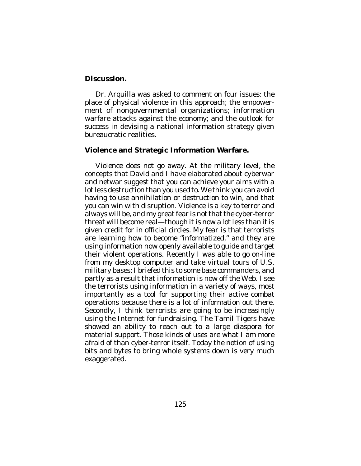# **Discussion.**

Dr. Arquilla was asked to comment on four issues: the place of physical violence in this approach; the empowerment of nongovernmental organizations; information warfare attacks against the economy; and the outlook for success in devising a national information strategy given bureaucratic realities.

### **Violence and Strategic Information Warfare.**

Violence does not go away. At the military level, the concepts that David and I have elaborated about cyberwar and netwar suggest that you can achieve your aims with a lot less destruction than you used to. We think you can avoid having to use annihilation or destruction to win, and that you can win with disruption. Violence is a key to terror and always will be, and my great fear is not that the cyber-terror threat will become real—though it is now a lot less than it is given credit for in official circles. My fear is that terrorists are learning how to become "informatized," and they are using information now openly available to guide and target their violent operations. Recently I was able to go on-line from my desktop computer and take virtual tours of U.S. military bases; I briefed this to some base commanders, and partly as a result that information is now off the Web. I see the terrorists using information in a variety of ways, most importantly as a tool for supporting their active combat operations because there is a lot of information out there. Secondly, I think terrorists are going to be increasingly using the Internet for fundraising. The Tamil Tigers have showed an ability to reach out to a large diaspora for material support. Those kinds of uses are what I am more afraid of than cyber-terror itself. Today the notion of using bits and bytes to bring whole systems down is very much exaggerated.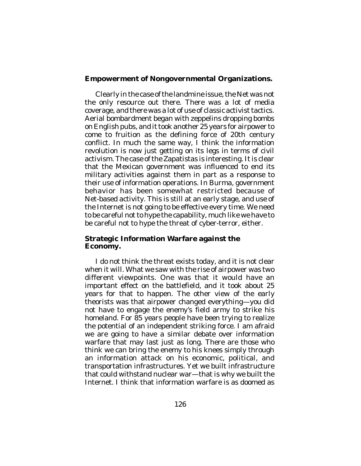# **Empowerment of Nongovernmental Organizations.**

Clearly in the case of the landmine issue, the Net was not the only resource out there. There was a lot of media coverage, and there was a lot of use of classic activist tactics. Aerial bombardment began with zeppelins dropping bombs on English pubs, and it took another 25 years for airpower to come to fruition as the defining force of 20th century conflict. In much the same way, I think the information revolution is now just getting on its legs in terms of civil activism. The case of the Zapatistas is interesting. It is clear that the Mexican government was influenced to end its military activities against them in part as a response to their use of information operations. In Burma, government behavior has been somewhat restricted because of Net-based activity. This is still at an early stage, and use of the Internet is not going to be effective every time. We need to be careful not to hype the capability, much like we have to be careful not to hype the threat of cyber-terror, either.

#### **Strategic Information Warfare against the Economy.**

I do not think the threat exists today, and it is not clear when it will. What we saw with the rise of airpower was two different viewpoints. One was that it would have an important effect on the battlefield, and it took about 25 years for that to happen. The other view of the early theorists was that airpower changed everything—you did not have to engage the enemy's field army to strike his homeland. For 85 years people have been trying to realize the potential of an independent striking force. I am afraid we are going to have a similar debate over information warfare that may last just as long. There are those who think we can bring the enemy to his knees simply through an information attack on his economic, political, and transportation infrastructures. Yet we built infrastructure that could withstand nuclear war—that is why we built the Internet. I think that information warfare is as doomed as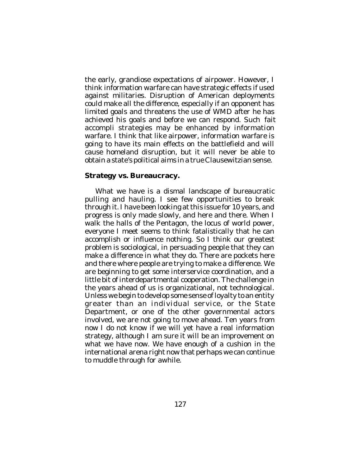the early, grandiose expectations of airpower. However, I think information warfare can have strategic effects if used against militaries. Disruption of American deployments could make all the difference, especially if an opponent has limited goals and threatens the use of WMD after he has achieved his goals and before we can respond. Such fait accompli strategies may be enhanced by information warfare. I think that like airpower, information warfare is going to have its main effects on the battlefield and will cause homeland disruption, but it will never be able to obtain a state's political aims in a true Clausewitzian sense.

### **Strategy vs. Bureaucracy.**

What we have is a dismal landscape of bureaucratic pulling and hauling. I see few opportunities to break through it. I have been looking at this issue for 10 years, and progress is only made slowly, and here and there. When I walk the halls of the Pentagon, the locus of world power, everyone I meet seems to think fatalistically that he can accomplish or influence nothing. So I think our greatest problem is sociological, in persuading people that they can make a difference in what they do. There are pockets here and there where people are trying to make a difference. We are beginning to get some interservice coordination, and a little bit of interdepartmental cooperation. The challenge in the years ahead of us is organizational, not technological. Unless we begin to develop some sense of loyalty to an entity greater than an individual service, or the State Department, or one of the other governmental actors involved, we are not going to move ahead. Ten years from now I do not know if we will yet have a real information strategy, although I am sure it will be an improvement on what we have now. We have enough of a cushion in the international arena right now that perhaps we can continue to muddle through for awhile.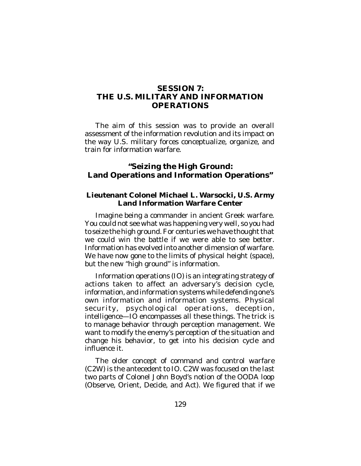## **SESSION 7: THE U.S. MILITARY AND INFORMATION OPERATIONS**

The aim of this session was to provide an overall assessment of the information revolution and its impact on the way U.S. military forces conceptualize, organize, and train for information warfare.

# **"Seizing the High Ground: Land Operations and Information Operations"**

#### **Lieutenant Colonel Michael L. Warsocki, U.S. Army Land Information Warfare Center**

Imagine being a commander in ancient Greek warfare. You could not see what was happening very well, so you had to seize the high ground. For centuries we have thought that we could win the battle if we were able to see better. Information has evolved into another dimension of warfare. We have now gone to the limits of physical height (space), but the new "high ground" is information.

Information operations (IO) is an integrating strategy of actions taken to affect an adversary's decision cycle, information, and information systems while defending one's own information and information systems. Physical security, psychological operations, deception, intelligence—IO encompasses all these things. The trick is to manage behavior through perception management. We want to modify the enemy's perception of the situation and change his behavior, to get into his decision cycle and influence it.

The older concept of command and control warfare (C2W) is the antecedent to IO. C2W was focused on the last two parts of Colonel John Boyd's notion of the OODA loop (Observe, Orient, Decide, and Act). We figured that if we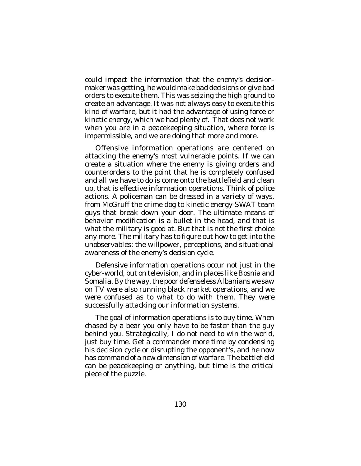could impact the information that the enemy's decisionmaker was getting, he would make bad decisions or give bad orders to execute them. This was seizing the high ground to create an advantage. It was not always easy to execute this kind of warfare, but it had the advantage of using force or kinetic energy, which we had plenty of. That does not work when you are in a peacekeeping situation, where force is impermissible, and we are doing that more and more.

Offensive information operations are centered on attacking the enemy's most vulnerable points. If we can create a situation where the enemy is giving orders and counterorders to the point that he is completely confused and all we have to do is come onto the battlefield and clean up, that is effective information operations. Think of police actions. A policeman can be dressed in a variety of ways, from McGruff the crime dog to kinetic energy-SWAT team guys that break down your door. The ultimate means of behavior modification is a bullet in the head, and that is what the military is good at. But that is not the first choice any more. The military has to figure out how to get into the unobservables: the willpower, perceptions, and situational awareness of the enemy's decision cycle.

Defensive information operations occur not just in the cyber-world, but on television, and in places like Bosnia and Somalia. By the way, the poor defenseless Albanians we saw on TV were also running black market operations, and we were confused as to what to do with them. They were successfully attacking our information systems.

The goal of information operations is to buy time. When chased by a bear you only have to be faster than the guy behind you. Strategically, I do not need to win the world, just buy time. Get a commander more time by condensing his decision cycle or disrupting the opponent's, and he now has command of a new dimension of warfare. The battlefield can be peacekeeping or anything, but time is the critical piece of the puzzle.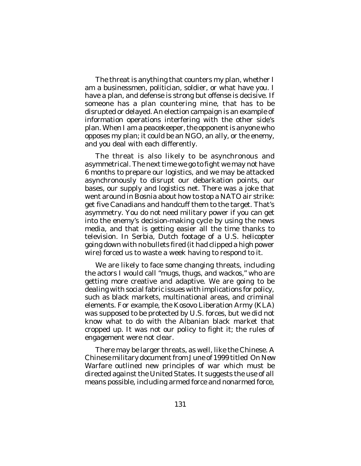The threat is anything that counters my plan, whether I am a businessmen, politician, soldier, or what have you. I have a plan, and defense is strong but offense is decisive. If someone has a plan countering mine, that has to be disrupted or delayed. An election campaign is an example of information operations interfering with the other side's plan. When I am a peacekeeper, the opponent is anyone who opposes my plan; it could be an NGO, an ally, or the enemy, and you deal with each differently.

The threat is also likely to be asynchronous and asymmetrical. The next time we go to fight we may not have 6 months to prepare our logistics, and we may be attacked asynchronously to disrupt our debarkation points, our bases, our supply and logistics net. There was a joke that went around in Bosnia about how to stop a NATO air strike: get five Canadians and handcuff them to the target. That's asymmetry. You do not need military power if you can get into the enemy's decision-making cycle by using the news media, and that is getting easier all the time thanks to television. In Serbia, Dutch footage of a U.S. helicopter going down with no bullets fired (it had clipped a high power wire) forced us to waste a week having to respond to it.

We are likely to face some changing threats, including the actors I would call "mugs, thugs, and wackos," who are getting more creative and adaptive. We are going to be dealing with social fabric issues with implications for policy, such as black markets, multinational areas, and criminal elements. For example, the Kosovo Liberation Army (KLA) was supposed to be protected by U.S. forces, but we did not know what to do with the Albanian black market that cropped up. It was not our policy to fight it; the rules of engagement were not clear.

There may be larger threats, as well, like the Chinese. A Chinese military document from June of 1999 titled *On New Warfare* outlined new principles of war which must be directed against the United States. It suggests the use of all means possible, including armed force and nonarmed force,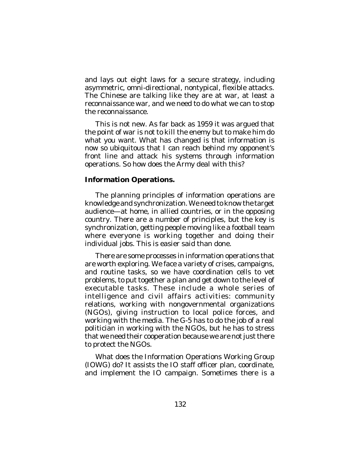and lays out eight laws for a secure strategy, including asymmetric, omni-directional, nontypical, flexible attacks. The Chinese are talking like they are at war, at least a reconnaissance war, and we need to do what we can to stop the reconnaissance.

This is not new. As far back as 1959 it was argued that the point of war is not to kill the enemy but to make him do what you want. What has changed is that information is now so ubiquitous that I can reach behind my opponent's front line and attack his systems through information operations. So how does the Army deal with this?

# **Information Operations.**

The planning principles of information operations are knowledge and synchronization. We need to know the target audience—at home, in allied countries, or in the opposing country. There are a number of principles, but the key is synchronization, getting people moving like a football team where everyone is working together and doing their individual jobs. This is easier said than done.

There are some processes in information operations that are worth exploring. We face a variety of crises, campaigns, and routine tasks, so we have coordination cells to vet problems, to put together a plan and get down to the level of executable tasks. These include a whole series of intelligence and civil affairs activities: community relations, working with nongovernmental organizations (NGOs), giving instruction to local police forces, and working with the media. The G-5 has to do the job of a real politician in working with the NGOs, but he has to stress that we need their cooperation because we are not just there to protect the NGOs.

What does the Information Operations Working Group (IOWG) do? It assists the IO staff officer plan, coordinate, and implement the IO campaign. Sometimes there is a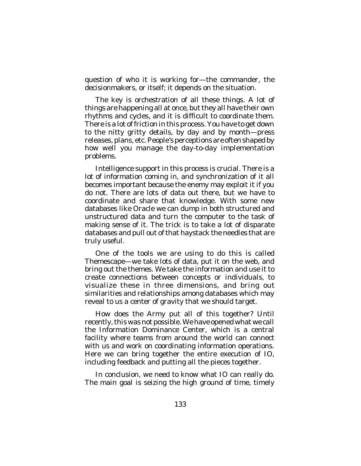question of who it is working for—the commander, the decisionmakers, or itself; it depends on the situation.

The key is orchestration of all these things. A lot of things are happening all at once, but they all have their own rhythms and cycles, and it is difficult to coordinate them. There is a lot of friction in this process. You have to get down to the nitty gritty details, by day and by month—press releases, plans, etc. People's perceptions are often shaped by how well you manage the day-to-day implementation problems.

Intelligence support in this process is crucial. There is a lot of information coming in, and synchronization of it all becomes important because the enemy may exploit it if you do not. There are lots of data out there, but we have to coordinate and share that knowledge. With some new databases like Oracle we can dump in both structured and unstructured data and turn the computer to the task of making sense of it. The trick is to take a lot of disparate databases and pull out of that haystack the needles that are truly useful.

One of the tools we are using to do this is called Themescape—we take lots of data, put it on the web, and bring out the themes. We take the information and use it to create connections between concepts or individuals, to visualize these in three dimensions, and bring out similarities and relationships among databases which may reveal to us a center of gravity that we should target.

How does the Army put all of this together? Until recently, this was not possible. We have opened what we call the Information Dominance Center, which is a central facility where teams from around the world can connect with us and work on coordinating information operations. Here we can bring together the entire execution of IO, including feedback and putting all the pieces together.

In conclusion, we need to know what IO can really do. The main goal is seizing the high ground of time, timely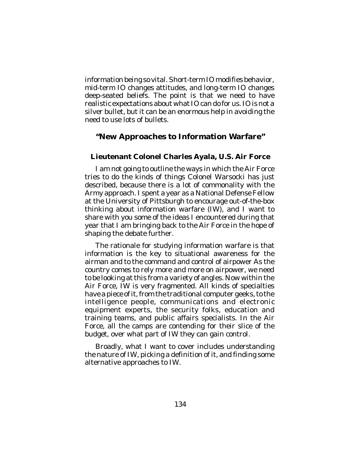information being so vital. Short-term IO modifies behavior, mid-term IO changes attitudes, and long-term IO changes deep-seated beliefs. The point is that we need to have realistic expectations about what IO can do for us. IO is not a silver bullet, but it can be an enormous help in avoiding the need to use lots of bullets.

# **"New Approaches to Information Warfare"**

# **Lieutenant Colonel Charles Ayala, U.S. Air Force**

I am not going to outline the ways in which the Air Force tries to do the kinds of things Colonel Warsocki has just described, because there is a lot of commonality with the Army approach. I spent a year as a National Defense Fellow at the University of Pittsburgh to encourage out-of-the-box thinking about information warfare (IW), and I want to share with you some of the ideas I encountered during that year that I am bringing back to the Air Force in the hope of shaping the debate further.

The rationale for studying information warfare is that information is the key to situational awareness for the airman and to the command and control of airpower As the country comes to rely more and more on airpower, we need to be looking at this from a variety of angles. Now within the Air Force, IW is very fragmented. All kinds of specialties have a piece of it, from the traditional computer geeks, to the intelligence people, communications and electronic equipment experts, the security folks, education and training teams, and public affairs specialists. In the Air Force, all the camps are contending for their slice of the budget, over what part of IW they can gain control.

Broadly, what I want to cover includes understanding the nature of IW, picking a definition of it, and finding some alternative approaches to IW.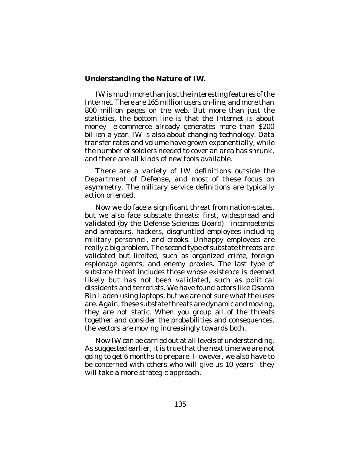## **Understanding the Nature of IW.**

IW is much more than just the interesting features of the Internet. There are 165 million users on-line, and more than 800 million pages on the web. But more than just the statistics, the bottom line is that the Internet is about money—e-commerce already generates more than \$200 billion a year. IW is also about changing technology. Data transfer rates and volume have grown exponentially, while the number of soldiers needed to cover an area has shrunk, and there are all kinds of new tools available.

There are a variety of IW definitions outside the Department of Defense, and most of these focus on asymmetry. The military service definitions are typically action oriented.

Now we do face a significant threat from nation-states, but we also face substate threats: first, widespread and validated (by the Defense Sciences Board)—incompetents and amateurs, hackers, disgruntled employees including military personnel, and crooks. Unhappy employees are really a big problem. The second type of substate threats are validated but limited, such as organized crime, foreign espionage agents, and enemy proxies. The last type of substate threat includes those whose existence is deemed likely but has not been validated, such as political dissidents and terrorists. We have found actors like Osama Bin Laden using laptops, but we are not sure what the uses are. Again, these substate threats are dynamic and moving, they are not static. When you group all of the threats together and consider the probabilities and consequences, the vectors are moving increasingly towards both.

Now IW can be carried out at all levels of understanding. As suggested earlier, it is true that the next time we are not going to get 6 months to prepare. However, we also have to be concerned with others who will give us 10 years—they will take a more strategic approach.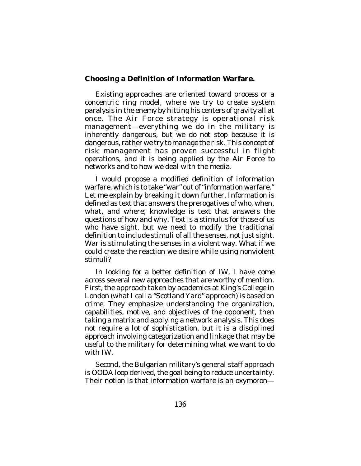## **Choosing a Definition of Information Warfare.**

Existing approaches are oriented toward process or a concentric ring model, where we try to create system paralysis in the enemy by hitting his centers of gravity all at once. The Air Force strategy is operational risk management—everything we do in the military is inherently dangerous, but we do not stop because it is dangerous, rather we try to manage the risk. This concept of risk management has proven successful in flight operations, and it is being applied by the Air Force to networks and to how we deal with the media.

I would propose a modified definition of information warfare, which is to take "war" out of "information warfare." Let me explain by breaking it down further. Information is defined as text that answers the prerogatives of who, when, what, and where; knowledge is text that answers the questions of how and why. Text is a stimulus for those of us who have sight, but we need to modify the traditional definition to include stimuli of all the senses, not just sight. War is stimulating the senses in a violent way. What if we could create the reaction we desire while using nonviolent stimuli?

In looking for a better definition of IW, I have come across several new approaches that are worthy of mention. First, the approach taken by academics at King's College in London (what I call a "Scotland Yard" approach) is based on crime. They emphasize understanding the organization, capabilities, motive, and objectives of the opponent, then taking a matrix and applying a network analysis. This does not require a lot of sophistication, but it is a disciplined approach involving categorization and linkage that may be useful to the military for determining what we want to do with IW.

Second, the Bulgarian military's general staff approach is OODA loop derived, the goal being to reduce uncertainty. Their notion is that information warfare is an oxymoron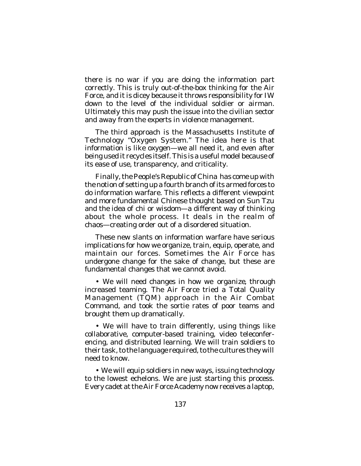there is no war if you are doing the information part correctly. This is truly out-of-the-box thinking for the Air Force, and it is dicey because it throws responsibility for IW down to the level of the individual soldier or airman. Ultimately this may push the issue into the civilian sector and away from the experts in violence management.

The third approach is the Massachusetts Institute of Technology "Oxygen System." The idea here is that information is like oxygen—we all need it, and even after being used it recycles itself. This is a useful model because of its ease of use, transparency, and criticality.

Finally, the People's Republic of China has come up with the notion of setting up a fourth branch of its armed forces to do information warfare. This reflects a different viewpoint and more fundamental Chinese thought based on Sun Tzu and the idea of *chi* or wisdom—a different way of thinking about the whole process. It deals in the realm of chaos—creating order out of a disordered situation.

These new slants on information warfare have serious implications for how we organize, train, equip, operate, and maintain our forces. Sometimes the Air Force has undergone change for the sake of change, but these are fundamental changes that we cannot avoid.

• We will need changes in how we *organize*, through increased teaming. The Air Force tried a Total Quality Management (TQM) approach in the Air Combat Command, and took the sortie rates of poor teams and brought them up dramatically.

• We will have to *train* differently, using things like collaborative, computer-based training, video teleconferencing, and distributed learning. We will train soldiers to their task, to the language required, to the cultures they will need to know.

• We will *equip* soldiers in new ways, issuing technology to the lowest echelons. We are just starting this process. Every cadet at the Air Force Academy now receives a laptop,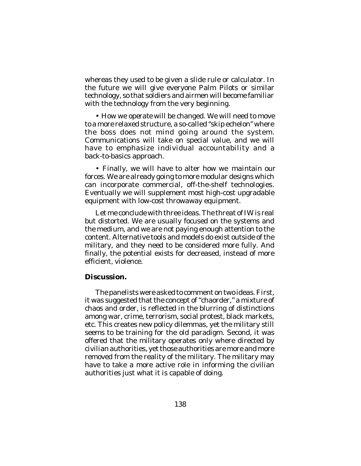whereas they used to be given a slide rule or calculator. In the future we will give everyone Palm Pilots or similar technology, so that soldiers and airmen will become familiar with the technology from the very beginning.

• How we *operate* will be changed. We will need to move to a more relaxed structure, a so-called "skip echelon" where the boss does not mind going around the system. Communications will take on special value, and we will have to emphasize individual accountability and a back-to-basics approach.

• Finally, we will have to alter how we *maintain* our forces. We are already going to more modular designs which can incorporate commercial, off-the-shelf technologies. Eventually we will supplement most high-cost upgradable equipment with low-cost throwaway equipment.

Let me conclude with three ideas. The threat of IW is real but distorted. We are usually focused on the systems and the medium, and we are not paying enough attention to the content. Alternative tools and models do exist outside of the military, and they need to be considered more fully. And finally, the potential exists for decreased, instead of more efficient, violence.

#### **Discussion.**

The panelists were asked to comment on two ideas. First, it was suggested that the concept of "chaorder," a mixture of chaos and order, is reflected in the blurring of distinctions among war, crime, terrorism, social protest, black markets, etc. This creates new policy dilemmas, yet the military still seems to be training for the old paradigm. Second, it was offered that the military operates only where directed by civilian authorities, yet those authorities are more and more removed from the reality of the military. The military may have to take a more active role in informing the civilian authorities just what it is capable of doing.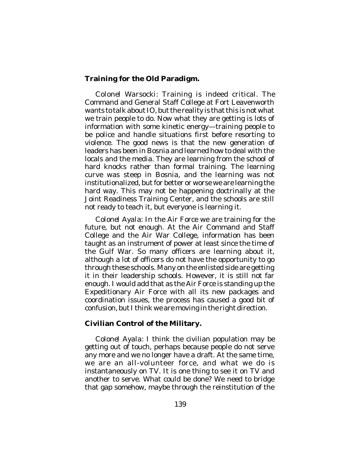### **Training for the Old Paradigm.**

*Colonel Warsocki*: Training is indeed critical. The Command and General Staff College at Fort Leavenworth wants to talk about IO, but the reality is that this is not what we train people to do. Now what they are getting is lots of information with some kinetic energy—training people to be police and handle situations first before resorting to violence. The good news is that the new generation of leaders has been in Bosnia and learned how to deal with the locals and the media. They are learning from the school of hard knocks rather than formal training. The learning curve was steep in Bosnia, and the learning was not institutionalized, but for better or worse we are learning the hard way. This may not be happening doctrinally at the Joint Readiness Training Center, and the schools are still not ready to teach it, but everyone is learning it.

*Colonel Ayala*: In the Air Force we are training for the future, but not enough. At the Air Command and Staff College and the Air War College, information has been taught as an instrument of power at least since the time of the Gulf War. So many officers are learning about it, although a lot of officers do not have the opportunity to go through these schools. Many on the enlisted side are getting it in their leadership schools. However, it is still not far enough. I would add that as the Air Force is standing up the Expeditionary Air Force with all its new packages and coordination issues, the process has caused a good bit of confusion, but I think we are moving in the right direction.

# **Civilian Control of the Military.**

*Colonel Ayala*: I think the civilian population may be getting out of touch, perhaps because people do not serve any more and we no longer have a draft. At the same time, we are an all-volunteer force, and what we do is instantaneously on TV. It is one thing to see it on TV and another to serve. What could be done? We need to bridge that gap somehow, maybe through the reinstitution of the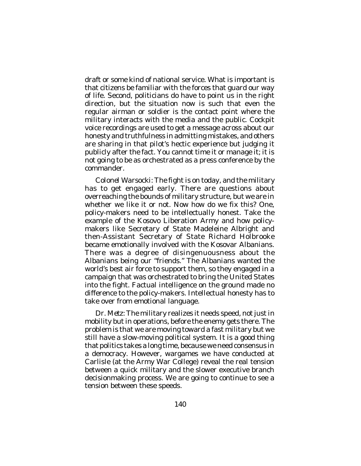draft or some kind of national service. What is important is that citizens be familiar with the forces that guard our way of life. Second, politicians do have to point us in the right direction, but the situation now is such that even the regular airman or soldier is the contact point where the military interacts with the media and the public. Cockpit voice recordings are used to get a message across about our honesty and truthfulness in admitting mistakes, and others are sharing in that pilot's hectic experience but judging it publicly after the fact. You cannot time it or manage it; it is not going to be as orchestrated as a press conference by the commander.

*Colonel Warsocki*: The fight is on today, and the military has to get engaged early. There are questions about overreaching the bounds of military structure, but we are in whether we like it or not. Now how do we fix this? One, policy-makers need to be intellectually honest. Take the example of the Kosovo Liberation Army and how policymakers like Secretary of State Madeleine Albright and then-Assistant Secretary of State Richard Holbrooke became emotionally involved with the Kosovar Albanians. There was a degree of disingenuousness about the Albanians being our "friends." The Albanians wanted the world's best air force to support them, so they engaged in a campaign that was orchestrated to bring the United States into the fight. Factual intelligence on the ground made no difference to the policy-makers. Intellectual honesty has to take over from emotional language.

*Dr. Metz*: The military realizes it needs speed, not just in mobility but in operations, before the enemy gets there. The problem is that we are moving toward a fast military but we still have a slow-moving political system. It is a good thing that politics takes a long time, because we need consensus in a democracy. However, wargames we have conducted at Carlisle (at the Army War College) reveal the real tension between a quick military and the slower executive branch decisionmaking process. We are going to continue to see a tension between these speeds.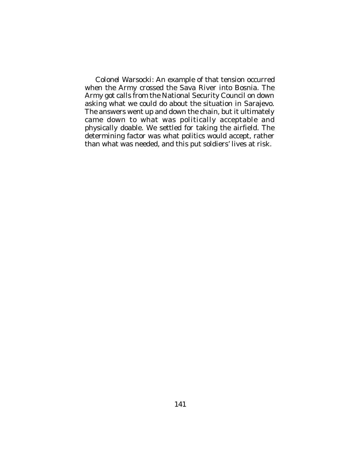*Colonel Warsocki*: An example of that tension occurred when the Army crossed the Sava River into Bosnia. The Army got calls from the National Security Council on down asking what we could do about the situation in Sarajevo. The answers went up and down the chain, but it ultimately came down to what was politically acceptable and physically doable. We settled for taking the airfield. The determining factor was what politics would accept, rather than what was needed, and this put soldiers' lives at risk.